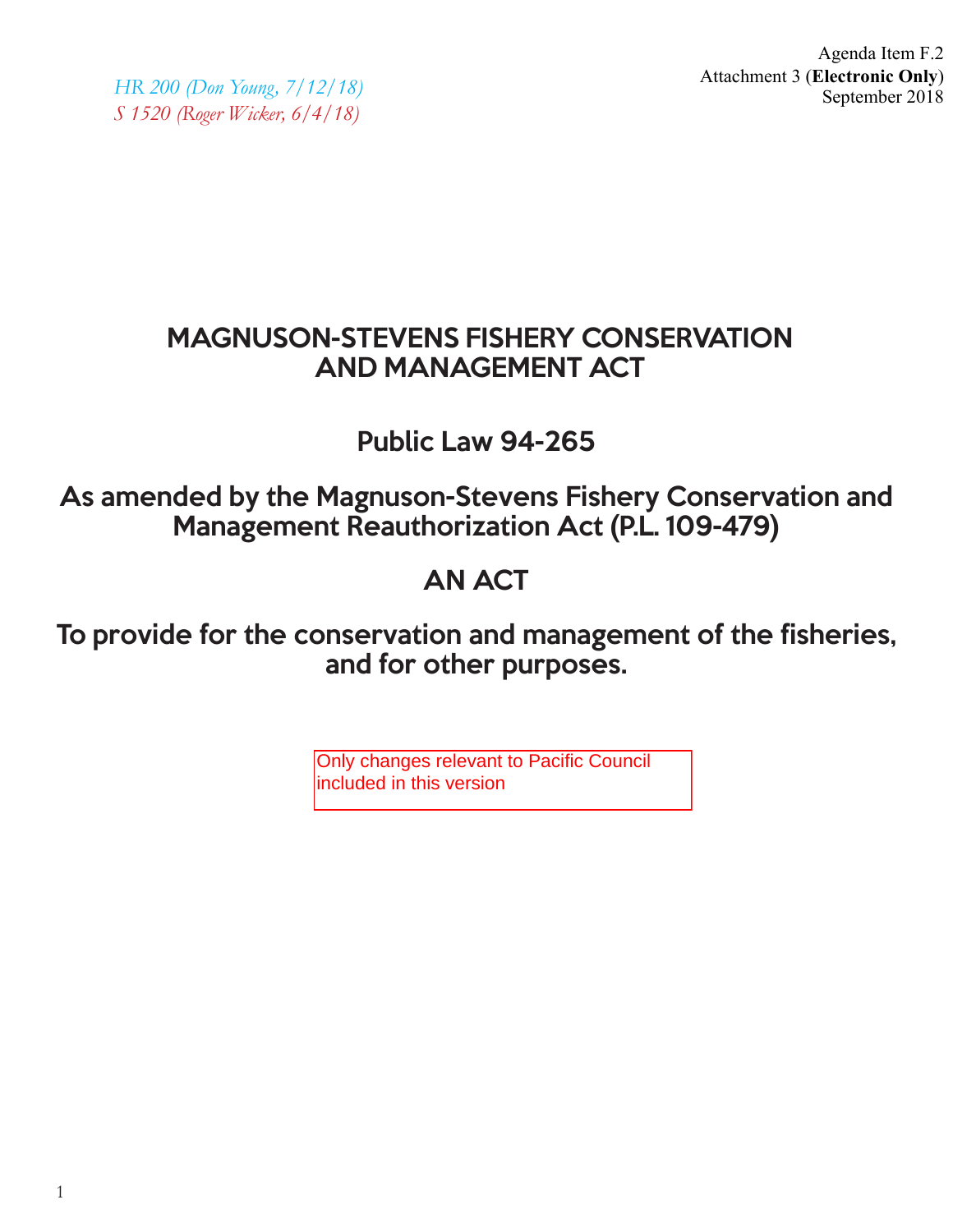*HR 200 (Don Young, 7/12/18) S 1520 (Roger Wicker, 6/4/18)*

Agenda Item F.2 Attachment 3 (**Electronic Only**) September 2018

### MAGNUSON-STEVENS FISHERY CONSERVATION AND MANAGEMENT ACT

### Public Law 94-265

As amended by the Magnuson-Stevens Fishery Conservation and Management Reauthorization Act (P.L. 109-479)

# AN ACT

To provide for the conservation and management of the fisheries, and for other purposes.

> Only changes relevant to Pacific Council included in this version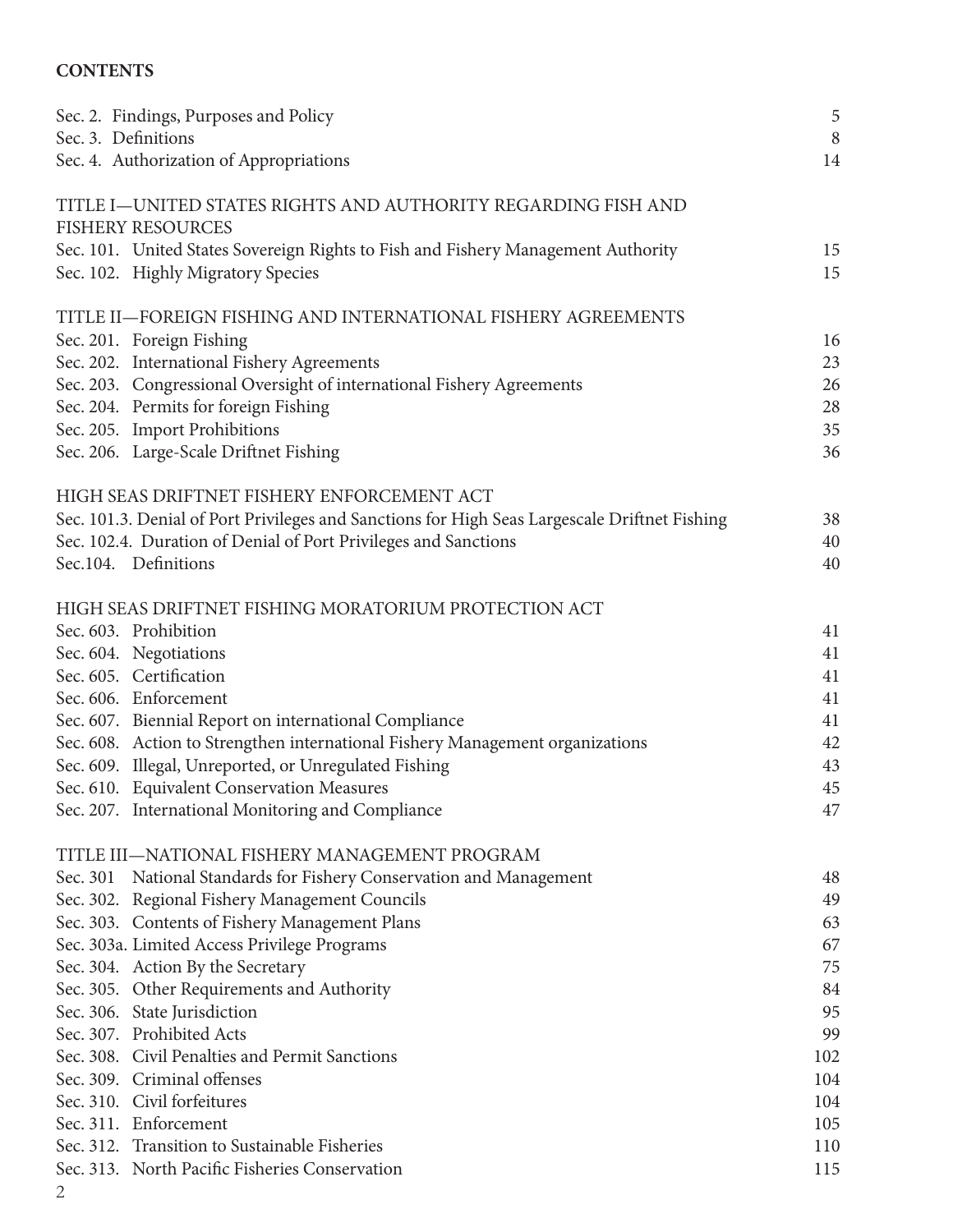#### **CONTENTS**

|                     | Sec. 2. Findings, Purposes and Policy                                                                                | 5   |
|---------------------|----------------------------------------------------------------------------------------------------------------------|-----|
| Sec. 3. Definitions |                                                                                                                      | 8   |
|                     | Sec. 4. Authorization of Appropriations                                                                              | 14  |
|                     | TITLE I—UNITED STATES RIGHTS AND AUTHORITY REGARDING FISH AND<br><b>FISHERY RESOURCES</b>                            |     |
|                     | Sec. 101. United States Sovereign Rights to Fish and Fishery Management Authority                                    | 15  |
|                     | Sec. 102. Highly Migratory Species                                                                                   | 15  |
|                     |                                                                                                                      |     |
|                     | TITLE II—FOREIGN FISHING AND INTERNATIONAL FISHERY AGREEMENTS                                                        |     |
|                     | Sec. 201. Foreign Fishing                                                                                            | 16  |
|                     | Sec. 202. International Fishery Agreements                                                                           | 23  |
|                     | Sec. 203. Congressional Oversight of international Fishery Agreements                                                | 26  |
|                     | Sec. 204. Permits for foreign Fishing                                                                                | 28  |
|                     | Sec. 205. Import Prohibitions                                                                                        | 35  |
|                     | Sec. 206. Large-Scale Driftnet Fishing                                                                               | 36  |
|                     | HIGH SEAS DRIFTNET FISHERY ENFORCEMENT ACT                                                                           |     |
|                     | Sec. 101.3. Denial of Port Privileges and Sanctions for High Seas Largescale Driftnet Fishing                        | 38  |
|                     | Sec. 102.4. Duration of Denial of Port Privileges and Sanctions                                                      | 40  |
|                     | Sec.104. Definitions                                                                                                 | 40  |
|                     |                                                                                                                      |     |
|                     | HIGH SEAS DRIFTNET FISHING MORATORIUM PROTECTION ACT                                                                 |     |
|                     | Sec. 603. Prohibition                                                                                                | 41  |
|                     | Sec. 604. Negotiations                                                                                               | 41  |
|                     | Sec. 605. Certification                                                                                              | 41  |
|                     | Sec. 606. Enforcement                                                                                                | 41  |
|                     | Sec. 607. Biennial Report on international Compliance                                                                | 41  |
|                     | Sec. 608. Action to Strengthen international Fishery Management organizations                                        | 42  |
|                     | Sec. 609. Illegal, Unreported, or Unregulated Fishing                                                                | 43  |
|                     | Sec. 610. Equivalent Conservation Measures                                                                           | 45  |
|                     | Sec. 207. International Monitoring and Compliance                                                                    | 47  |
|                     |                                                                                                                      |     |
|                     | TITLE III—NATIONAL FISHERY MANAGEMENT PROGRAM<br>Sec. 301 National Standards for Fishery Conservation and Management | 48  |
|                     | Sec. 302. Regional Fishery Management Councils                                                                       | 49  |
|                     | Sec. 303. Contents of Fishery Management Plans                                                                       | 63  |
|                     | Sec. 303a. Limited Access Privilege Programs                                                                         | 67  |
|                     | Sec. 304. Action By the Secretary                                                                                    | 75  |
|                     | Sec. 305. Other Requirements and Authority                                                                           | 84  |
|                     | Sec. 306. State Jurisdiction                                                                                         | 95  |
|                     | Sec. 307. Prohibited Acts                                                                                            | 99  |
|                     | Sec. 308. Civil Penalties and Permit Sanctions                                                                       | 102 |
|                     | Sec. 309. Criminal offenses                                                                                          | 104 |
|                     | Sec. 310. Civil forfeitures                                                                                          | 104 |
|                     | Sec. 311. Enforcement                                                                                                | 105 |
|                     | Sec. 312. Transition to Sustainable Fisheries                                                                        | 110 |
|                     | Sec. 313. North Pacific Fisheries Conservation                                                                       | 115 |
|                     |                                                                                                                      |     |

2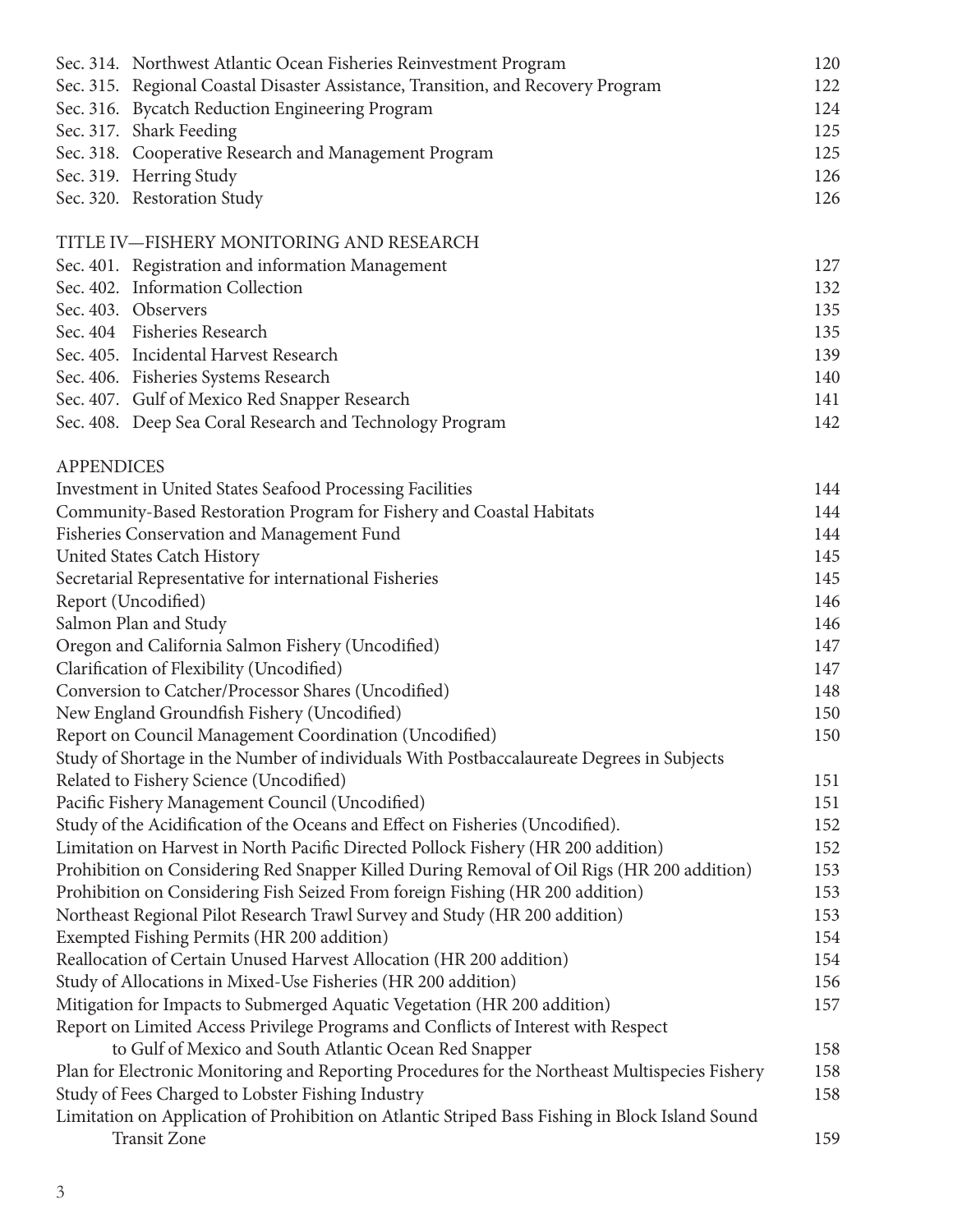|                                                                                            | Sec. 314. Northwest Atlantic Ocean Fisheries Reinvestment Program                               | 120 |  |  |
|--------------------------------------------------------------------------------------------|-------------------------------------------------------------------------------------------------|-----|--|--|
|                                                                                            | Sec. 315. Regional Coastal Disaster Assistance, Transition, and Recovery Program                | 122 |  |  |
|                                                                                            | Sec. 316. Bycatch Reduction Engineering Program                                                 | 124 |  |  |
|                                                                                            | Sec. 317. Shark Feeding                                                                         | 125 |  |  |
|                                                                                            | Sec. 318. Cooperative Research and Management Program                                           | 125 |  |  |
|                                                                                            | Sec. 319. Herring Study                                                                         | 126 |  |  |
|                                                                                            | Sec. 320. Restoration Study                                                                     | 126 |  |  |
|                                                                                            |                                                                                                 |     |  |  |
|                                                                                            | TITLE IV-FISHERY MONITORING AND RESEARCH                                                        |     |  |  |
|                                                                                            | Sec. 401. Registration and information Management                                               | 127 |  |  |
|                                                                                            | Sec. 402. Information Collection                                                                | 132 |  |  |
|                                                                                            | Sec. 403. Observers                                                                             | 135 |  |  |
|                                                                                            | Sec. 404 Fisheries Research                                                                     | 135 |  |  |
|                                                                                            | Sec. 405. Incidental Harvest Research                                                           | 139 |  |  |
|                                                                                            | Sec. 406. Fisheries Systems Research                                                            | 140 |  |  |
|                                                                                            | Sec. 407. Gulf of Mexico Red Snapper Research                                                   | 141 |  |  |
|                                                                                            | Sec. 408. Deep Sea Coral Research and Technology Program                                        | 142 |  |  |
|                                                                                            |                                                                                                 |     |  |  |
| <b>APPENDICES</b>                                                                          |                                                                                                 |     |  |  |
|                                                                                            | Investment in United States Seafood Processing Facilities                                       | 144 |  |  |
|                                                                                            | Community-Based Restoration Program for Fishery and Coastal Habitats                            | 144 |  |  |
|                                                                                            | Fisheries Conservation and Management Fund                                                      | 144 |  |  |
|                                                                                            | United States Catch History                                                                     | 145 |  |  |
|                                                                                            | Secretarial Representative for international Fisheries                                          | 145 |  |  |
|                                                                                            | Report (Uncodified)                                                                             | 146 |  |  |
| Salmon Plan and Study                                                                      |                                                                                                 |     |  |  |
| Oregon and California Salmon Fishery (Uncodified)                                          |                                                                                                 |     |  |  |
| Clarification of Flexibility (Uncodified)                                                  |                                                                                                 |     |  |  |
| Conversion to Catcher/Processor Shares (Uncodified)                                        |                                                                                                 |     |  |  |
|                                                                                            | New England Groundfish Fishery (Uncodified)                                                     | 150 |  |  |
| Report on Council Management Coordination (Uncodified)<br>150                              |                                                                                                 |     |  |  |
|                                                                                            | Study of Shortage in the Number of individuals With Postbaccalaureate Degrees in Subjects       |     |  |  |
|                                                                                            | Related to Fishery Science (Uncodified)                                                         | 151 |  |  |
|                                                                                            | Pacific Fishery Management Council (Uncodified)                                                 | 151 |  |  |
|                                                                                            | Study of the Acidification of the Oceans and Effect on Fisheries (Uncodified).                  | 152 |  |  |
| Limitation on Harvest in North Pacific Directed Pollock Fishery (HR 200 addition)          |                                                                                                 |     |  |  |
| Prohibition on Considering Red Snapper Killed During Removal of Oil Rigs (HR 200 addition) |                                                                                                 |     |  |  |
| Prohibition on Considering Fish Seized From foreign Fishing (HR 200 addition)              |                                                                                                 |     |  |  |
|                                                                                            | Northeast Regional Pilot Research Trawl Survey and Study (HR 200 addition)                      | 153 |  |  |
|                                                                                            | Exempted Fishing Permits (HR 200 addition)                                                      | 154 |  |  |
|                                                                                            | Reallocation of Certain Unused Harvest Allocation (HR 200 addition)                             | 154 |  |  |
|                                                                                            | Study of Allocations in Mixed-Use Fisheries (HR 200 addition)                                   | 156 |  |  |
|                                                                                            | Mitigation for Impacts to Submerged Aquatic Vegetation (HR 200 addition)                        | 157 |  |  |
|                                                                                            | Report on Limited Access Privilege Programs and Conflicts of Interest with Respect              |     |  |  |
|                                                                                            | to Gulf of Mexico and South Atlantic Ocean Red Snapper                                          | 158 |  |  |
|                                                                                            | Plan for Electronic Monitoring and Reporting Procedures for the Northeast Multispecies Fishery  | 158 |  |  |
| Study of Fees Charged to Lobster Fishing Industry                                          |                                                                                                 |     |  |  |
|                                                                                            | Limitation on Application of Prohibition on Atlantic Striped Bass Fishing in Block Island Sound |     |  |  |
| <b>Transit Zone</b><br>159                                                                 |                                                                                                 |     |  |  |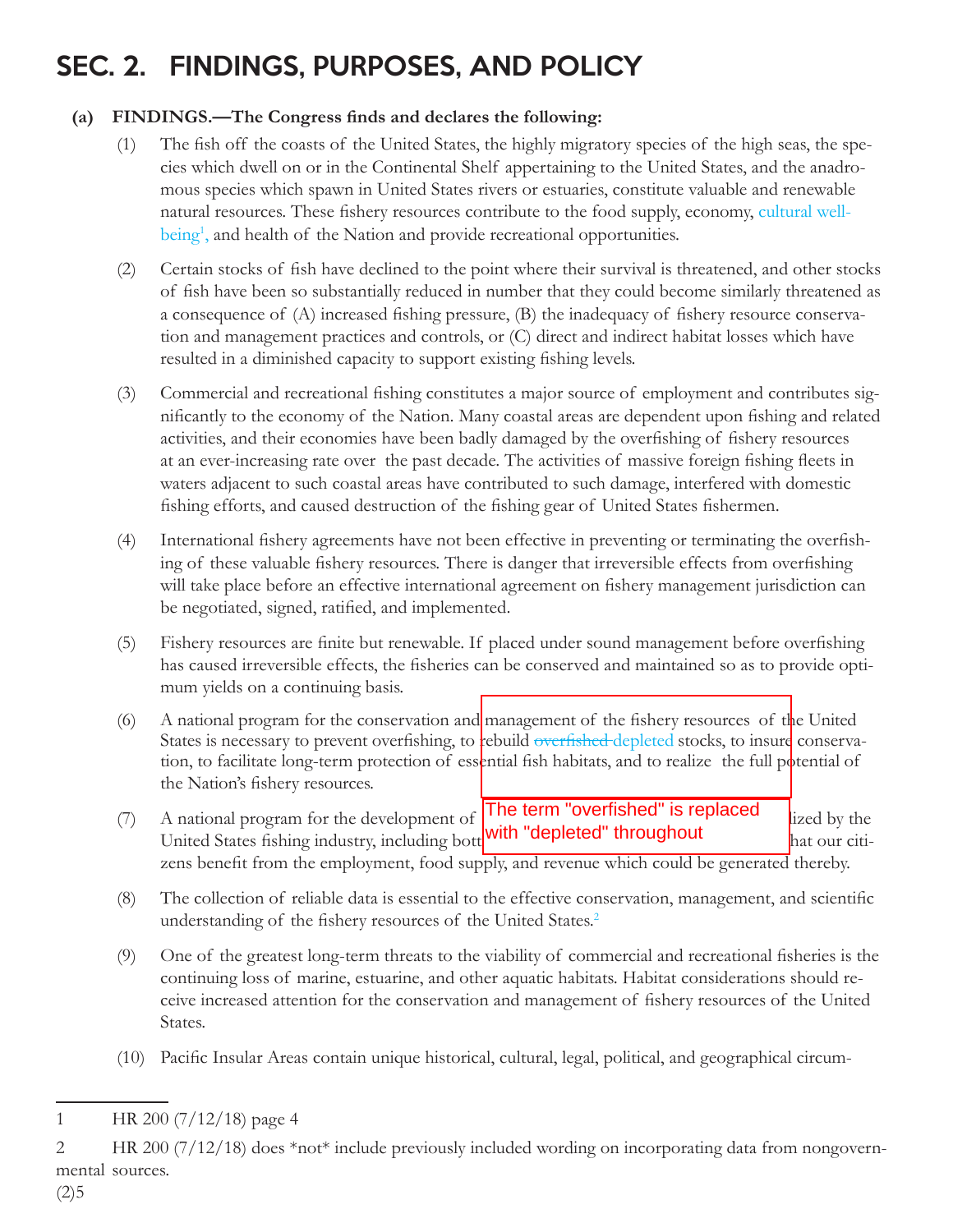# SEC. 2. FINDINGS, PURPOSES, AND POLICY

#### (a) FINDINGS.—The Congress finds and declares the following:

- (1) The fish off the coasts of the United States, the highly migratory species of the high seas, the species which dwell on or in the Continental Shelf appertaining to the United States, and the anadromous species which spawn in United States rivers or estuaries, constitute valuable and renewable natural resources. These fishery resources contribute to the food supply, economy, cultural wellbeing<sup>1</sup>, and health of the Nation and provide recreational opportunities.
- (2) Certain stocks of fish have declined to the point where their survival is threatened, and other stocks of fish have been so substantially reduced in number that they could become similarly threatened as a consequence of  $(A)$  increased fishing pressure,  $(B)$  the inadequacy of fishery resource conservation and management practices and controls, or (C) direct and indirect habitat losses which have resulted in a diminished capacity to support existing fishing levels.
- (3) Commercial and recreational fishing constitutes a major source of employment and contributes significantly to the economy of the Nation. Many coastal areas are dependent upon fishing and related activities, and their economies have been badly damaged by the overfishing of fishery resources at an ever-increasing rate over the past decade. The activities of massive foreign fishing fleets in waters adjacent to such coastal areas have contributed to such damage, interfered with domestic fishing efforts, and caused destruction of the fishing gear of United States fishermen.
- (4) International fishery agreements have not been effective in preventing or terminating the overfishing of these valuable fishery resources. There is danger that irreversible effects from overfishing will take place before an effective international agreement on fishery management jurisdiction can be negotiated, signed, ratified, and implemented.
- (5) Fishery resources are finite but renewable. If placed under sound management before overfishing has caused irreversible effects, the fisheries can be conserved and maintained so as to provide optimum yields on a continuing basis.
- (6) A national program for the conservation and management of the fishery resources of the United States is necessary to prevent overfishing, to rebuild overfished depleted stocks, to insure conservation, to facilitate long-term protection of essential fish habitats, and to realize the full potential of the Nation's fishery resources.
- (7) A national program for the development of  $\begin{bmatrix} The \text{ term "overfished" is replaced} \\ \text{if } a \text{ is reduced} \end{bmatrix}$  ized by the United States fishing industry, including bott<sup>with</sup> "depleted" throughout hat our citizens benefit from the employment, food supply, and revenue which could be generated thereby.
- (8) The collection of reliable data is essential to the effective conservation, management, and scientific understanding of the fishery resources of the United States.<sup>2</sup>
- (9) One of the greatest long-term threats to the viability of commercial and recreational fisheries is the continuing loss of marine, estuarine, and other aquatic habitats. Habitat considerations should receive increased attention for the conservation and management of fishery resources of the United States.
- (10) Pacifi c Insular Areas contain unique historical, cultural, legal, political, and geographical circum-

<sup>1</sup> HR 200 (7/12/18) page 4

<sup>2</sup> HR 200 (7/12/18) does \*not\* include previously included wording on incorporating data from nongovernmental sources.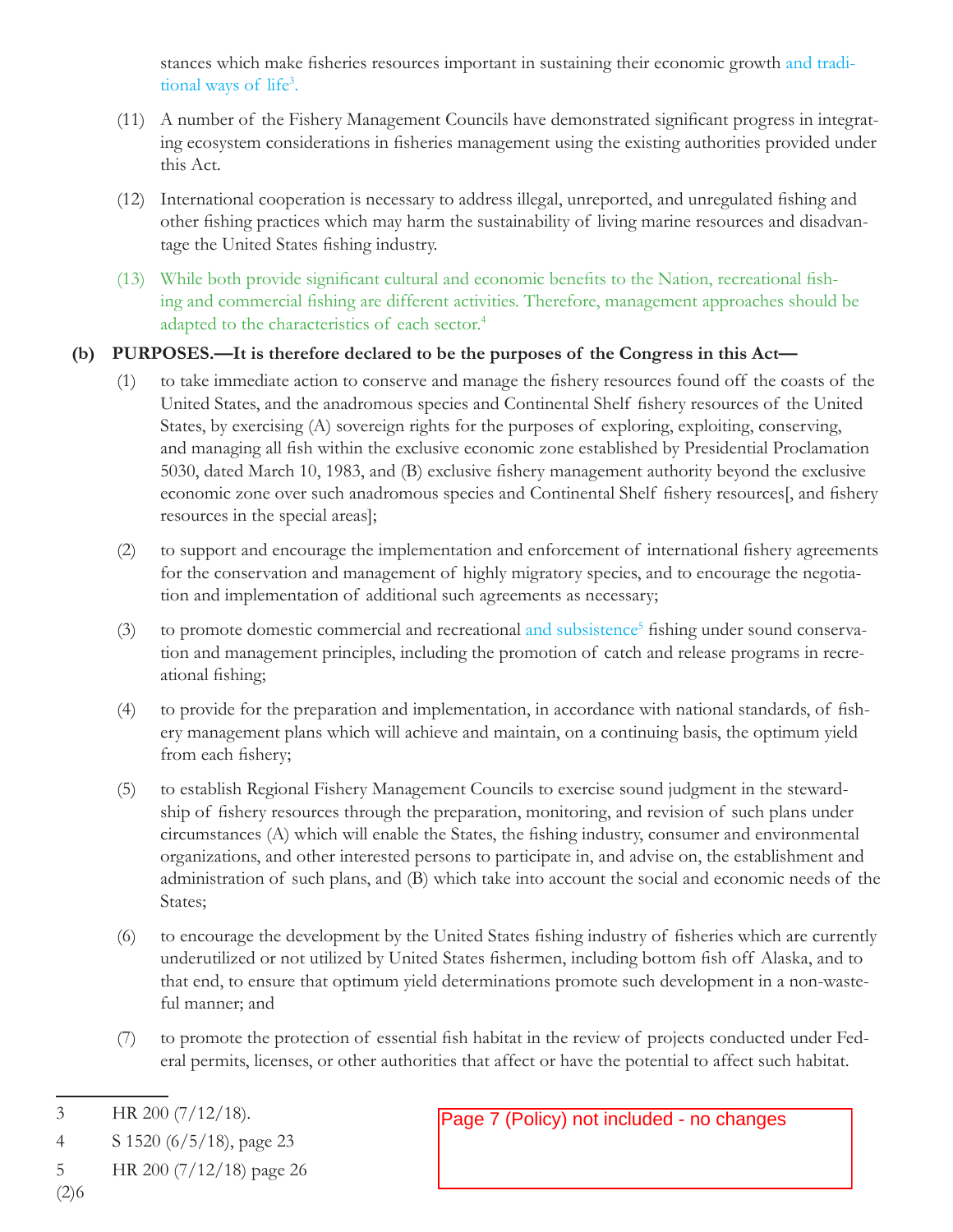stances which make fisheries resources important in sustaining their economic growth and traditional ways of life<sup>3</sup>.

- (11) A number of the Fishery Management Councils have demonstrated significant progress in integrating ecosystem considerations in fisheries management using the existing authorities provided under this Act.
- (12) International cooperation is necessary to address illegal, unreported, and unregulated fishing and other fishing practices which may harm the sustainability of living marine resources and disadvantage the United States fishing industry.
- (13) While both provide significant cultural and economic benefits to the Nation, recreational fishing and commercial fishing are different activities. Therefore, management approaches should be adapted to the characteristics of each sector.<sup>4</sup>

#### **(b) PURPOSES.—It is therefore declared to be the purposes of the Congress in this Act—**

- (1) to take immediate action to conserve and manage the fishery resources found off the coasts of the United States, and the anadromous species and Continental Shelf fishery resources of the United States, by exercising (A) sovereign rights for the purposes of exploring, exploiting, conserving, and managing all fish within the exclusive economic zone established by Presidential Proclamation 5030, dated March 10, 1983, and (B) exclusive fishery management authority beyond the exclusive economic zone over such anadromous species and Continental Shelf fishery resources[, and fishery resources in the special areas];
- (2) to support and encourage the implementation and enforcement of international fishery agreements for the conservation and management of highly migratory species, and to encourage the negotiation and implementation of additional such agreements as necessary;
- (3) to promote domestic commercial and recreational and subsistence<sup>5</sup> fishing under sound conservation and management principles, including the promotion of catch and release programs in recreational fishing;
- (4) to provide for the preparation and implementation, in accordance with national standards, of fishery management plans which will achieve and maintain, on a continuing basis, the optimum yield from each fishery;
- (5) to establish Regional Fishery Management Councils to exercise sound judgment in the stewardship of fishery resources through the preparation, monitoring, and revision of such plans under circumstances (A) which will enable the States, the fishing industry, consumer and environmental organizations, and other interested persons to participate in, and advise on, the establishment and administration of such plans, and (B) which take into account the social and economic needs of the States;
- (6) to encourage the development by the United States fishing industry of fisheries which are currently underutilized or not utilized by United States fishermen, including bottom fish off Alaska, and to that end, to ensure that optimum yield determinations promote such development in a non-wasteful manner; and
- (7) to promote the protection of essential fish habitat in the review of projects conducted under Federal permits, licenses, or other authorities that affect or have the potential to affect such habitat.

 $(2)6$ 

5 HR 200 (7/12/18).<br>
S 1520 (6/5/18), page 23<br>
HR 200 (7/12/18) page 26

<sup>3</sup> HR 200  $(7/12/18)$ .

<sup>4</sup> S 1520 (6/5/18), page 23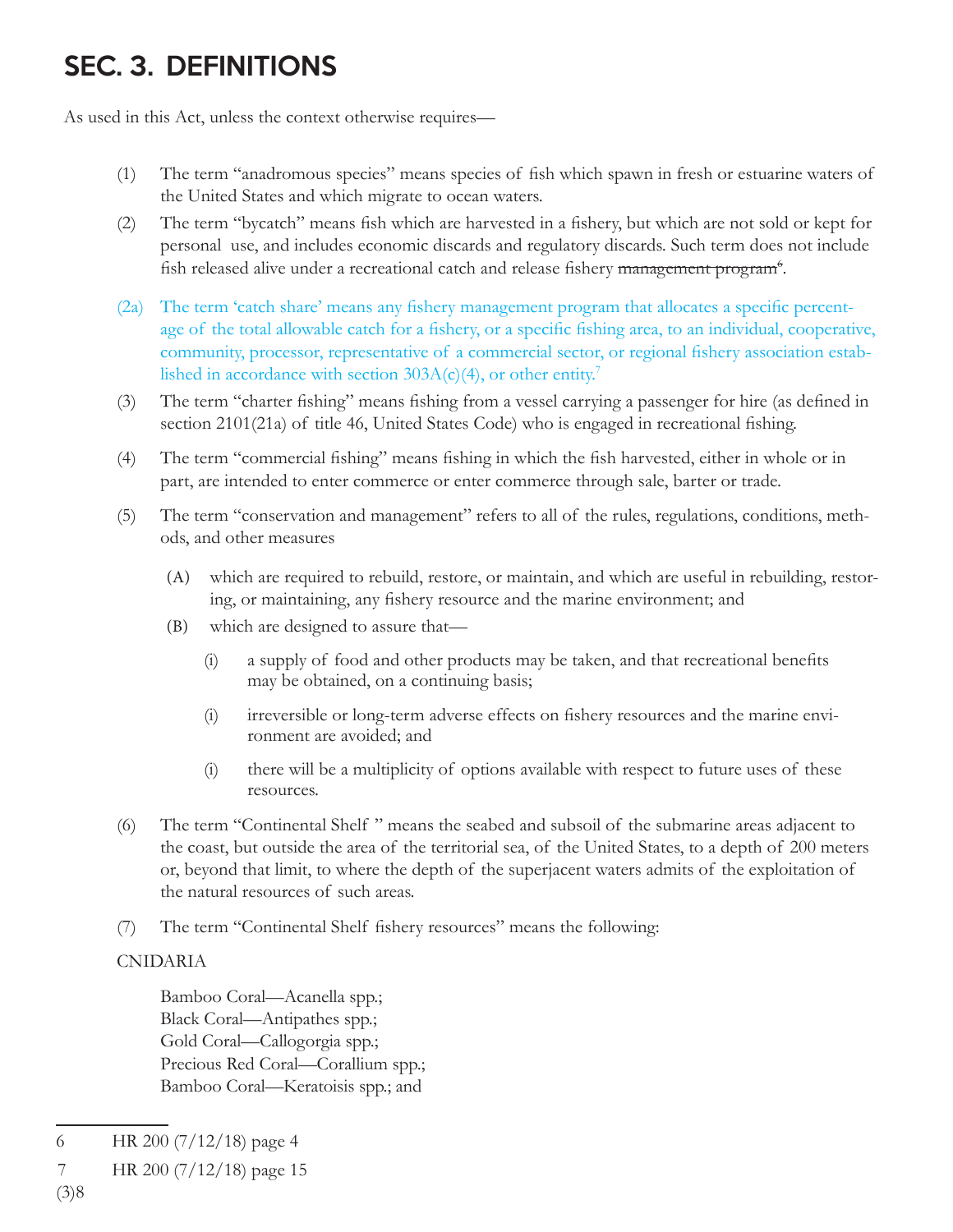# SEC. 3. DEFINITIONS

As used in this Act, unless the context otherwise requires—

- (1) The term "anadromous species" means species of fish which spawn in fresh or estuarine waters of the United States and which migrate to ocean waters.
- (2) The term "bycatch" means fish which are harvested in a fishery, but which are not sold or kept for personal use, and includes economic discards and regulatory discards. Such term does not include fish released alive under a recreational catch and release fishery management program<sup>6</sup>.
- (2a) The term 'catch share' means any fishery management program that allocates a specific percentage of the total allowable catch for a fishery, or a specific fishing area, to an individual, cooperative, community, processor, representative of a commercial sector, or regional fishery association established in accordance with section  $303A(c)(4)$ , or other entity.<sup>7</sup>
- (3) The term "charter fishing" means fishing from a vessel carrying a passenger for hire (as defined in section  $2101(21a)$  of title 46, United States Code) who is engaged in recreational fishing.
- (4) The term "commercial fishing" means fishing in which the fish harvested, either in whole or in part, are intended to enter commerce or enter commerce through sale, barter or trade.
- (5) The term "conservation and management" refers to all of the rules, regulations, conditions, methods, and other measures
	- (A) which are required to rebuild, restore, or maintain, and which are useful in rebuilding, restoring, or maintaining, any fishery resource and the marine environment; and
	- (B) which are designed to assure that—
		- $(i)$  a supply of food and other products may be taken, and that recreational benefits may be obtained, on a continuing basis;
		- (i) irreversible or long-term adverse effects on fishery resources and the marine environment are avoided; and
		- (i) there will be a multiplicity of options available with respect to future uses of these resources.
- (6) The term "Continental Shelf " means the seabed and subsoil of the submarine areas adjacent to the coast, but outside the area of the territorial sea, of the United States, to a depth of 200 meters or, beyond that limit, to where the depth of the superjacent waters admits of the exploitation of the natural resources of such areas.
- (7) The term "Continental Shelf fishery resources" means the following:

#### CNIDARIA

 Bamboo Coral—Acanella spp.; Black Coral—Antipathes spp.; Gold Coral—Callogorgia spp.; Precious Red Coral—Corallium spp.; Bamboo Coral—Keratoisis spp.; and

<sup>6</sup> HR 200 (7/12/18) page 4

<sup>7</sup> HR 200 (7/12/18) page 15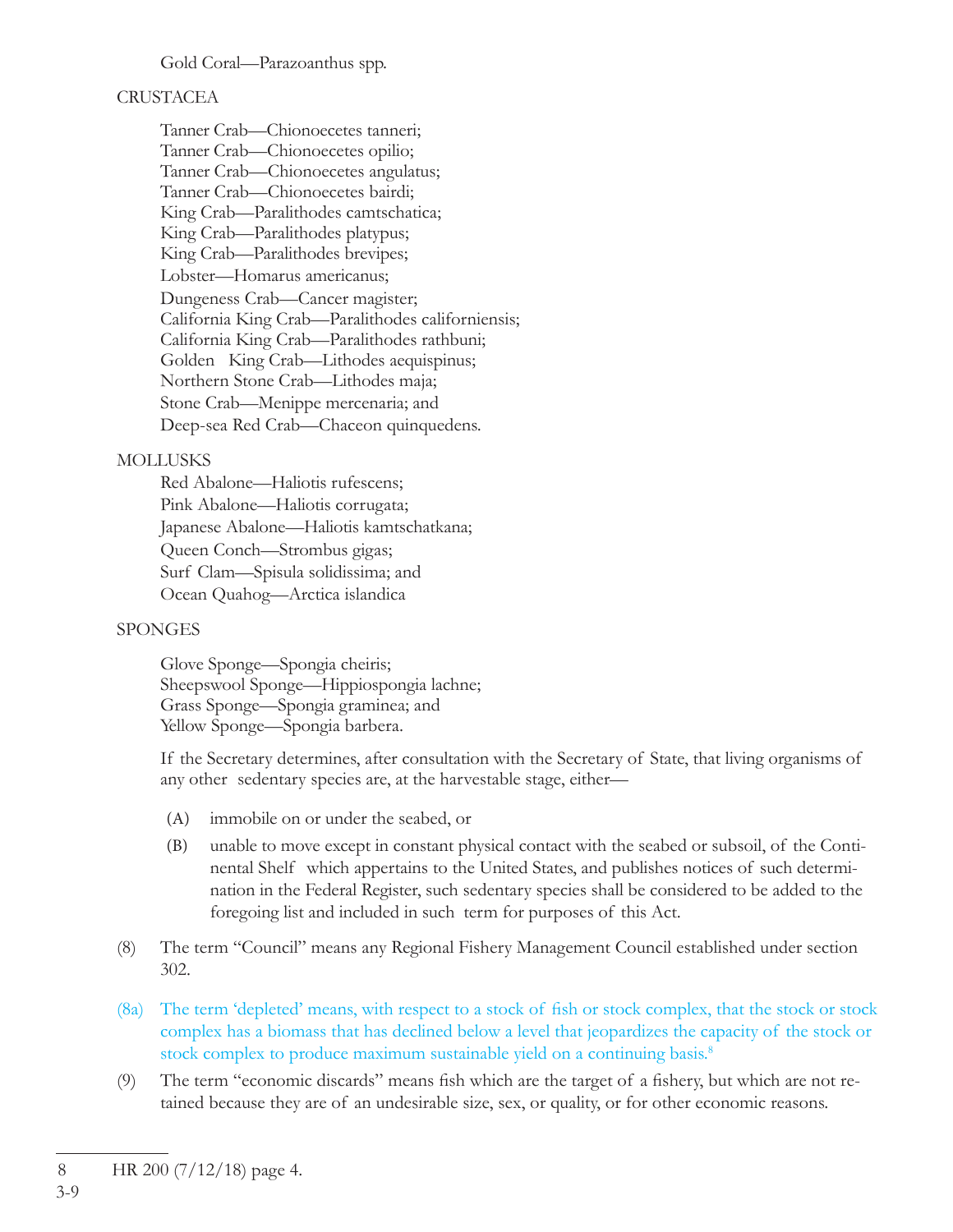#### Gold Coral—Parazoanthus spp.

#### **CRUSTACEA**

 Tanner Crab—Chionoecetes tanneri; Tanner Crab—Chionoecetes opilio; Tanner Crab—Chionoecetes angulatus; Tanner Crab—Chionoecetes bairdi; King Crab—Paralithodes camtschatica; King Crab—Paralithodes platypus; King Crab—Paralithodes brevipes; Lobster—Homarus americanus; Dungeness Crab—Cancer magister; California King Crab—Paralithodes californiensis; California King Crab—Paralithodes rathbuni; Golden King Crab—Lithodes aequispinus; Northern Stone Crab—Lithodes maja; Stone Crab—Menippe mercenaria; and Deep-sea Red Crab—Chaceon quinquedens.

#### MOLLUSKS

Red Abalone—Haliotis rufescens; Pink Abalone—Haliotis corrugata; Japanese Abalone—Haliotis kamtschatkana; Queen Conch—Strombus gigas; Surf Clam—Spisula solidissima; and Ocean Quahog—Arctica islandica

#### **SPONGES**

 Glove Sponge—Spongia cheiris; Sheepswool Sponge—Hippiospongia lachne; Grass Sponge—Spongia graminea; and Yellow Sponge—Spongia barbera.

 If the Secretary determines, after consultation with the Secretary of State, that living organisms of any other sedentary species are, at the harvestable stage, either—

- (A) immobile on or under the seabed, or
- (B) unable to move except in constant physical contact with the seabed or subsoil, of the Continental Shelf which appertains to the United States, and publishes notices of such determination in the Federal Register, such sedentary species shall be considered to be added to the foregoing list and included in such term for purposes of this Act.
- (8) The term "Council" means any Regional Fishery Management Council established under section 302.
- (8a) The term 'depleted' means, with respect to a stock of fish or stock complex, that the stock or stock complex has a biomass that has declined below a level that jeopardizes the capacity of the stock or stock complex to produce maximum sustainable yield on a continuing basis.<sup>8</sup>
- (9) The term "economic discards" means fish which are the target of a fishery, but which are not retained because they are of an undesirable size, sex, or quality, or for other economic reasons.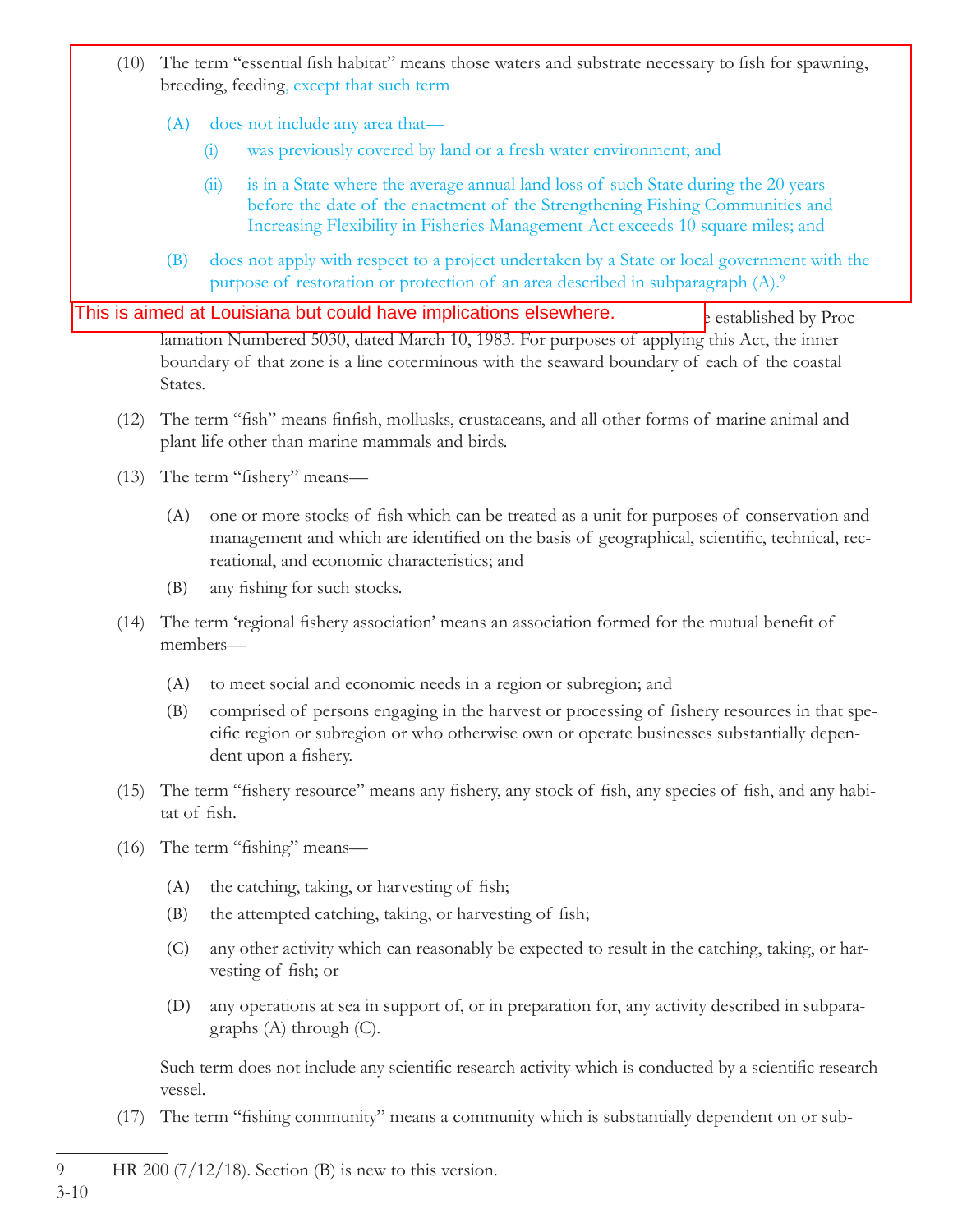- (10) The term "essential fish habitat" means those waters and substrate necessary to fish for spawning, breeding, feeding, except that such term
	- (A) does not include any area that—
		- (i) was previously covered by land or a fresh water environment; and
		- (ii) is in a State where the average annual land loss of such State during the 20 years before the date of the enactment of the Strengthening Fishing Communities and Increasing Flexibility in Fisheries Management Act exceeds 10 square miles; and
	- (B) does not apply with respect to a project undertaken by a State or local government with the purpose of restoration or protection of an area described in subparagraph (A).<sup>9</sup>

|      |                                                                                                                                                                                                       | This is aimed at Louisiana but could have implications elsewhere.                                                                                                                                                                           | e established by Proc- |  |
|------|-------------------------------------------------------------------------------------------------------------------------------------------------------------------------------------------------------|---------------------------------------------------------------------------------------------------------------------------------------------------------------------------------------------------------------------------------------------|------------------------|--|
|      | lamation Numbered 5030, dated March 10, 1983. For purposes of applying this Act, the inner<br>boundary of that zone is a line coterminous with the seaward boundary of each of the coastal<br>States. |                                                                                                                                                                                                                                             |                        |  |
| (12) | The term "fish" means finfish, mollusks, crustaceans, and all other forms of marine animal and<br>plant life other than marine mammals and birds.                                                     |                                                                                                                                                                                                                                             |                        |  |
| (13) | The term "fishery" means-                                                                                                                                                                             |                                                                                                                                                                                                                                             |                        |  |
|      | (A)                                                                                                                                                                                                   | one or more stocks of fish which can be treated as a unit for purposes of conservation and<br>management and which are identified on the basis of geographical, scientific, technical, rec-<br>reational, and economic characteristics; and |                        |  |
|      | (B)                                                                                                                                                                                                   | any fishing for such stocks.                                                                                                                                                                                                                |                        |  |
| (14) | The term 'regional fishery association' means an association formed for the mutual benefit of<br>members-                                                                                             |                                                                                                                                                                                                                                             |                        |  |
|      | (A)                                                                                                                                                                                                   | to meet social and economic needs in a region or subregion; and                                                                                                                                                                             |                        |  |
|      | (B)                                                                                                                                                                                                   | comprised of persons engaging in the harvest or processing of fishery resources in that spe-<br>cific region or subregion or who otherwise own or operate businesses substantially depen-<br>dent upon a fishery.                           |                        |  |
| (15) | The term "fishery resource" means any fishery, any stock of fish, any species of fish, and any habi-<br>tat of fish.                                                                                  |                                                                                                                                                                                                                                             |                        |  |
| (16) | The term "fishing" means—                                                                                                                                                                             |                                                                                                                                                                                                                                             |                        |  |
|      | (A)                                                                                                                                                                                                   | the catching, taking, or harvesting of fish;                                                                                                                                                                                                |                        |  |
|      | (B)                                                                                                                                                                                                   | the attempted catching, taking, or harvesting of fish;                                                                                                                                                                                      |                        |  |
|      | (C)                                                                                                                                                                                                   | any other activity which can reasonably be expected to result in the catching, taking, or har-<br>vesting of fish; or                                                                                                                       |                        |  |
|      | (D)                                                                                                                                                                                                   | any operations at sea in support of, or in preparation for, any activity described in subpara-<br>graphs $(A)$ through $(C)$ .                                                                                                              |                        |  |
|      | vessel.                                                                                                                                                                                               | Such term does not include any scientific research activity which is conducted by a scientific research                                                                                                                                     |                        |  |
| (17) | The term "fishing community" means a community which is substantially dependent on or sub-                                                                                                            |                                                                                                                                                                                                                                             |                        |  |

<sup>9</sup> HR 200 (7/12/18). Section (B) is new to this version.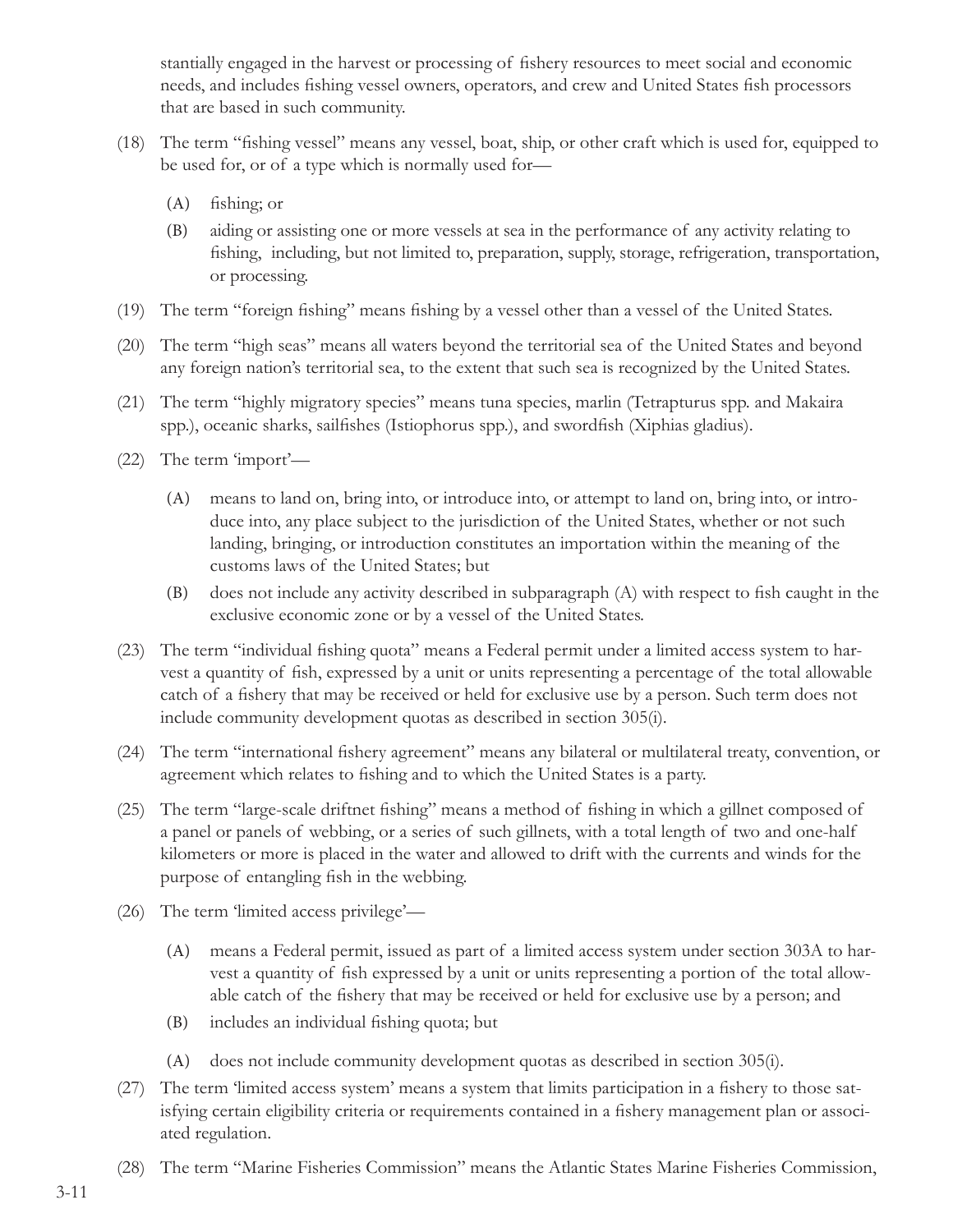stantially engaged in the harvest or processing of fishery resources to meet social and economic needs, and includes fishing vessel owners, operators, and crew and United States fish processors that are based in such community.

- (18) The term "fishing vessel" means any vessel, boat, ship, or other craft which is used for, equipped to be used for, or of a type which is normally used for—
	- $(A)$  fishing; or
	- (B) aiding or assisting one or more vessels at sea in the performance of any activity relating to fishing, including, but not limited to, preparation, supply, storage, refrigeration, transportation, or processing.
- (19) The term "foreign fishing" means fishing by a vessel other than a vessel of the United States.
- (20) The term "high seas" means all waters beyond the territorial sea of the United States and beyond any foreign nation's territorial sea, to the extent that such sea is recognized by the United States.
- (21) The term "highly migratory species" means tuna species, marlin (Tetrapturus spp. and Makaira spp.), oceanic sharks, sailfishes (Istiophorus spp.), and swordfish (Xiphias gladius).
- (22) The term 'import'—
	- (A) means to land on, bring into, or introduce into, or attempt to land on, bring into, or introduce into, any place subject to the jurisdiction of the United States, whether or not such landing, bringing, or introduction constitutes an importation within the meaning of the customs laws of the United States; but
	- $(B)$  does not include any activity described in subparagraph  $(A)$  with respect to fish caught in the exclusive economic zone or by a vessel of the United States.
- (23) The term "individual fishing quota" means a Federal permit under a limited access system to harvest a quantity of fish, expressed by a unit or units representing a percentage of the total allowable catch of a fishery that may be received or held for exclusive use by a person. Such term does not include community development quotas as described in section 305(i).
- (24) The term "international fishery agreement" means any bilateral or multilateral treaty, convention, or agreement which relates to fishing and to which the United States is a party.
- (25) The term "large-scale driftnet fishing" means a method of fishing in which a gillnet composed of a panel or panels of webbing, or a series of such gillnets, with a total length of two and one-half kilometers or more is placed in the water and allowed to drift with the currents and winds for the purpose of entangling fish in the webbing.
- (26) The term 'limited access privilege'—
	- (A) means a Federal permit, issued as part of a limited access system under section 303A to harvest a quantity of fish expressed by a unit or units representing a portion of the total allowable catch of the fishery that may be received or held for exclusive use by a person; and
	- (B) includes an individual fishing quota; but
	- (A) does not include community development quotas as described in section 305(i).
- (27) The term 'limited access system' means a system that limits participation in a fishery to those satisfying certain eligibility criteria or requirements contained in a fishery management plan or associated regulation.
- (28) The term "Marine Fisheries Commission" means the Atlantic States Marine Fisheries Commission,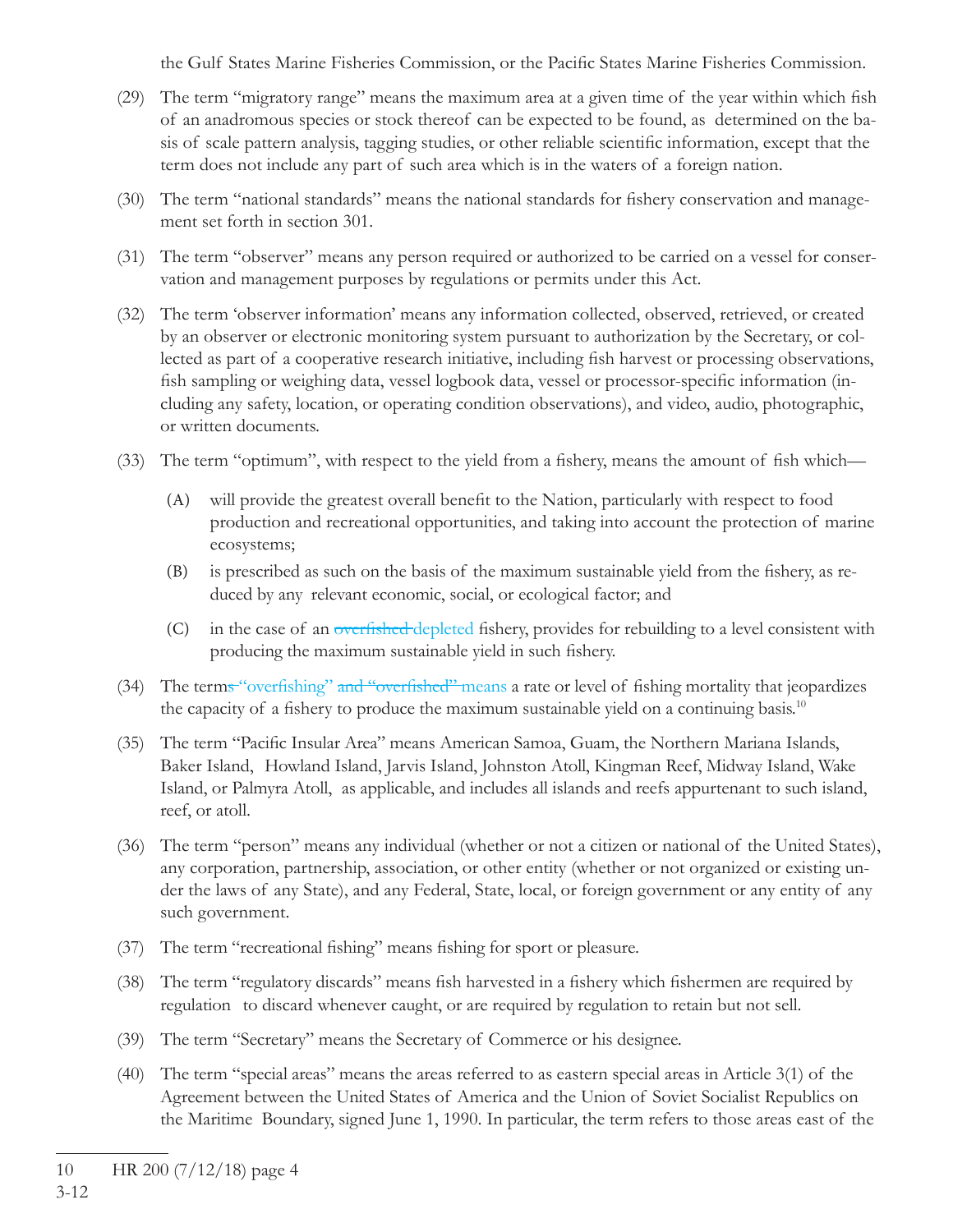the Gulf States Marine Fisheries Commission, or the Pacific States Marine Fisheries Commission.

- (29) The term "migratory range" means the maximum area at a given time of the year within which fish of an anadromous species or stock thereof can be expected to be found, as determined on the basis of scale pattern analysis, tagging studies, or other reliable scientific information, except that the term does not include any part of such area which is in the waters of a foreign nation.
- (30) The term "national standards" means the national standards for fishery conservation and management set forth in section 301.
- (31) The term "observer" means any person required or authorized to be carried on a vessel for conservation and management purposes by regulations or permits under this Act.
- (32) The term 'observer information' means any information collected, observed, retrieved, or created by an observer or electronic monitoring system pursuant to authorization by the Secretary, or collected as part of a cooperative research initiative, including fish harvest or processing observations, fish sampling or weighing data, vessel logbook data, vessel or processor-specific information (including any safety, location, or operating condition observations), and video, audio, photographic, or written documents.
- (33) The term "optimum", with respect to the yield from a fishery, means the amount of fish which—
	- (A) will provide the greatest overall benefit to the Nation, particularly with respect to food production and recreational opportunities, and taking into account the protection of marine ecosystems;
	- (B) is prescribed as such on the basis of the maximum sustainable yield from the fishery, as reduced by any relevant economic, social, or ecological factor; and
	- (C) in the case of an overfished depleted fishery, provides for rebuilding to a level consistent with producing the maximum sustainable yield in such fishery.
- (34) The terms "overfishing" and "overfished" means a rate or level of fishing mortality that jeopardizes the capacity of a fishery to produce the maximum sustainable yield on a continuing basis.<sup>10</sup>
- (35) The term "Pacific Insular Area" means American Samoa, Guam, the Northern Mariana Islands, Baker Island, Howland Island, Jarvis Island, Johnston Atoll, Kingman Reef, Midway Island, Wake Island, or Palmyra Atoll, as applicable, and includes all islands and reefs appurtenant to such island, reef, or atoll.
- (36) The term "person" means any individual (whether or not a citizen or national of the United States), any corporation, partnership, association, or other entity (whether or not organized or existing under the laws of any State), and any Federal, State, local, or foreign government or any entity of any such government.
- (37) The term "recreational fishing" means fishing for sport or pleasure.
- (38) The term "regulatory discards" means fish harvested in a fishery which fishermen are required by regulation to discard whenever caught, or are required by regulation to retain but not sell.
- (39) The term "Secretary" means the Secretary of Commerce or his designee.
- (40) The term "special areas" means the areas referred to as eastern special areas in Article 3(1) of the Agreement between the United States of America and the Union of Soviet Socialist Republics on the Maritime Boundary, signed June 1, 1990. In particular, the term refers to those areas east of the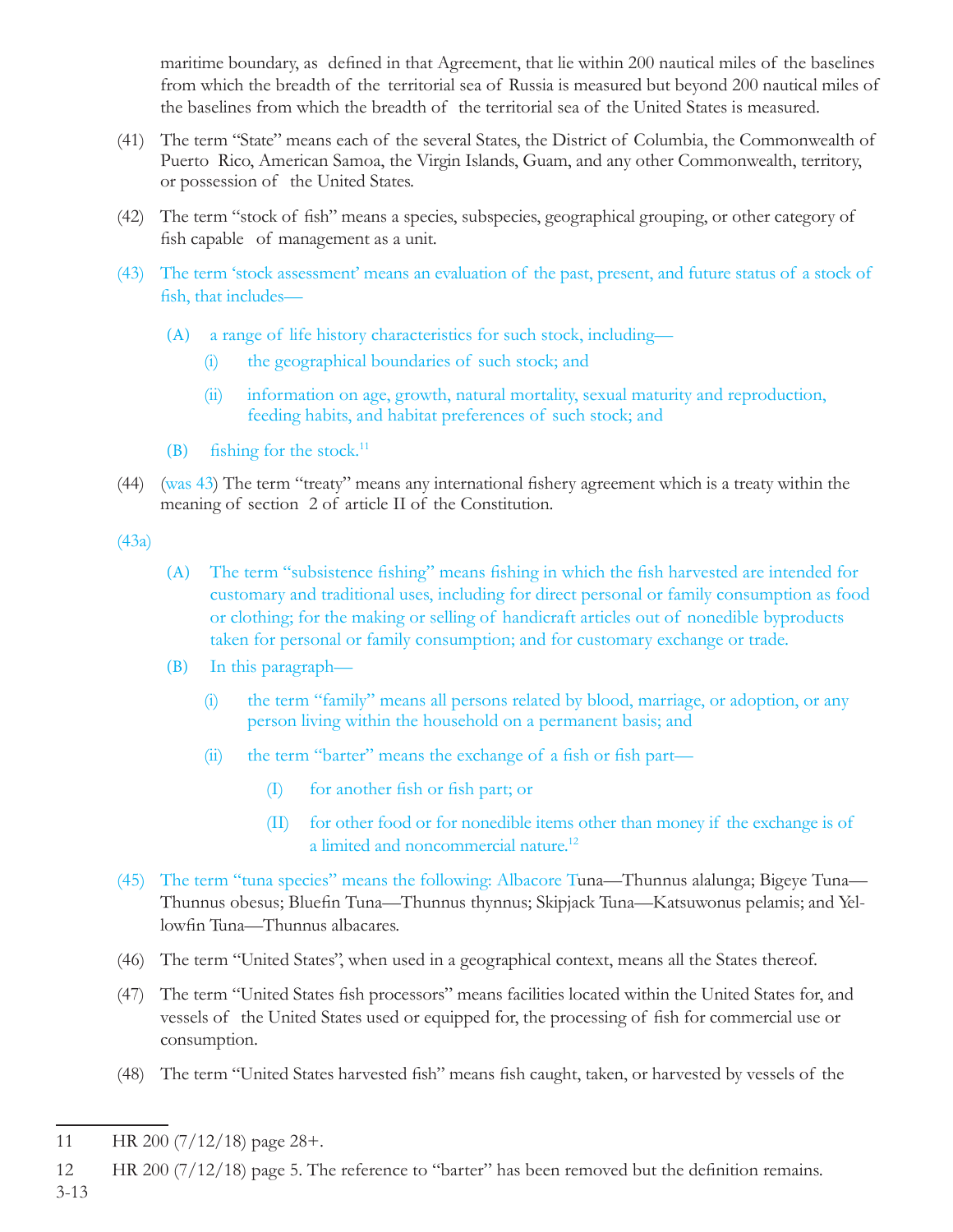maritime boundary, as defined in that Agreement, that lie within 200 nautical miles of the baselines from which the breadth of the territorial sea of Russia is measured but beyond 200 nautical miles of the baselines from which the breadth of the territorial sea of the United States is measured.

- (41) The term "State" means each of the several States, the District of Columbia, the Commonwealth of Puerto Rico, American Samoa, the Virgin Islands, Guam, and any other Commonwealth, territory, or possession of the United States.
- (42) The term "stock of fish" means a species, subspecies, geographical grouping, or other category of fish capable of management as a unit.
- (43) The term 'stock assessment' means an evaluation of the past, present, and future status of a stock of fish, that includes-
	- (A) a range of life history characteristics for such stock, including—
		- (i) the geographical boundaries of such stock; and
		- (ii) information on age, growth, natural mortality, sexual maturity and reproduction, feeding habits, and habitat preferences of such stock; and
	- (B) fishing for the stock.<sup>11</sup>
- $(44)$  (was  $43$ ) The term "treaty" means any international fishery agreement which is a treaty within the meaning of section 2 of article II of the Constitution.

(43a)

- (A) The term "subsistence fishing" means fishing in which the fish harvested are intended for customary and traditional uses, including for direct personal or family consumption as food or clothing; for the making or selling of handicraft articles out of nonedible byproducts taken for personal or family consumption; and for customary exchange or trade.
- (B) In this paragraph—
	- (i) the term "family" means all persons related by blood, marriage, or adoption, or any person living within the household on a permanent basis; and
	- $(ii)$  the term "barter" means the exchange of a fish or fish part—
		- $(I)$  for another fish or fish part; or
		- (II) for other food or for nonedible items other than money if the exchange is of a limited and noncommercial nature.12
- (45) The term "tuna species" means the following: Albacore Tuna—Thunnus alalunga; Bigeye Tuna— Thunnus obesus; Bluefin Tuna—Thunnus thynnus; Skipjack Tuna—Katsuwonus pelamis; and Yellowfin Tuna—Thunnus albacares.
- (46) The term "United States", when used in a geographical context, means all the States thereof.
- (47) The term "United States fish processors" means facilities located within the United States for, and vessels of the United States used or equipped for, the processing of fish for commercial use or consumption.
- (48) The term "United States harvested fish" means fish caught, taken, or harvested by vessels of the

3-13

<sup>11</sup> HR 200 (7/12/18) page 28+.

<sup>12</sup> HR 200  $(7/12/18)$  page 5. The reference to "barter" has been removed but the definition remains.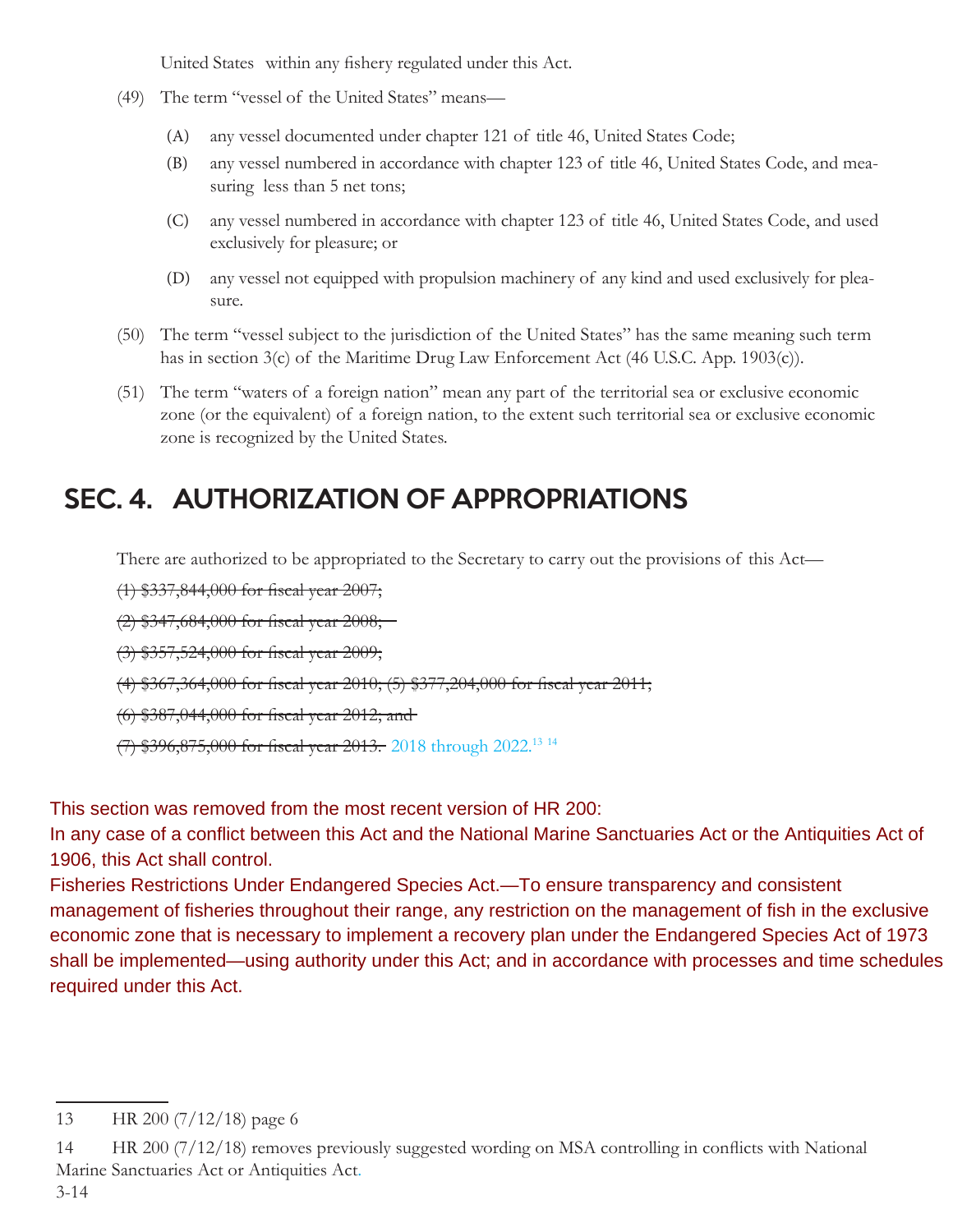United States within any fishery regulated under this Act.

- (49) The term "vessel of the United States" means—
	- (A) any vessel documented under chapter 121 of title 46, United States Code;
	- (B) any vessel numbered in accordance with chapter 123 of title 46, United States Code, and measuring less than 5 net tons;
	- (C) any vessel numbered in accordance with chapter 123 of title 46, United States Code, and used exclusively for pleasure; or
	- (D) any vessel not equipped with propulsion machinery of any kind and used exclusively for pleasure.
- (50) The term "vessel subject to the jurisdiction of the United States" has the same meaning such term has in section 3(c) of the Maritime Drug Law Enforcement Act (46 U.S.C. App. 1903(c)).
- (51) The term "waters of a foreign nation" mean any part of the territorial sea or exclusive economic zone (or the equivalent) of a foreign nation, to the extent such territorial sea or exclusive economic zone is recognized by the United States.

# SEC. 4. AUTHORIZATION OF APPROPRIATIONS

There are authorized to be appropriated to the Secretary to carry out the provisions of this Act—

 $(1)$  \$337,844,000 for fiscal year 2007;

 $(2)$  \$347,684,000 for fiscal year 2008;

 $(3)$  \$357,524,000 for fiscal year 2009;

 $(4)$  \$367,364,000 for fiscal year 2010; (5) \$377,204,000 for fiscal year 2011;

 $(6)$  \$387,044,000 for fiscal year 2012; and

(7) \$396,875,000 for fiscal year 2013. 2018 through 2022.<sup>13 14</sup>

This section was removed from the most recent version of HR 200:

In any case of a conflict between this Act and the National Marine Sanctuaries Act or the Antiquities Act of 1906, this Act shall control.

Fisheries Restrictions Under Endangered Species Act.—To ensure transparency and consistent management of fisheries throughout their range, any restriction on the management of fish in the exclusive economic zone that is necessary to implement a recovery plan under the Endangered Species Act of 1973 shall be implemented—using authority under this Act; and in accordance with processes and time schedules required under this Act.

<sup>13</sup> HR 200 (7/12/18) page 6

<sup>14</sup> HR 200 (7/12/18) removes previously suggested wording on MSA controlling in conflicts with National Marine Sanctuaries Act or Antiquities Act.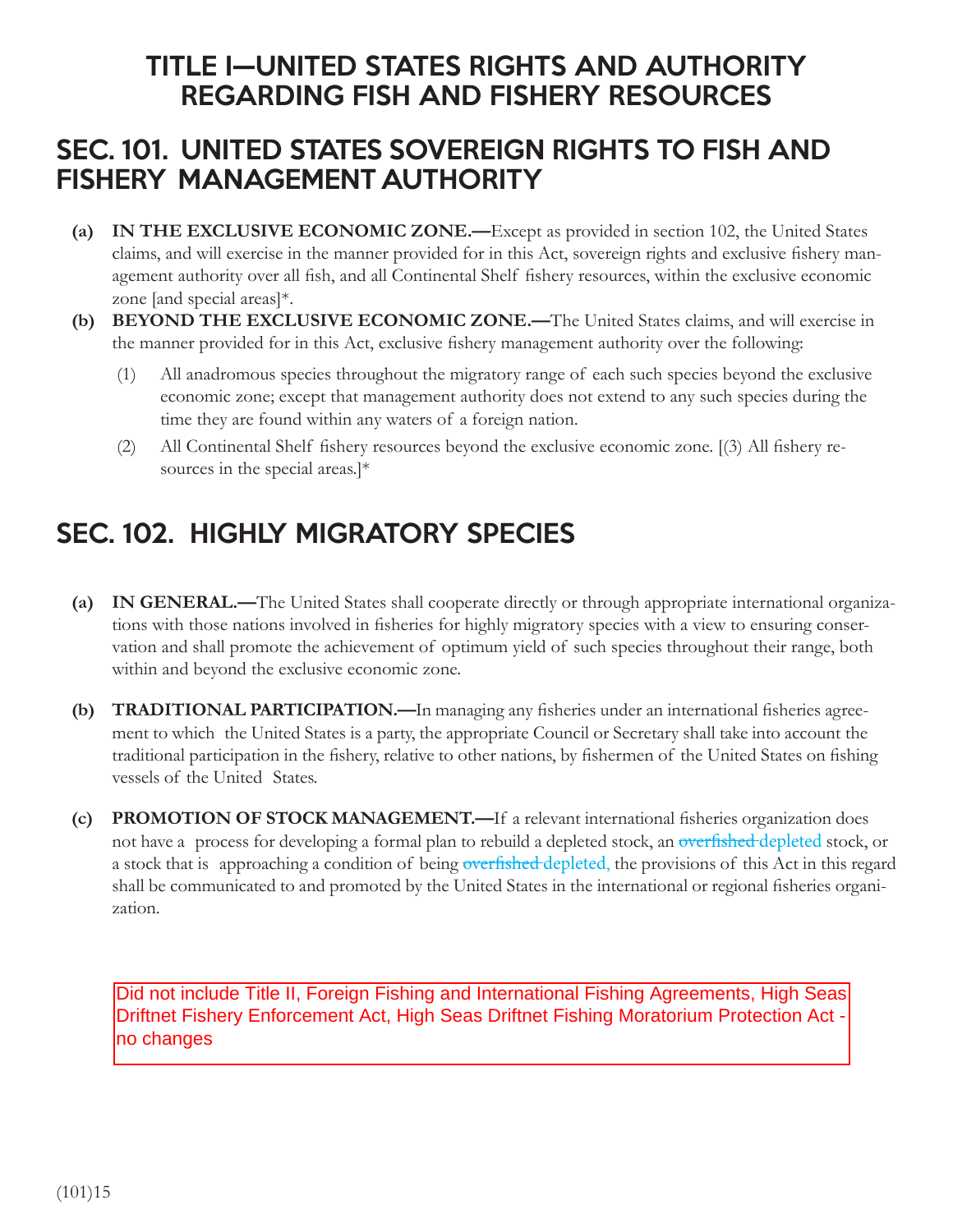### TITLE I—UNITED STATES RIGHTS AND AUTHORITY REGARDING FISH AND FISHERY RESOURCES

### SEC. 101. UNITED STATES SOVEREIGN RIGHTS TO FISH AND FISHERY MANAGEMENT AUTHORITY

- **(a) IN THE EXCLUSIVE ECONOMIC ZONE.—**Except as provided in section 102, the United States claims, and will exercise in the manner provided for in this Act, sovereign rights and exclusive fishery management authority over all fish, and all Continental Shelf fishery resources, within the exclusive economic zone [and special areas]\*.
- **(b) BEYOND THE EXCLUSIVE ECONOMIC ZONE.**—The United States claims, and will exercise in the manner provided for in this Act, exclusive fishery management authority over the following:
	- (1) All anadromous species throughout the migratory range of each such species beyond the exclusive economic zone; except that management authority does not extend to any such species during the time they are found within any waters of a foreign nation.
	- (2) All Continental Shelf fishery resources beyond the exclusive economic zone.  $(3)$  All fishery resources in the special areas.]\*

# SEC. 102. HIGHLY MIGRATORY SPECIES

- **(a) IN GENERAL.—**The United States shall cooperate directly or through appropriate international organizations with those nations involved in fisheries for highly migratory species with a view to ensuring conservation and shall promote the achievement of optimum yield of such species throughout their range, both within and beyond the exclusive economic zone.
- **(b) TRADITIONAL PARTICIPATION.—In managing any fisheries under an international fisheries agree**ment to which the United States is a party, the appropriate Council or Secretary shall take into account the traditional participation in the fishery, relative to other nations, by fishermen of the United States on fishing vessels of the United States.
- **(c) PROMOTION OF STOCK MANAGEMENT.**—If a relevant international fisheries organization does not have a process for developing a formal plan to rebuild a depleted stock, an overfished depleted stock, or a stock that is approaching a condition of being overfished depleted, the provisions of this Act in this regard shall be communicated to and promoted by the United States in the international or regional fisheries organization.

Did not include Title II, Foreign Fishing and International Fishing Agreements, High Seas Driftnet Fishery Enforcement Act, High Seas Driftnet Fishing Moratorium Protection Act no changes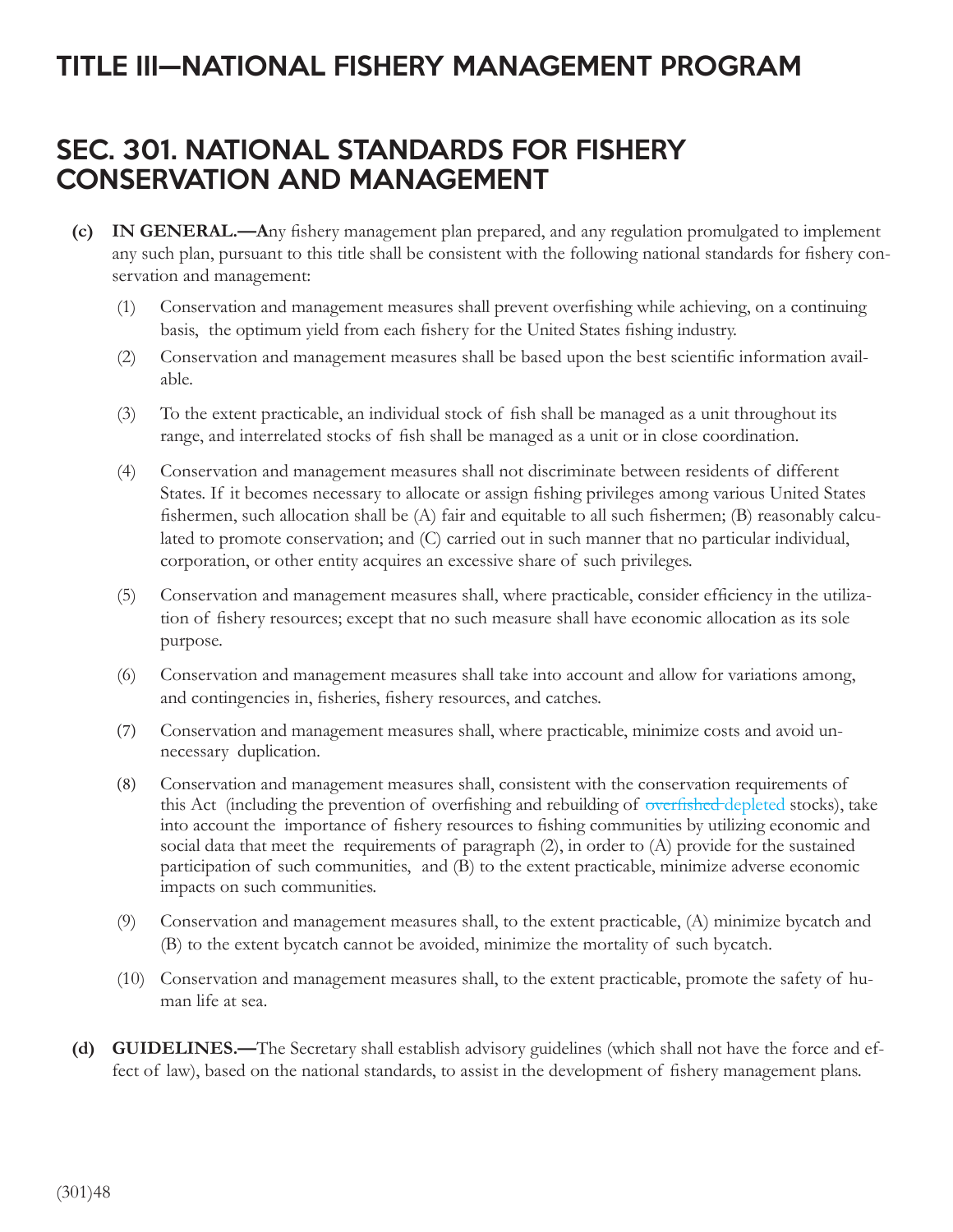### TITLE III—NATIONAL FISHERY MANAGEMENT PROGRAM

### SEC. 301. NATIONAL STANDARDS FOR FISHERY CONSERVATION AND MANAGEMENT

- **(c) IN GENERAL.—Any** fishery management plan prepared, and any regulation promulgated to implement any such plan, pursuant to this title shall be consistent with the following national standards for fishery conservation and management:
	- (1) Conservation and management measures shall prevent overfi shing while achieving, on a continuing basis, the optimum yield from each fishery for the United States fishing industry.
	- (2) Conservation and management measures shall be based upon the best scientifi c information available.
	- (3) To the extent practicable, an individual stock of fish shall be managed as a unit throughout its range, and interrelated stocks of fish shall be managed as a unit or in close coordination.
	- (4) Conservation and management measures shall not discriminate between residents of different States. If it becomes necessary to allocate or assign fishing privileges among various United States fishermen, such allocation shall be  $(A)$  fair and equitable to all such fishermen;  $(B)$  reasonably calculated to promote conservation; and (C) carried out in such manner that no particular individual, corporation, or other entity acquires an excessive share of such privileges.
	- (5) Conservation and management measures shall, where practicable, consider efficiency in the utilization of fishery resources; except that no such measure shall have economic allocation as its sole purpose.
	- (6) Conservation and management measures shall take into account and allow for variations among, and contingencies in, fisheries, fishery resources, and catches.
	- (7) Conservation and management measures shall, where practicable, minimize costs and avoid unnecessary duplication.
	- (8) Conservation and management measures shall, consistent with the conservation requirements of this Act (including the prevention of overfishing and rebuilding of overfished depleted stocks), take into account the importance of fishery resources to fishing communities by utilizing economic and social data that meet the requirements of paragraph (2), in order to (A) provide for the sustained participation of such communities, and (B) to the extent practicable, minimize adverse economic impacts on such communities.
	- (9) Conservation and management measures shall, to the extent practicable, (A) minimize bycatch and (B) to the extent bycatch cannot be avoided, minimize the mortality of such bycatch.
	- (10) Conservation and management measures shall, to the extent practicable, promote the safety of human life at sea.
- **(d) GUIDELINES.—**The Secretary shall establish advisory guidelines (which shall not have the force and effect of law), based on the national standards, to assist in the development of fishery management plans.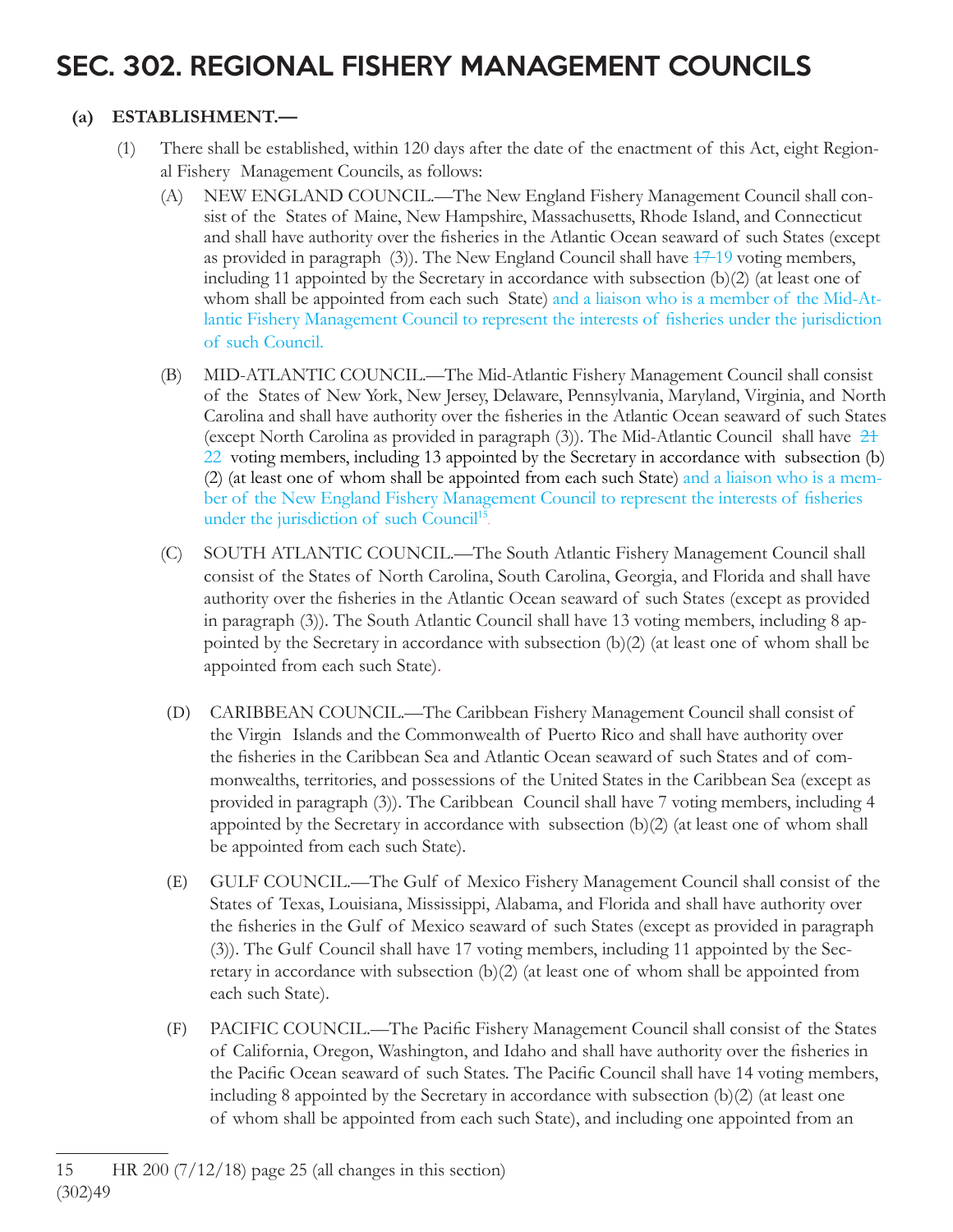# SEC. 302. REGIONAL FISHERY MANAGEMENT COUNCILS

#### **(a) ESTABLISHMENT.—**

- (1) There shall be established, within 120 days after the date of the enactment of this Act, eight Regional Fishery Management Councils, as follows:
	- (A) NEW ENGLAND COUNCIL.—The New England Fishery Management Council shall consist of the States of Maine, New Hampshire, Massachusetts, Rhode Island, and Connecticut and shall have authority over the fisheries in the Atlantic Ocean seaward of such States (except as provided in paragraph  $(3)$ ). The New England Council shall have  $17-19$  voting members, including 11 appointed by the Secretary in accordance with subsection (b)(2) (at least one of whom shall be appointed from each such State) and a liaison who is a member of the Mid-Atlantic Fishery Management Council to represent the interests of fisheries under the jurisdiction of such Council.
	- (B) MID-ATLANTIC COUNCIL.—The Mid-Atlantic Fishery Management Council shall consist of the States of New York, New Jersey, Delaware, Pennsylvania, Maryland, Virginia, and North Carolina and shall have authority over the fisheries in the Atlantic Ocean seaward of such States (except North Carolina as provided in paragraph (3)). The Mid-Atlantic Council shall have 21 22 voting members, including 13 appointed by the Secretary in accordance with subsection (b) (2) (at least one of whom shall be appointed from each such State) and a liaison who is a member of the New England Fishery Management Council to represent the interests of fisheries under the jurisdiction of such Council<sup>15</sup>.
	- (C) SOUTH ATLANTIC COUNCIL.—The South Atlantic Fishery Management Council shall consist of the States of North Carolina, South Carolina, Georgia, and Florida and shall have authority over the fisheries in the Atlantic Ocean seaward of such States (except as provided in paragraph (3)). The South Atlantic Council shall have 13 voting members, including 8 appointed by the Secretary in accordance with subsection (b)(2) (at least one of whom shall be appointed from each such State).
	- (D) CARIBBEAN COUNCIL.—The Caribbean Fishery Management Council shall consist of the Virgin Islands and the Commonwealth of Puerto Rico and shall have authority over the fisheries in the Caribbean Sea and Atlantic Ocean seaward of such States and of commonwealths, territories, and possessions of the United States in the Caribbean Sea (except as provided in paragraph (3)). The Caribbean Council shall have 7 voting members, including 4 appointed by the Secretary in accordance with subsection (b)(2) (at least one of whom shall be appointed from each such State).
	- (E) GULF COUNCIL.—The Gulf of Mexico Fishery Management Council shall consist of the States of Texas, Louisiana, Mississippi, Alabama, and Florida and shall have authority over the fisheries in the Gulf of Mexico seaward of such States (except as provided in paragraph (3)). The Gulf Council shall have 17 voting members, including 11 appointed by the Secretary in accordance with subsection (b)(2) (at least one of whom shall be appointed from each such State).
	- (F) PACIFIC COUNCIL.—The Pacific Fishery Management Council shall consist of the States of California, Oregon, Washington, and Idaho and shall have authority over the fisheries in the Pacific Ocean seaward of such States. The Pacific Council shall have 14 voting members, including 8 appointed by the Secretary in accordance with subsection  $(b)(2)$  (at least one of whom shall be appointed from each such State), and including one appointed from an

<sup>(302)49</sup> 15 HR 200 (7/12/18) page 25 (all changes in this section)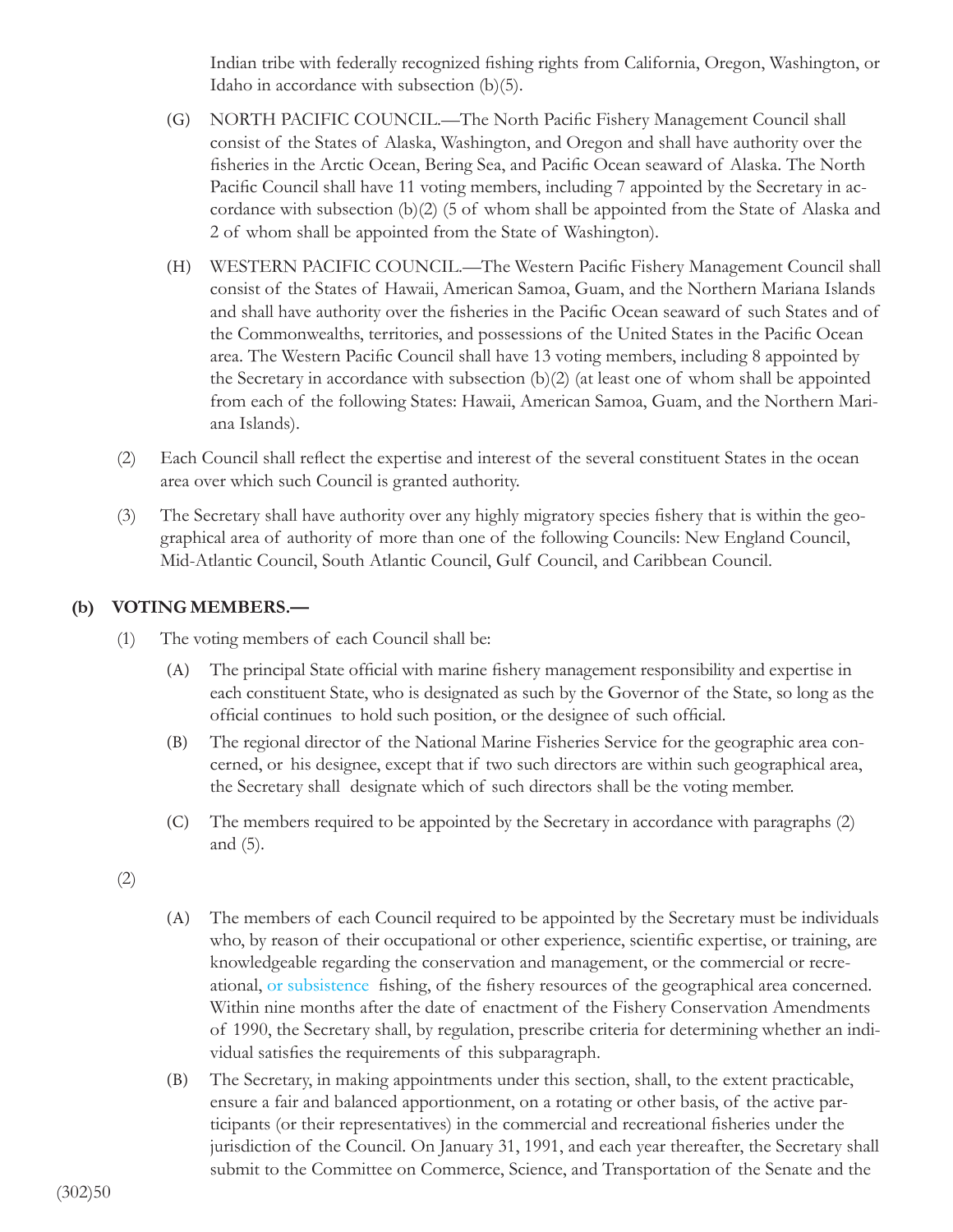Indian tribe with federally recognized fishing rights from California, Oregon, Washington, or Idaho in accordance with subsection (b)(5).

- (G) NORTH PACIFIC COUNCIL.—The North Pacific Fishery Management Council shall consist of the States of Alaska, Washington, and Oregon and shall have authority over the fisheries in the Arctic Ocean, Bering Sea, and Pacific Ocean seaward of Alaska. The North Pacific Council shall have 11 voting members, including 7 appointed by the Secretary in accordance with subsection (b)(2) (5 of whom shall be appointed from the State of Alaska and 2 of whom shall be appointed from the State of Washington).
- (H) WESTERN PACIFIC COUNCIL.—The Western Pacific Fishery Management Council shall consist of the States of Hawaii, American Samoa, Guam, and the Northern Mariana Islands and shall have authority over the fisheries in the Pacific Ocean seaward of such States and of the Commonwealths, territories, and possessions of the United States in the Pacific Ocean area. The Western Pacifi c Council shall have 13 voting members, including 8 appointed by the Secretary in accordance with subsection (b)(2) (at least one of whom shall be appointed from each of the following States: Hawaii, American Samoa, Guam, and the Northern Mariana Islands).
- (2) Each Council shall reflect the expertise and interest of the several constituent States in the ocean area over which such Council is granted authority.
- (3) The Secretary shall have authority over any highly migratory species fishery that is within the geographical area of authority of more than one of the following Councils: New England Council, Mid-Atlantic Council, South Atlantic Council, Gulf Council, and Caribbean Council.

#### **(b) VOTING MEMBERS.—**

- (1) The voting members of each Council shall be:
	- (A) The principal State official with marine fishery management responsibility and expertise in each constituent State, who is designated as such by the Governor of the State, so long as the official continues to hold such position, or the designee of such official.
	- (B) The regional director of the National Marine Fisheries Service for the geographic area concerned, or his designee, except that if two such directors are within such geographical area, the Secretary shall designate which of such directors shall be the voting member.
	- (C) The members required to be appointed by the Secretary in accordance with paragraphs (2) and (5).

(2)

- (A) The members of each Council required to be appointed by the Secretary must be individuals who, by reason of their occupational or other experience, scientific expertise, or training, are knowledgeable regarding the conservation and management, or the commercial or recreational, or subsistence fishing, of the fishery resources of the geographical area concerned. Within nine months after the date of enactment of the Fishery Conservation Amendments of 1990, the Secretary shall, by regulation, prescribe criteria for determining whether an individual satisfies the requirements of this subparagraph.
- (B) The Secretary, in making appointments under this section, shall, to the extent practicable, ensure a fair and balanced apportionment, on a rotating or other basis, of the active participants (or their representatives) in the commercial and recreational fisheries under the jurisdiction of the Council. On January 31, 1991, and each year thereafter, the Secretary shall submit to the Committee on Commerce, Science, and Transportation of the Senate and the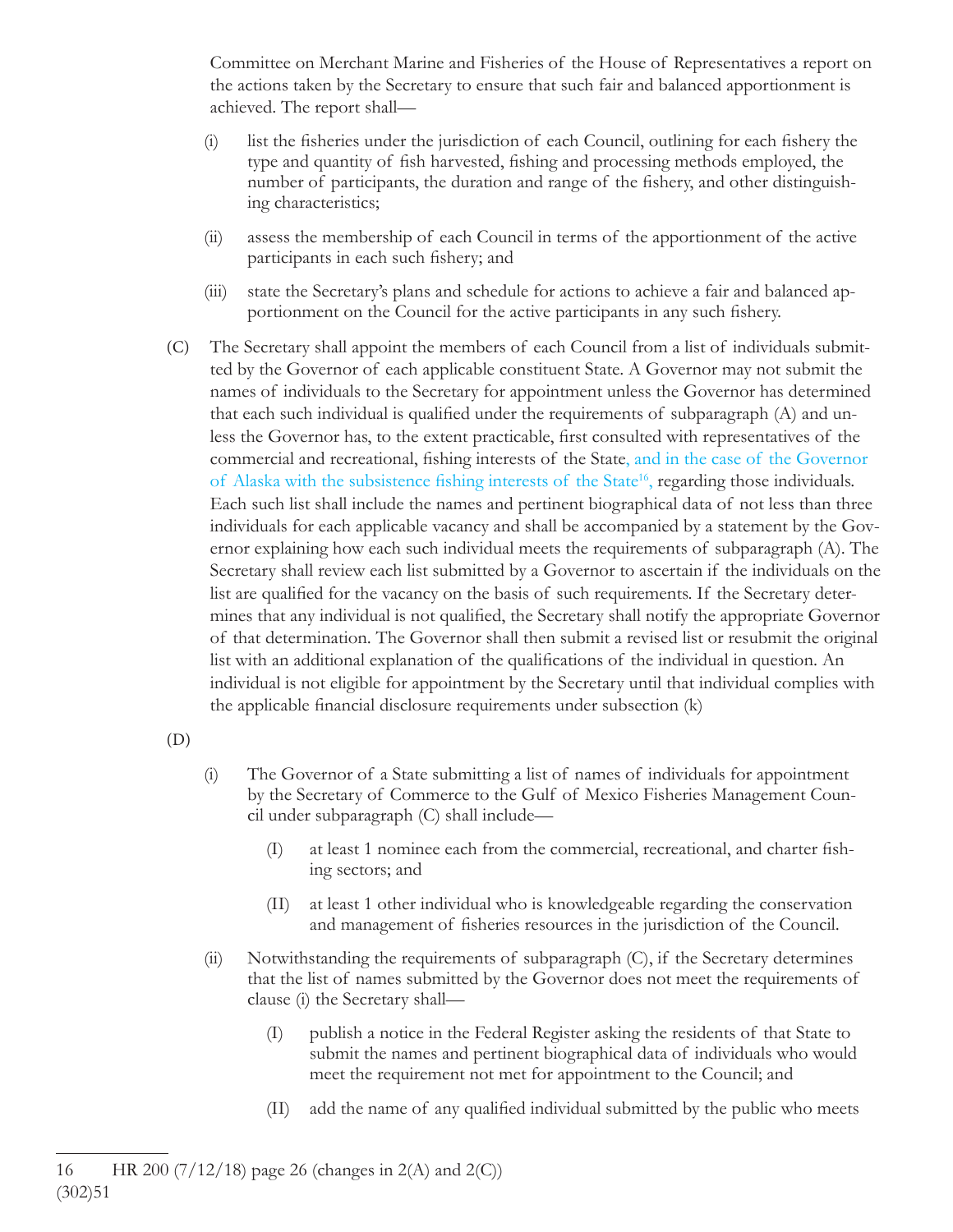Committee on Merchant Marine and Fisheries of the House of Representatives a report on the actions taken by the Secretary to ensure that such fair and balanced apportionment is achieved. The report shall—

- (i) list the fisheries under the jurisdiction of each Council, outlining for each fishery the type and quantity of fish harvested, fishing and processing methods employed, the number of participants, the duration and range of the fishery, and other distinguishing characteristics;
- (ii) assess the membership of each Council in terms of the apportionment of the active participants in each such fishery; and
- (iii) state the Secretary's plans and schedule for actions to achieve a fair and balanced apportionment on the Council for the active participants in any such fishery.
- (C) The Secretary shall appoint the members of each Council from a list of individuals submitted by the Governor of each applicable constituent State. A Governor may not submit the names of individuals to the Secretary for appointment unless the Governor has determined that each such individual is qualified under the requirements of subparagraph  $(A)$  and unless the Governor has, to the extent practicable, first consulted with representatives of the commercial and recreational, fishing interests of the State, and in the case of the Governor of Alaska with the subsistence fishing interests of the State<sup>16</sup>, regarding those individuals. Each such list shall include the names and pertinent biographical data of not less than three individuals for each applicable vacancy and shall be accompanied by a statement by the Governor explaining how each such individual meets the requirements of subparagraph (A). The Secretary shall review each list submitted by a Governor to ascertain if the individuals on the list are qualified for the vacancy on the basis of such requirements. If the Secretary determines that any individual is not qualified, the Secretary shall notify the appropriate Governor of that determination. The Governor shall then submit a revised list or resubmit the original list with an additional explanation of the qualifications of the individual in question. An individual is not eligible for appointment by the Secretary until that individual complies with the applicable financial disclosure requirements under subsection (k)

#### (D)

- (i) The Governor of a State submitting a list of names of individuals for appointment by the Secretary of Commerce to the Gulf of Mexico Fisheries Management Council under subparagraph (C) shall include—
	- (I) at least 1 nominee each from the commercial, recreational, and charter fishing sectors; and
	- (II) at least 1 other individual who is knowledgeable regarding the conservation and management of fisheries resources in the jurisdiction of the Council.
- (ii) Notwithstanding the requirements of subparagraph (C), if the Secretary determines that the list of names submitted by the Governor does not meet the requirements of clause (i) the Secretary shall—
	- (I) publish a notice in the Federal Register asking the residents of that State to submit the names and pertinent biographical data of individuals who would meet the requirement not met for appointment to the Council; and
	- (II) add the name of any qualified individual submitted by the public who meets

<sup>(302)51</sup> 16 HR 200 (7/12/18) page 26 (changes in 2(A) and 2(C))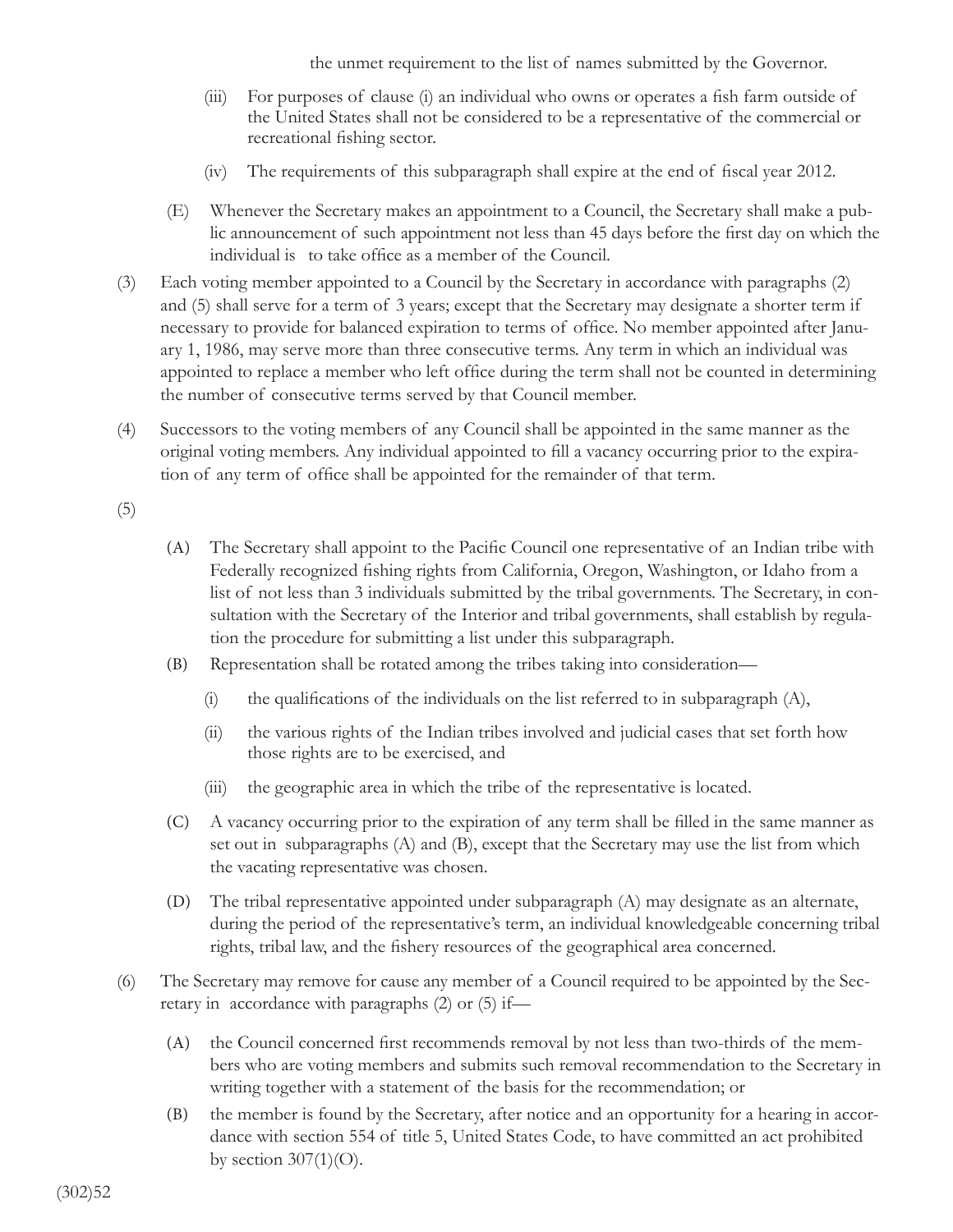the unmet requirement to the list of names submitted by the Governor.

- $(iii)$  For purposes of clause  $(i)$  an individual who owns or operates a fish farm outside of the United States shall not be considered to be a representative of the commercial or recreational fishing sector.
- $(iv)$  The requirements of this subparagraph shall expire at the end of fiscal year 2012.
- (E) Whenever the Secretary makes an appointment to a Council, the Secretary shall make a public announcement of such appointment not less than 45 days before the first day on which the individual is to take office as a member of the Council.
- (3) Each voting member appointed to a Council by the Secretary in accordance with paragraphs (2) and (5) shall serve for a term of 3 years; except that the Secretary may designate a shorter term if necessary to provide for balanced expiration to terms of office. No member appointed after January 1, 1986, may serve more than three consecutive terms. Any term in which an individual was appointed to replace a member who left office during the term shall not be counted in determining the number of consecutive terms served by that Council member.
- (4) Successors to the voting members of any Council shall be appointed in the same manner as the original voting members. Any individual appointed to fill a vacancy occurring prior to the expiration of any term of office shall be appointed for the remainder of that term.
- (5)
- (A) The Secretary shall appoint to the Pacific Council one representative of an Indian tribe with Federally recognized fishing rights from California, Oregon, Washington, or Idaho from a list of not less than 3 individuals submitted by the tribal governments. The Secretary, in consultation with the Secretary of the Interior and tribal governments, shall establish by regulation the procedure for submitting a list under this subparagraph.
- (B) Representation shall be rotated among the tribes taking into consideration—
	- $(i)$  the qualifications of the individuals on the list referred to in subparagraph  $(A)$ ,
	- (ii) the various rights of the Indian tribes involved and judicial cases that set forth how those rights are to be exercised, and
	- (iii) the geographic area in which the tribe of the representative is located.
- (C) A vacancy occurring prior to the expiration of any term shall be filled in the same manner as set out in subparagraphs (A) and (B), except that the Secretary may use the list from which the vacating representative was chosen.
- (D) The tribal representative appointed under subparagraph (A) may designate as an alternate, during the period of the representative's term, an individual knowledgeable concerning tribal rights, tribal law, and the fishery resources of the geographical area concerned.
- (6) The Secretary may remove for cause any member of a Council required to be appointed by the Secretary in accordance with paragraphs (2) or (5) if—
	- (A) the Council concerned first recommends removal by not less than two-thirds of the members who are voting members and submits such removal recommendation to the Secretary in writing together with a statement of the basis for the recommendation; or
	- (B) the member is found by the Secretary, after notice and an opportunity for a hearing in accordance with section 554 of title 5, United States Code, to have committed an act prohibited by section  $307(1)(O)$ .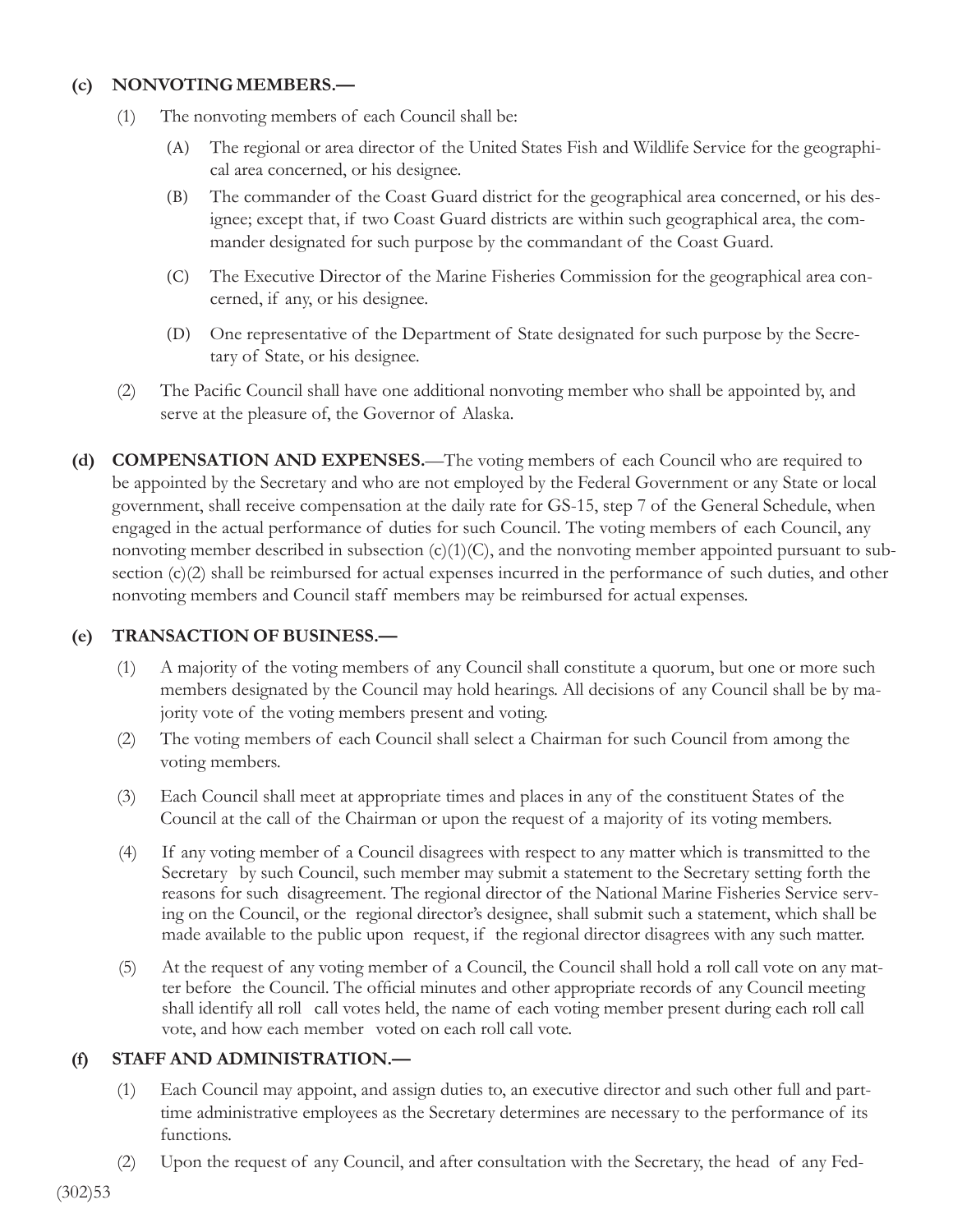#### **(c) NONVOTING MEMBERS.—**

- (1) The nonvoting members of each Council shall be:
	- (A) The regional or area director of the United States Fish and Wildlife Service for the geographical area concerned, or his designee.
	- (B) The commander of the Coast Guard district for the geographical area concerned, or his designee; except that, if two Coast Guard districts are within such geographical area, the commander designated for such purpose by the commandant of the Coast Guard.
	- (C) The Executive Director of the Marine Fisheries Commission for the geographical area concerned, if any, or his designee.
	- (D) One representative of the Department of State designated for such purpose by the Secretary of State, or his designee.
- (2) The Pacific Council shall have one additional nonvoting member who shall be appointed by, and serve at the pleasure of, the Governor of Alaska.
- **(d) COMPENSATION AND EXPENSES.**—The voting members of each Council who are required to be appointed by the Secretary and who are not employed by the Federal Government or any State or local government, shall receive compensation at the daily rate for GS-15, step 7 of the General Schedule, when engaged in the actual performance of duties for such Council. The voting members of each Council, any nonvoting member described in subsection (c)(1)(C), and the nonvoting member appointed pursuant to subsection (c)(2) shall be reimbursed for actual expenses incurred in the performance of such duties, and other nonvoting members and Council staff members may be reimbursed for actual expenses.

#### **(e) TRANSACTION OF BUSINESS.—**

- (1) A majority of the voting members of any Council shall constitute a quorum, but one or more such members designated by the Council may hold hearings. All decisions of any Council shall be by majority vote of the voting members present and voting.
- (2) The voting members of each Council shall select a Chairman for such Council from among the voting members.
- (3) Each Council shall meet at appropriate times and places in any of the constituent States of the Council at the call of the Chairman or upon the request of a majority of its voting members.
- (4) If any voting member of a Council disagrees with respect to any matter which is transmitted to the Secretary by such Council, such member may submit a statement to the Secretary setting forth the reasons for such disagreement. The regional director of the National Marine Fisheries Service serving on the Council, or the regional director's designee, shall submit such a statement, which shall be made available to the public upon request, if the regional director disagrees with any such matter.
- (5) At the request of any voting member of a Council, the Council shall hold a roll call vote on any matter before the Council. The official minutes and other appropriate records of any Council meeting shall identify all roll call votes held, the name of each voting member present during each roll call vote, and how each member voted on each roll call vote.

#### **(f) STAFF AND ADMINISTRATION.—**

- (1) Each Council may appoint, and assign duties to, an executive director and such other full and parttime administrative employees as the Secretary determines are necessary to the performance of its functions.
- (2) Upon the request of any Council, and after consultation with the Secretary, the head of any Fed-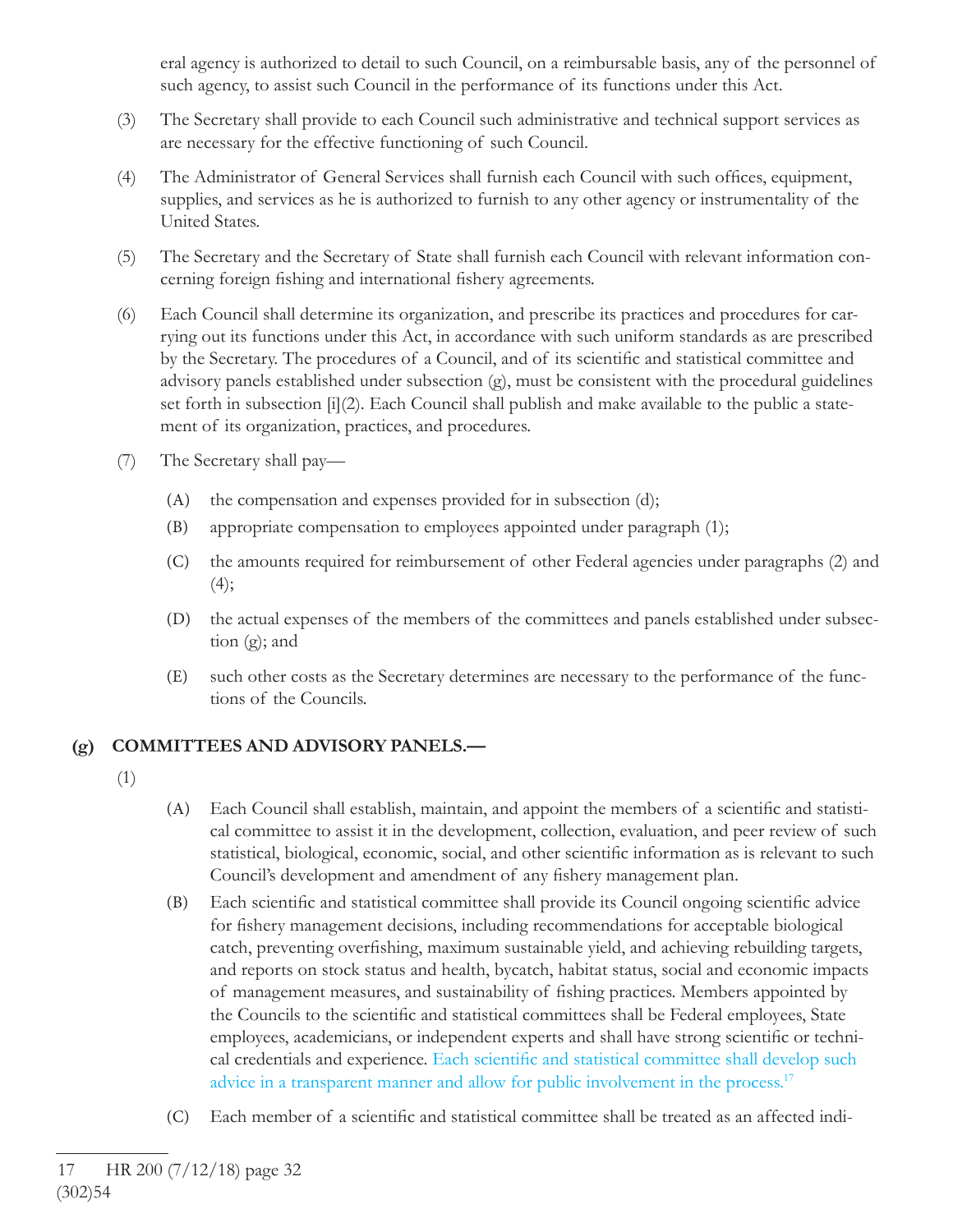eral agency is authorized to detail to such Council, on a reimbursable basis, any of the personnel of such agency, to assist such Council in the performance of its functions under this Act.

- (3) The Secretary shall provide to each Council such administrative and technical support services as are necessary for the effective functioning of such Council.
- (4) The Administrator of General Services shall furnish each Council with such offices, equipment, supplies, and services as he is authorized to furnish to any other agency or instrumentality of the United States.
- (5) The Secretary and the Secretary of State shall furnish each Council with relevant information concerning foreign fishing and international fishery agreements.
- (6) Each Council shall determine its organization, and prescribe its practices and procedures for carrying out its functions under this Act, in accordance with such uniform standards as are prescribed by the Secretary. The procedures of a Council, and of its scientific and statistical committee and advisory panels established under subsection (g), must be consistent with the procedural guidelines set forth in subsection  $[i](2)$ . Each Council shall publish and make available to the public a statement of its organization, practices, and procedures.
- (7) The Secretary shall pay—
	- (A) the compensation and expenses provided for in subsection (d);
	- (B) appropriate compensation to employees appointed under paragraph (1);
	- (C) the amounts required for reimbursement of other Federal agencies under paragraphs (2) and  $(4);$
	- (D) the actual expenses of the members of the committees and panels established under subsection (g); and
	- (E) such other costs as the Secretary determines are necessary to the performance of the functions of the Councils.

#### **(g) COMMITTEES AND ADVISORY PANELS.—**

- (1)
- (A) Each Council shall establish, maintain, and appoint the members of a scientific and statistical committee to assist it in the development, collection, evaluation, and peer review of such statistical, biological, economic, social, and other scientific information as is relevant to such Council's development and amendment of any fishery management plan.
- (B) Each scientific and statistical committee shall provide its Council ongoing scientific advice for fishery management decisions, including recommendations for acceptable biological catch, preventing overfishing, maximum sustainable yield, and achieving rebuilding targets, and reports on stock status and health, bycatch, habitat status, social and economic impacts of management measures, and sustainability of fishing practices. Members appointed by the Councils to the scientific and statistical committees shall be Federal employees, State employees, academicians, or independent experts and shall have strong scientific or technical credentials and experience. Each scientific and statistical committee shall develop such advice in a transparent manner and allow for public involvement in the process.17
- (C) Each member of a scientific and statistical committee shall be treated as an affected indi-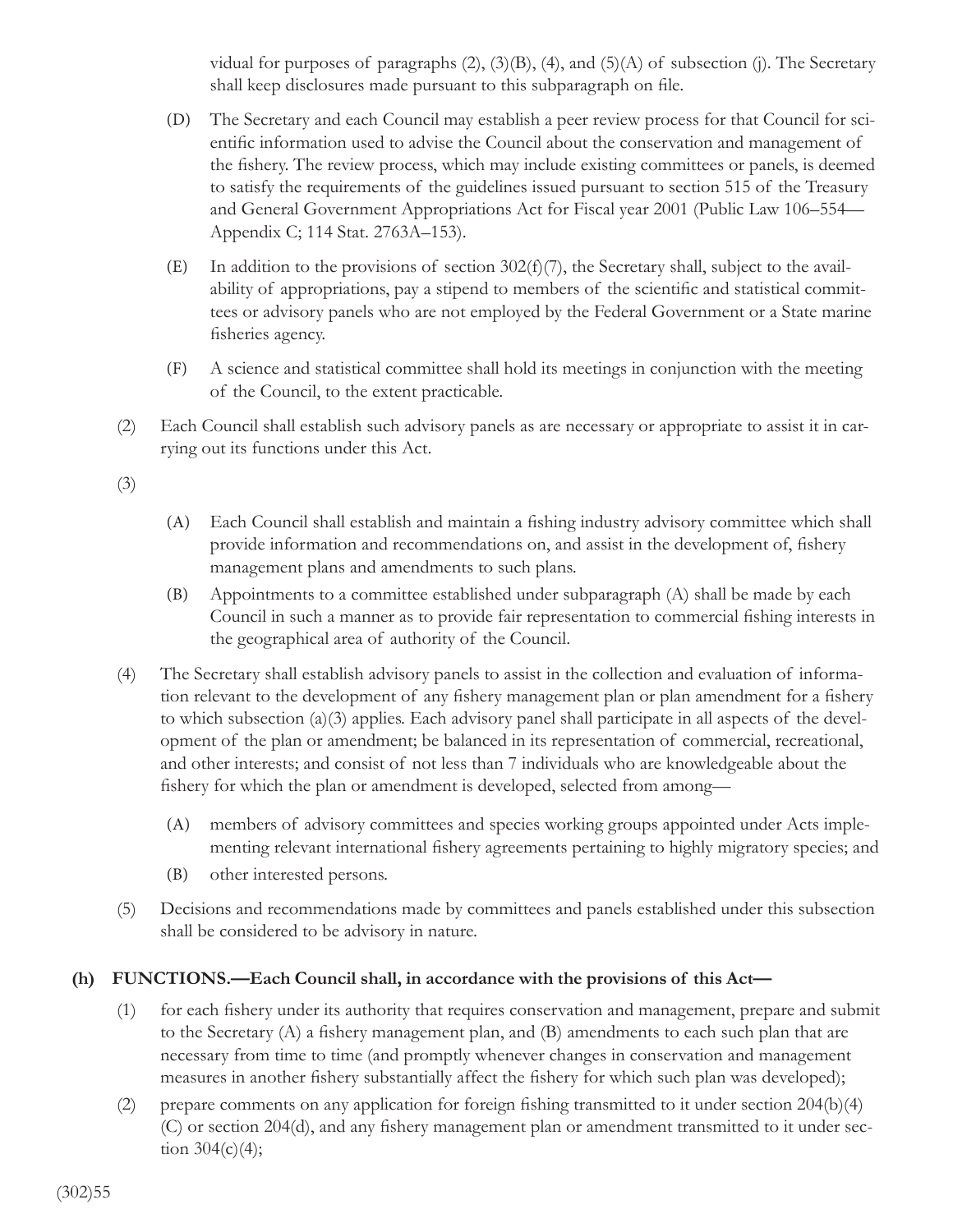vidual for purposes of paragraphs  $(2)$ ,  $(3)(B)$ ,  $(4)$ , and  $(5)(A)$  of subsection (j). The Secretary shall keep disclosures made pursuant to this subparagraph on file.

- (D) The Secretary and each Council may establish a peer review process for that Council for scientific information used to advise the Council about the conservation and management of the fishery. The review process, which may include existing committees or panels, is deemed to satisfy the requirements of the guidelines issued pursuant to section 515 of the Treasury and General Government Appropriations Act for Fiscal year 2001 (Public Law 106–554— Appendix C; 114 Stat. 2763A–153).
- (E) In addition to the provisions of section 302(f)(7), the Secretary shall, subject to the availability of appropriations, pay a stipend to members of the scientific and statistical committees or advisory panels who are not employed by the Federal Government or a State marine fisheries agency.
- (F) A science and statistical committee shall hold its meetings in conjunction with the meeting of the Council, to the extent practicable.
- (2) Each Council shall establish such advisory panels as are necessary or appropriate to assist it in carrying out its functions under this Act.

(3)

- (A) Each Council shall establish and maintain a fishing industry advisory committee which shall provide information and recommendations on, and assist in the development of, fishery management plans and amendments to such plans.
- (B) Appointments to a committee established under subparagraph (A) shall be made by each Council in such a manner as to provide fair representation to commercial fishing interests in the geographical area of authority of the Council.
- (4) The Secretary shall establish advisory panels to assist in the collection and evaluation of information relevant to the development of any fishery management plan or plan amendment for a fishery to which subsection (a)(3) applies. Each advisory panel shall participate in all aspects of the development of the plan or amendment; be balanced in its representation of commercial, recreational, and other interests; and consist of not less than 7 individuals who are knowledgeable about the fishery for which the plan or amendment is developed, selected from among—
	- (A) members of advisory committees and species working groups appointed under Acts implementing relevant international fishery agreements pertaining to highly migratory species; and
	- (B) other interested persons.
- (5) Decisions and recommendations made by committees and panels established under this subsection shall be considered to be advisory in nature.

#### **(h) FUNCTIONS.—Each Council shall, in accordance with the provisions of this Act—**

- (1) for each fishery under its authority that requires conservation and management, prepare and submit to the Secretary  $(A)$  a fishery management plan, and  $(B)$  amendments to each such plan that are necessary from time to time (and promptly whenever changes in conservation and management measures in another fishery substantially affect the fishery for which such plan was developed);
- (2) prepare comments on any application for foreign fishing transmitted to it under section  $204(b)(4)$ (C) or section 204(d), and any fishery management plan or amendment transmitted to it under section  $304(c)(4)$ ;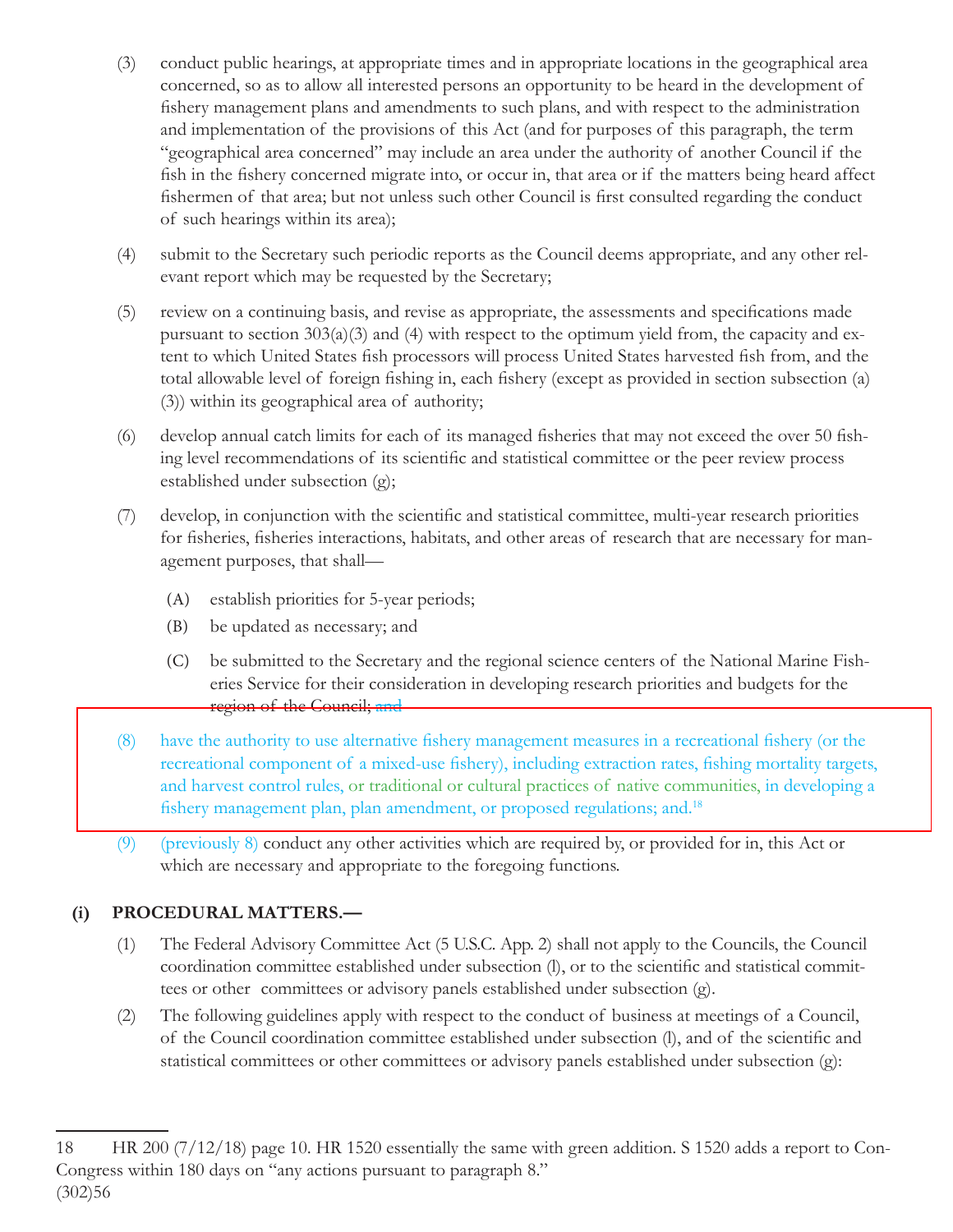- (3) conduct public hearings, at appropriate times and in appropriate locations in the geographical area concerned, so as to allow all interested persons an opportunity to be heard in the development of fishery management plans and amendments to such plans, and with respect to the administration and implementation of the provisions of this Act (and for purposes of this paragraph, the term "geographical area concerned" may include an area under the authority of another Council if the fish in the fishery concerned migrate into, or occur in, that area or if the matters being heard affect fishermen of that area; but not unless such other Council is first consulted regarding the conduct of such hearings within its area);
- (4) submit to the Secretary such periodic reports as the Council deems appropriate, and any other relevant report which may be requested by the Secretary;
- (5) review on a continuing basis, and revise as appropriate, the assessments and specifications made pursuant to section 303(a)(3) and (4) with respect to the optimum yield from, the capacity and extent to which United States fish processors will process United States harvested fish from, and the total allowable level of foreign fishing in, each fishery (except as provided in section subsection (a) (3)) within its geographical area of authority;
- (6) develop annual catch limits for each of its managed fisheries that may not exceed the over 50 fishing level recommendations of its scientific and statistical committee or the peer review process established under subsection (g);
- (7) develop, in conjunction with the scientific and statistical committee, multi-year research priorities for fisheries, fisheries interactions, habitats, and other areas of research that are necessary for management purposes, that shall—
	- (A) establish priorities for 5-year periods;
	- (B) be updated as necessary; and
	- (C) be submitted to the Secretary and the regional science centers of the National Marine Fisheries Service for their consideration in developing research priorities and budgets for the region of the Council; and
- (8) have the authority to use alternative fishery management measures in a recreational fishery (or the recreational component of a mixed-use fishery), including extraction rates, fishing mortality targets, and harvest control rules, or traditional or cultural practices of native communities, in developing a fishery management plan, plan amendment, or proposed regulations; and.<sup>18</sup>
- (9) (previously 8) conduct any other activities which are required by, or provided for in, this Act or which are necessary and appropriate to the foregoing functions.

#### **(i) PROCEDURAL MATTERS.—**

- (1) The Federal Advisory Committee Act (5 U.S.C. App. 2) shall not apply to the Councils, the Council coordination committee established under subsection (l), or to the scientific and statistical committees or other committees or advisory panels established under subsection (g).
- (2) The following guidelines apply with respect to the conduct of business at meetings of a Council, of the Council coordination committee established under subsection (l), and of the scientific and statistical committees or other committees or advisory panels established under subsection (g):

<sup>(302)56</sup> 18 HR 200 (7/12/18) page 10. HR 1520 essentially the same with green addition. S 1520 adds a report to Con-Congress within 180 days on "any actions pursuant to paragraph 8."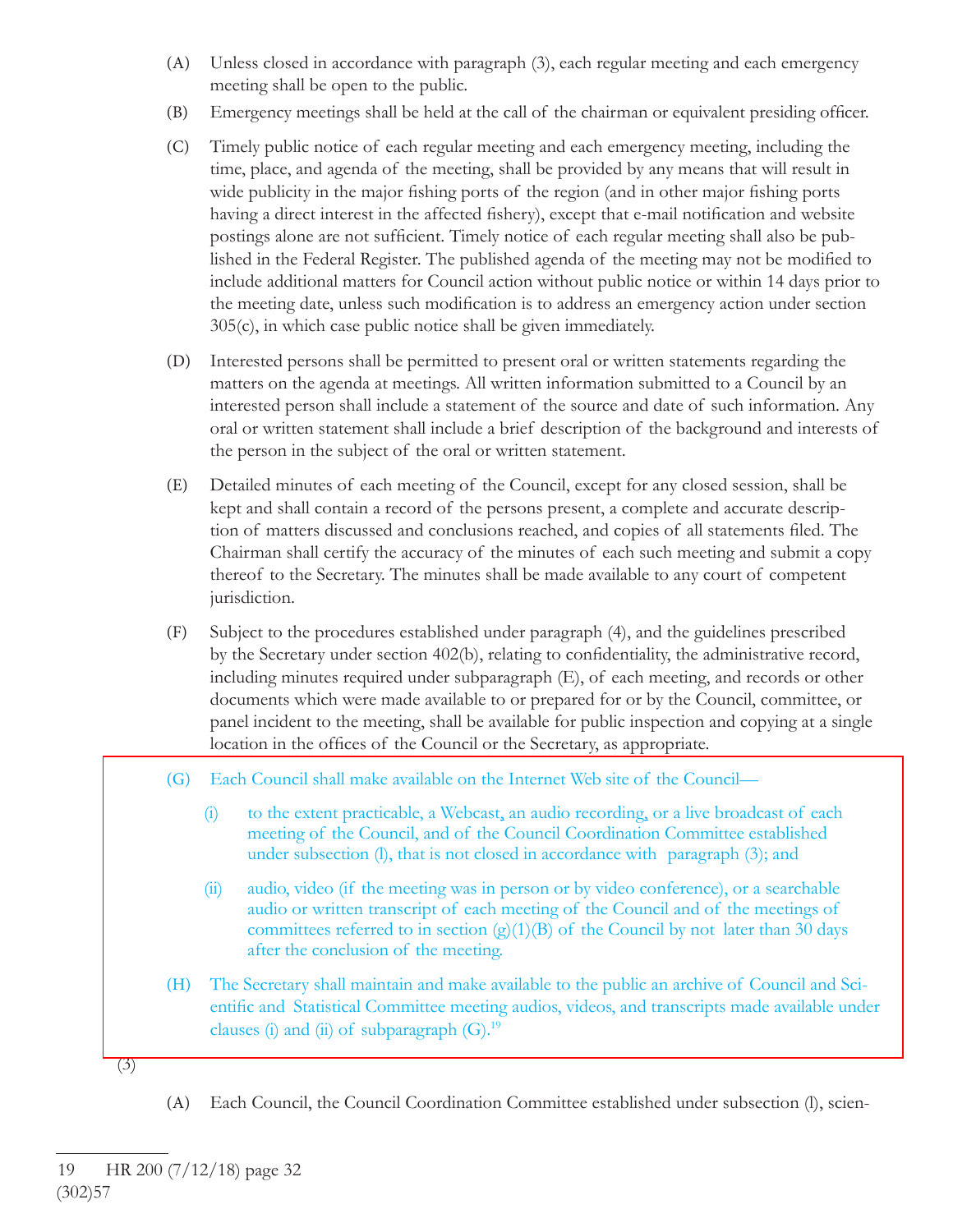- (A) Unless closed in accordance with paragraph (3), each regular meeting and each emergency meeting shall be open to the public.
- (B) Emergency meetings shall be held at the call of the chairman or equivalent presiding officer.
- (C) Timely public notice of each regular meeting and each emergency meeting, including the time, place, and agenda of the meeting, shall be provided by any means that will result in wide publicity in the major fishing ports of the region (and in other major fishing ports having a direct interest in the affected fishery), except that e-mail notification and website postings alone are not sufficient. Timely notice of each regular meeting shall also be published in the Federal Register. The published agenda of the meeting may not be modified to include additional matters for Council action without public notice or within 14 days prior to the meeting date, unless such modification is to address an emergency action under section 305(c), in which case public notice shall be given immediately.
- (D) Interested persons shall be permitted to present oral or written statements regarding the matters on the agenda at meetings. All written information submitted to a Council by an interested person shall include a statement of the source and date of such information. Any oral or written statement shall include a brief description of the background and interests of the person in the subject of the oral or written statement.
- (E) Detailed minutes of each meeting of the Council, except for any closed session, shall be kept and shall contain a record of the persons present, a complete and accurate description of matters discussed and conclusions reached, and copies of all statements filed. The Chairman shall certify the accuracy of the minutes of each such meeting and submit a copy thereof to the Secretary. The minutes shall be made available to any court of competent jurisdiction.
- (F) Subject to the procedures established under paragraph (4), and the guidelines prescribed by the Secretary under section 402(b), relating to confidentiality, the administrative record, including minutes required under subparagraph (E), of each meeting, and records or other documents which were made available to or prepared for or by the Council, committee, or panel incident to the meeting, shall be available for public inspection and copying at a single location in the offices of the Council or the Secretary, as appropriate.
- (G) Each Council shall make available on the Internet Web site of the Council—
	- (i) to the extent practicable, a Webcast, an audio recording, or a live broadcast of each meeting of the Council, and of the Council Coordination Committee established under subsection (l), that is not closed in accordance with paragraph (3); and
	- (ii) audio, video (if the meeting was in person or by video conference), or a searchable audio or written transcript of each meeting of the Council and of the meetings of committees referred to in section  $(g)(1)(B)$  of the Council by not later than 30 days after the conclusion of the meeting.
- (H) The Secretary shall maintain and make available to the public an archive of Council and Scientific and Statistical Committee meeting audios, videos, and transcripts made available under clauses (i) and (ii) of subparagraph  $(G).<sup>19</sup>$

(3)

(A) Each Council, the Council Coordination Committee established under subsection (l), scien-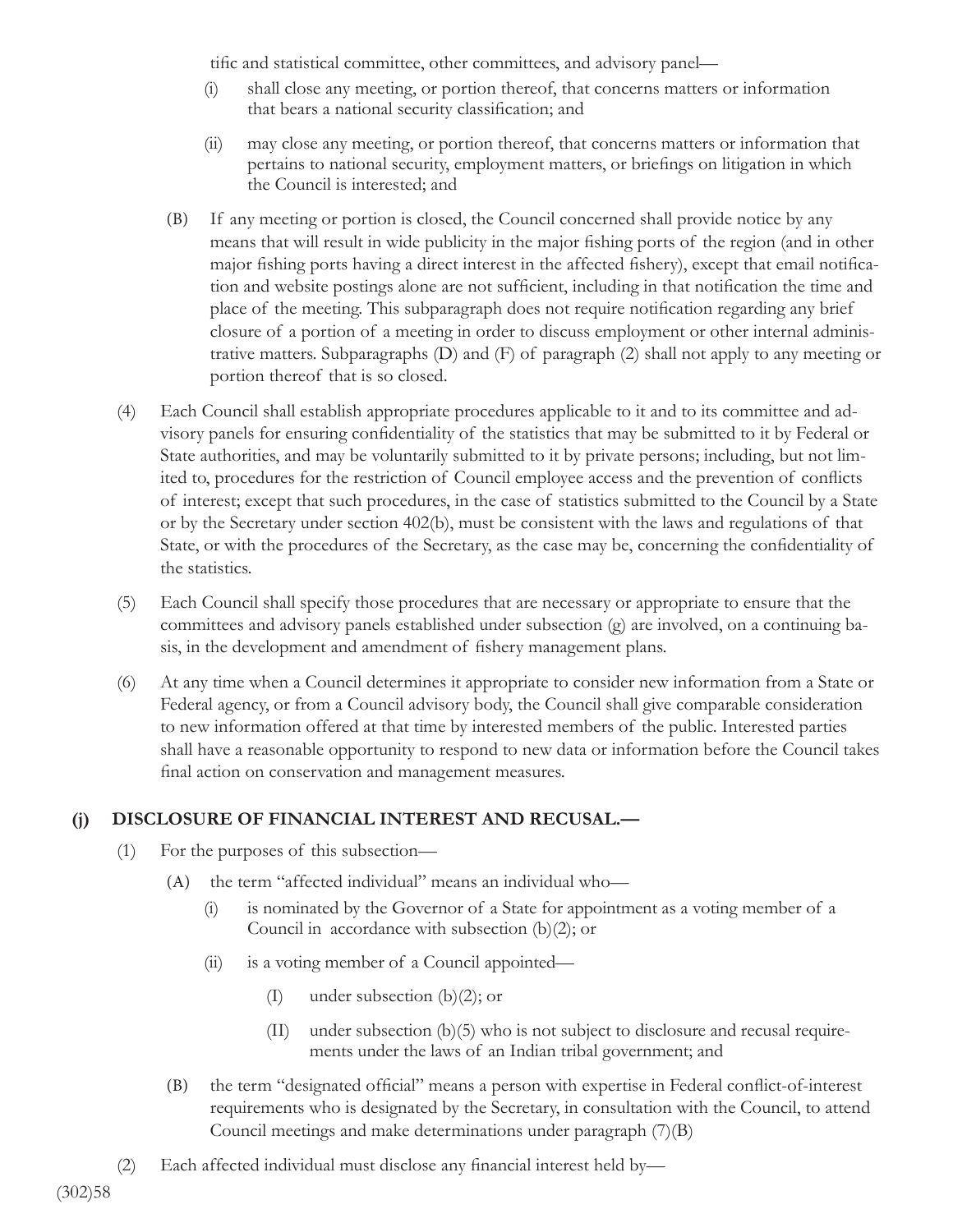tific and statistical committee, other committees, and advisory panel—

- (i) shall close any meeting, or portion thereof, that concerns matters or information that bears a national security classification; and
- (ii) may close any meeting, or portion thereof, that concerns matters or information that pertains to national security, employment matters, or briefings on litigation in which the Council is interested; and
- (B) If any meeting or portion is closed, the Council concerned shall provide notice by any means that will result in wide publicity in the major fishing ports of the region (and in other major fishing ports having a direct interest in the affected fishery), except that email notification and website postings alone are not sufficient, including in that notification the time and place of the meeting. This subparagraph does not require notification regarding any brief closure of a portion of a meeting in order to discuss employment or other internal administrative matters. Subparagraphs (D) and (F) of paragraph (2) shall not apply to any meeting or portion thereof that is so closed.
- (4) Each Council shall establish appropriate procedures applicable to it and to its committee and advisory panels for ensuring confidentiality of the statistics that may be submitted to it by Federal or State authorities, and may be voluntarily submitted to it by private persons; including, but not limited to, procedures for the restriction of Council employee access and the prevention of conflicts of interest; except that such procedures, in the case of statistics submitted to the Council by a State or by the Secretary under section 402(b), must be consistent with the laws and regulations of that State, or with the procedures of the Secretary, as the case may be, concerning the confidentiality of the statistics.
- (5) Each Council shall specify those procedures that are necessary or appropriate to ensure that the committees and advisory panels established under subsection (g) are involved, on a continuing basis, in the development and amendment of fishery management plans.
- (6) At any time when a Council determines it appropriate to consider new information from a State or Federal agency, or from a Council advisory body, the Council shall give comparable consideration to new information offered at that time by interested members of the public. Interested parties shall have a reasonable opportunity to respond to new data or information before the Council takes final action on conservation and management measures.

#### **(j) DISCLOSURE OF FINANCIAL INTEREST AND RECUSAL.—**

- (1) For the purposes of this subsection—
	- (A) the term "affected individual" means an individual who—
		- (i) is nominated by the Governor of a State for appointment as a voting member of a Council in accordance with subsection  $(b)(2)$ ; or
		- (ii) is a voting member of a Council appointed—
			- (I) under subsection (b)(2); or
			- (II) under subsection (b)(5) who is not subject to disclosure and recusal requirements under the laws of an Indian tribal government; and
	- (B) the term "designated official" means a person with expertise in Federal conflict-of-interest requirements who is designated by the Secretary, in consultation with the Council, to attend Council meetings and make determinations under paragraph (7)(B)
- (2) Each affected individual must disclose any financial interest held by—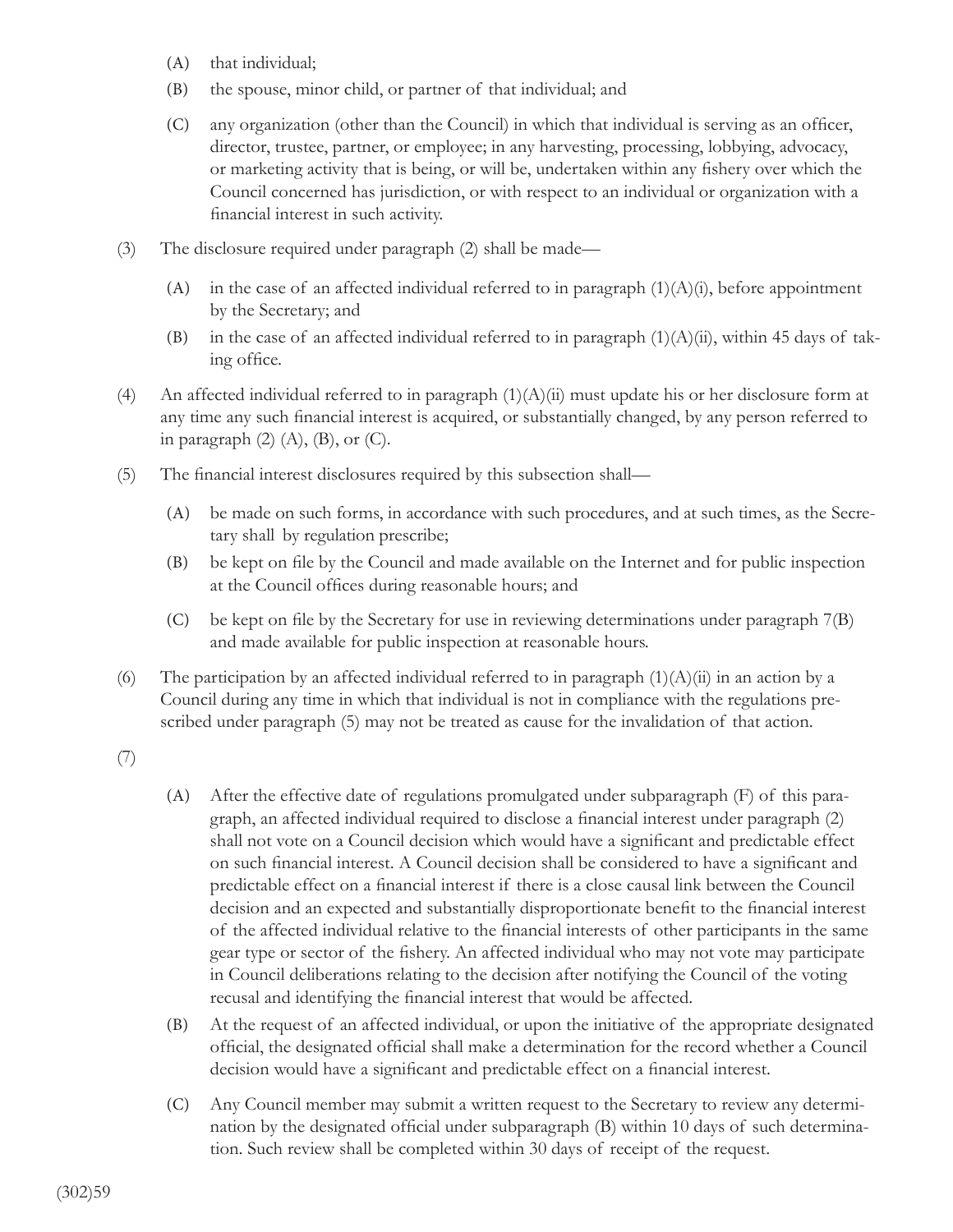- (A) that individual;
- (B) the spouse, minor child, or partner of that individual; and
- (C) any organization (other than the Council) in which that individual is serving as an officer, director, trustee, partner, or employee; in any harvesting, processing, lobbying, advocacy, or marketing activity that is being, or will be, undertaken within any fishery over which the Council concerned has jurisdiction, or with respect to an individual or organization with a financial interest in such activity.
- (3) The disclosure required under paragraph (2) shall be made—
	- (A) in the case of an affected individual referred to in paragraph  $(1)(A)(i)$ , before appointment by the Secretary; and
	- (B) in the case of an affected individual referred to in paragraph  $(1)(A)(ii)$ , within 45 days of taking office.
- (4) An affected individual referred to in paragraph  $(1)(A)(ii)$  must update his or her disclosure form at any time any such financial interest is acquired, or substantially changed, by any person referred to in paragraph  $(2)$   $(A)$ ,  $(B)$ , or  $(C)$ .
- (5) The financial interest disclosures required by this subsection shall—
	- (A) be made on such forms, in accordance with such procedures, and at such times, as the Secretary shall by regulation prescribe;
	- (B) be kept on file by the Council and made available on the Internet and for public inspection at the Council offices during reasonable hours; and
	- (C) be kept on file by the Secretary for use in reviewing determinations under paragraph  $7(B)$ and made available for public inspection at reasonable hours.
- (6) The participation by an affected individual referred to in paragraph  $(1)(A)(ii)$  in an action by a Council during any time in which that individual is not in compliance with the regulations prescribed under paragraph (5) may not be treated as cause for the invalidation of that action.
- (7)
- (A) After the effective date of regulations promulgated under subparagraph (F) of this paragraph, an affected individual required to disclose a financial interest under paragraph (2) shall not vote on a Council decision which would have a significant and predictable effect on such financial interest. A Council decision shall be considered to have a significant and predictable effect on a financial interest if there is a close causal link between the Council decision and an expected and substantially disproportionate benefit to the financial interest of the affected individual relative to the financial interests of other participants in the same gear type or sector of the fishery. An affected individual who may not vote may participate in Council deliberations relating to the decision after notifying the Council of the voting recusal and identifying the financial interest that would be affected.
- (B) At the request of an affected individual, or upon the initiative of the appropriate designated official, the designated official shall make a determination for the record whether a Council decision would have a significant and predictable effect on a financial interest.
- (C) Any Council member may submit a written request to the Secretary to review any determination by the designated official under subparagraph (B) within 10 days of such determination. Such review shall be completed within 30 days of receipt of the request.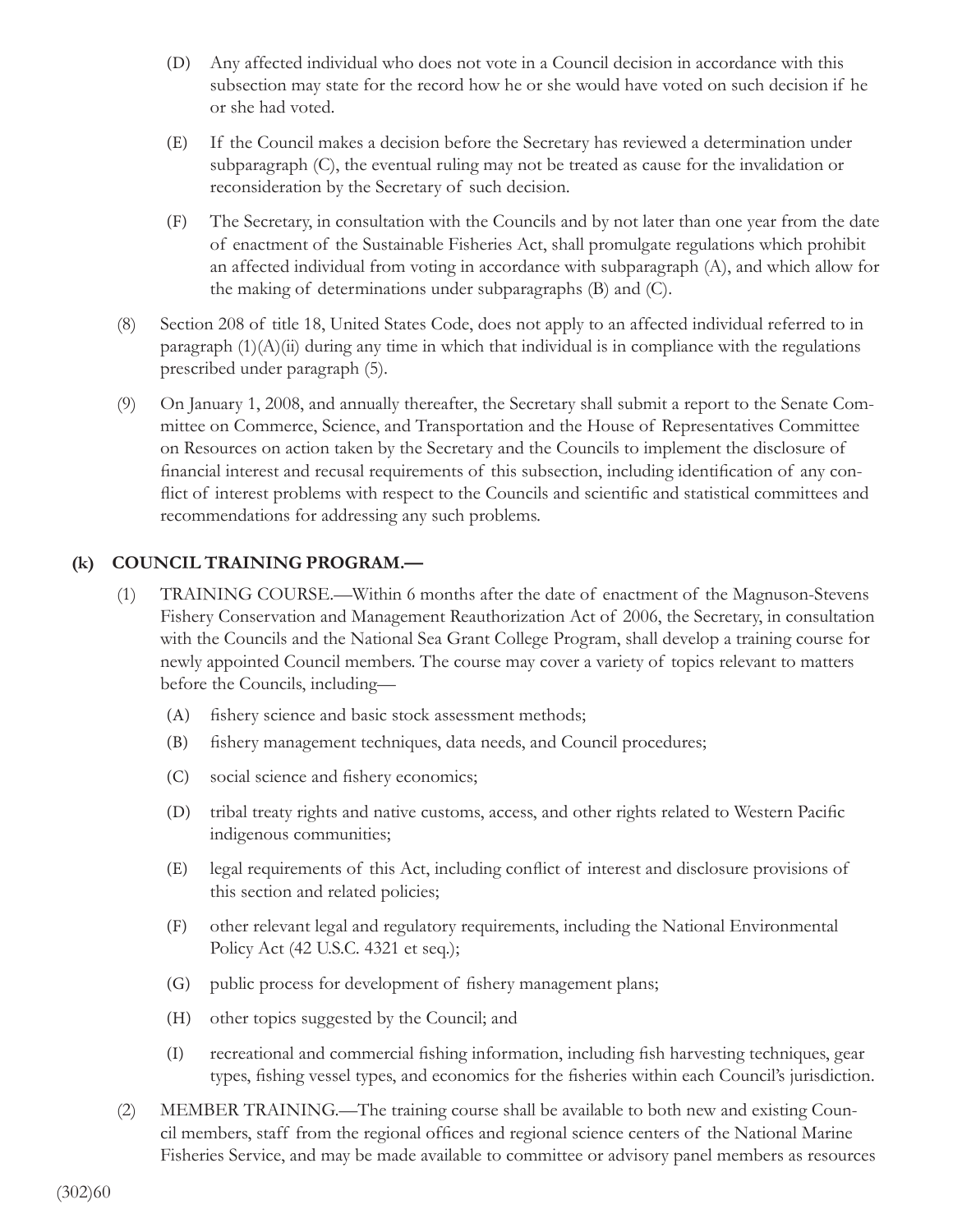- (D) Any affected individual who does not vote in a Council decision in accordance with this subsection may state for the record how he or she would have voted on such decision if he or she had voted.
- (E) If the Council makes a decision before the Secretary has reviewed a determination under subparagraph (C), the eventual ruling may not be treated as cause for the invalidation or reconsideration by the Secretary of such decision.
- (F) The Secretary, in consultation with the Councils and by not later than one year from the date of enactment of the Sustainable Fisheries Act, shall promulgate regulations which prohibit an affected individual from voting in accordance with subparagraph (A), and which allow for the making of determinations under subparagraphs (B) and (C).
- (8) Section 208 of title 18, United States Code, does not apply to an affected individual referred to in paragraph  $(1)(A)(ii)$  during any time in which that individual is in compliance with the regulations prescribed under paragraph (5).
- (9) On January 1, 2008, and annually thereafter, the Secretary shall submit a report to the Senate Committee on Commerce, Science, and Transportation and the House of Representatives Committee on Resources on action taken by the Secretary and the Councils to implement the disclosure of financial interest and recusal requirements of this subsection, including identification of any conflict of interest problems with respect to the Councils and scientific and statistical committees and recommendations for addressing any such problems.

#### **(k) COUNCIL TRAINING PROGRAM.—**

- (1) TRAINING COURSE.—Within 6 months after the date of enactment of the Magnuson-Stevens Fishery Conservation and Management Reauthorization Act of 2006, the Secretary, in consultation with the Councils and the National Sea Grant College Program, shall develop a training course for newly appointed Council members. The course may cover a variety of topics relevant to matters before the Councils, including—
	- (A) fishery science and basic stock assessment methods;
	- (B) fi shery management techniques, data needs, and Council procedures;
	- (C) social science and fishery economics;
	- (D) tribal treaty rights and native customs, access, and other rights related to Western Pacific indigenous communities;
	- (E) legal requirements of this Act, including conflict of interest and disclosure provisions of this section and related policies;
	- (F) other relevant legal and regulatory requirements, including the National Environmental Policy Act (42 U.S.C. 4321 et seq.);
	- (G) public process for development of fishery management plans;
	- (H) other topics suggested by the Council; and
	- (I) recreational and commercial fishing information, including fish harvesting techniques, gear types, fishing vessel types, and economics for the fisheries within each Council's jurisdiction.
- (2) MEMBER TRAINING.—The training course shall be available to both new and existing Council members, staff from the regional offices and regional science centers of the National Marine Fisheries Service, and may be made available to committee or advisory panel members as resources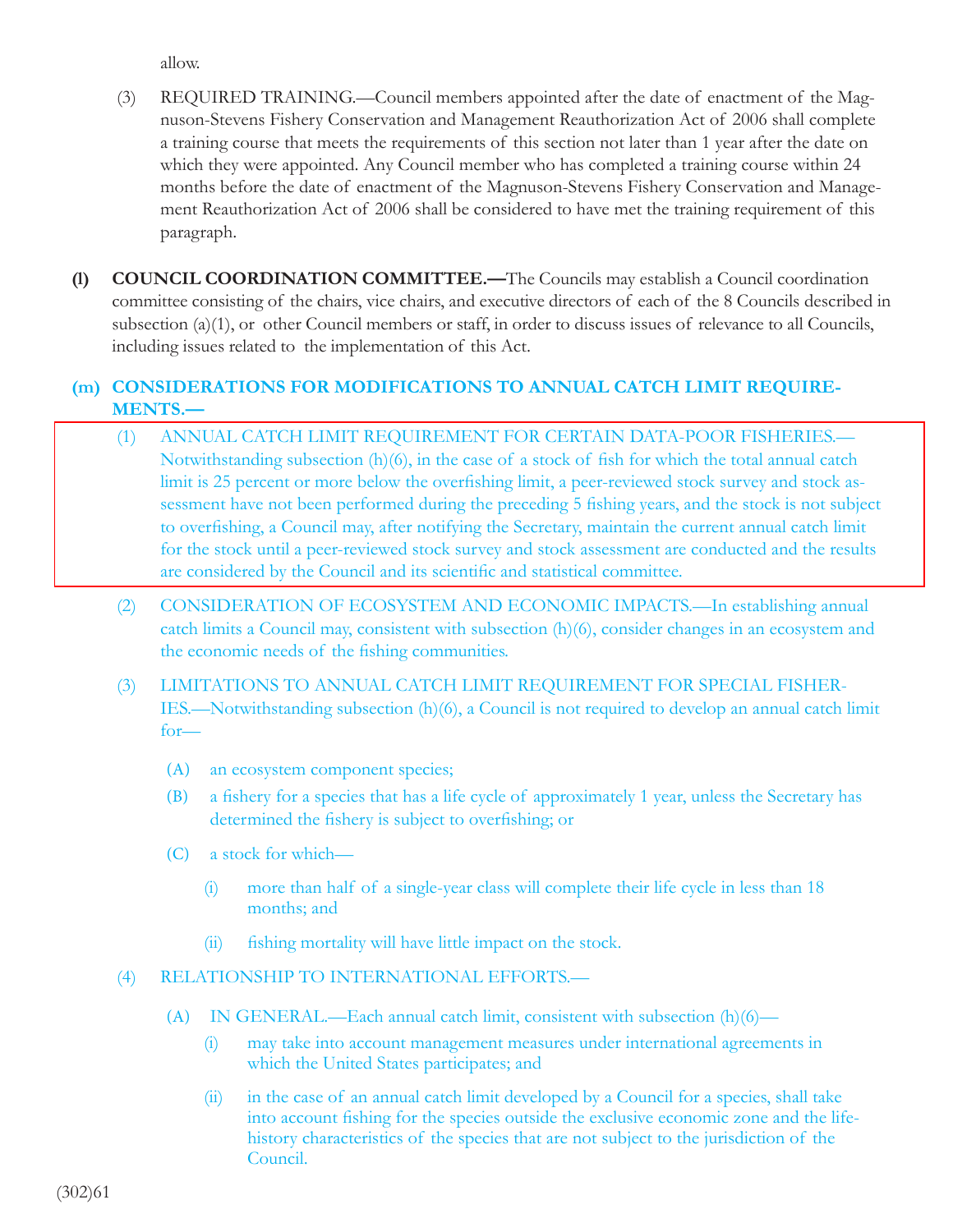allow.

- (3) REQUIRED TRAINING.—Council members appointed after the date of enactment of the Magnuson-Stevens Fishery Conservation and Management Reauthorization Act of 2006 shall complete a training course that meets the requirements of this section not later than 1 year after the date on which they were appointed. Any Council member who has completed a training course within 24 months before the date of enactment of the Magnuson-Stevens Fishery Conservation and Management Reauthorization Act of 2006 shall be considered to have met the training requirement of this paragraph.
- **(l) COUNCIL COORDINATION COMMITTEE.—**The Councils may establish a Council coordination committee consisting of the chairs, vice chairs, and executive directors of each of the 8 Councils described in subsection (a)(1), or other Council members or staff, in order to discuss issues of relevance to all Councils, including issues related to the implementation of this Act.

#### **(m) CONSIDERATIONS FOR MODIFICATIONS TO ANNUAL CATCH LIMIT REQUIRE-MENTS.—**

- (1) ANNUAL CATCH LIMIT REQUIREMENT FOR CERTAIN DATA-POOR FISHERIES.— Notwithstanding subsection  $(h)(6)$ , in the case of a stock of fish for which the total annual catch limit is 25 percent or more below the overfishing limit, a peer-reviewed stock survey and stock assessment have not been performed during the preceding 5 fishing years, and the stock is not subject to overfishing, a Council may, after notifying the Secretary, maintain the current annual catch limit for the stock until a peer-reviewed stock survey and stock assessment are conducted and the results are considered by the Council and its scientific and statistical committee.
- (2) CONSIDERATION OF ECOSYSTEM AND ECONOMIC IMPACTS.—In establishing annual catch limits a Council may, consistent with subsection (h)(6), consider changes in an ecosystem and the economic needs of the fishing communities.
- (3) LIMITATIONS TO ANNUAL CATCH LIMIT REQUIREMENT FOR SPECIAL FISHER-IES.—Notwithstanding subsection (h)(6), a Council is not required to develop an annual catch limit for—
	- (A) an ecosystem component species;
	- (B) a fi shery for a species that has a life cycle of approximately 1 year, unless the Secretary has determined the fishery is subject to overfishing; or
	- (C) a stock for which—
		- (i) more than half of a single-year class will complete their life cycle in less than 18 months; and
		- (ii) fishing mortality will have little impact on the stock.
- (4) RELATIONSHIP TO INTERNATIONAL EFFORTS.—
	- (A) IN GENERAL.—Each annual catch limit, consistent with subsection  $(h)(6)$ 
		- (i) may take into account management measures under international agreements in which the United States participates; and
		- (ii) in the case of an annual catch limit developed by a Council for a species, shall take into account fishing for the species outside the exclusive economic zone and the lifehistory characteristics of the species that are not subject to the jurisdiction of the Council.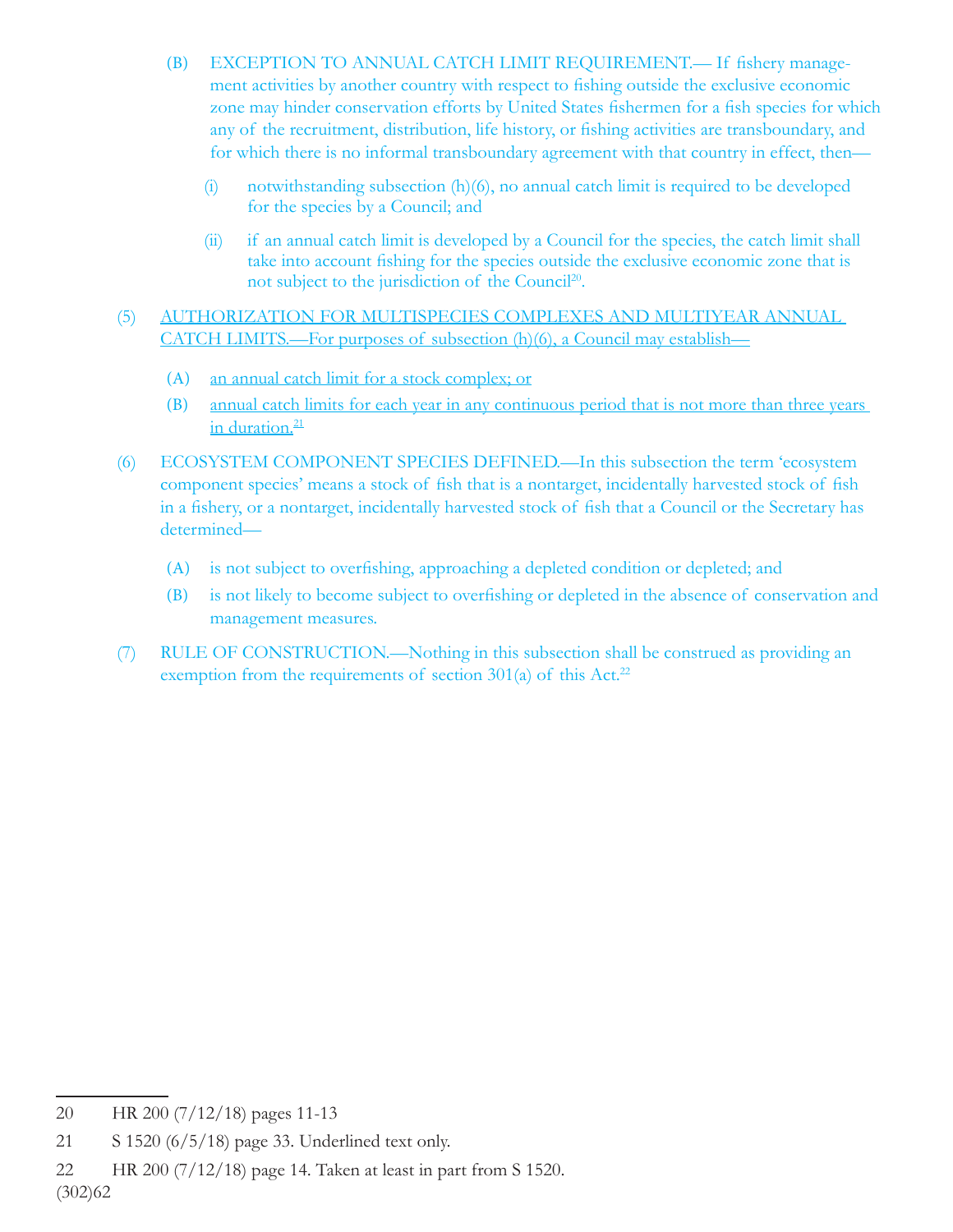- (B) EXCEPTION TO ANNUAL CATCH LIMIT REQUIREMENT.— If fishery management activities by another country with respect to fishing outside the exclusive economic zone may hinder conservation efforts by United States fishermen for a fish species for which any of the recruitment, distribution, life history, or fishing activities are transboundary, and for which there is no informal transboundary agreement with that country in effect, then—
	- (i) notwithstanding subsection  $(h)(6)$ , no annual catch limit is required to be developed for the species by a Council; and
	- (ii) if an annual catch limit is developed by a Council for the species, the catch limit shall take into account fishing for the species outside the exclusive economic zone that is not subject to the jurisdiction of the Council<sup>20</sup>.
- (5) AUTHORIZATION FOR MULTISPECIES COMPLEXES AND MULTIYEAR ANNUAL CATCH LIMITS.—For purposes of subsection (h)(6), a Council may establish—
	- (A) an annual catch limit for a stock complex; or
	- (B) annual catch limits for each year in any continuous period that is not more than three years in duration.<sup>21</sup>
- (6) ECOSYSTEM COMPONENT SPECIES DEFINED.—In this subsection the term 'ecosystem component species' means a stock of fish that is a nontarget, incidentally harvested stock of fish in a fishery, or a nontarget, incidentally harvested stock of fish that a Council or the Secretary has determined—
	- (A) is not subject to overfishing, approaching a depleted condition or depleted; and
	- (B) is not likely to become subject to overfishing or depleted in the absence of conservation and management measures.
- (7) RULE OF CONSTRUCTION.—Nothing in this subsection shall be construed as providing an exemption from the requirements of section  $301(a)$  of this Act.<sup>22</sup>

<sup>20</sup> HR 200 (7/12/18) pages 11-13

<sup>21</sup> S 1520 (6/5/18) page 33. Underlined text only.

<sup>22</sup> HR 200 (7/12/18) page 14. Taken at least in part from S 1520.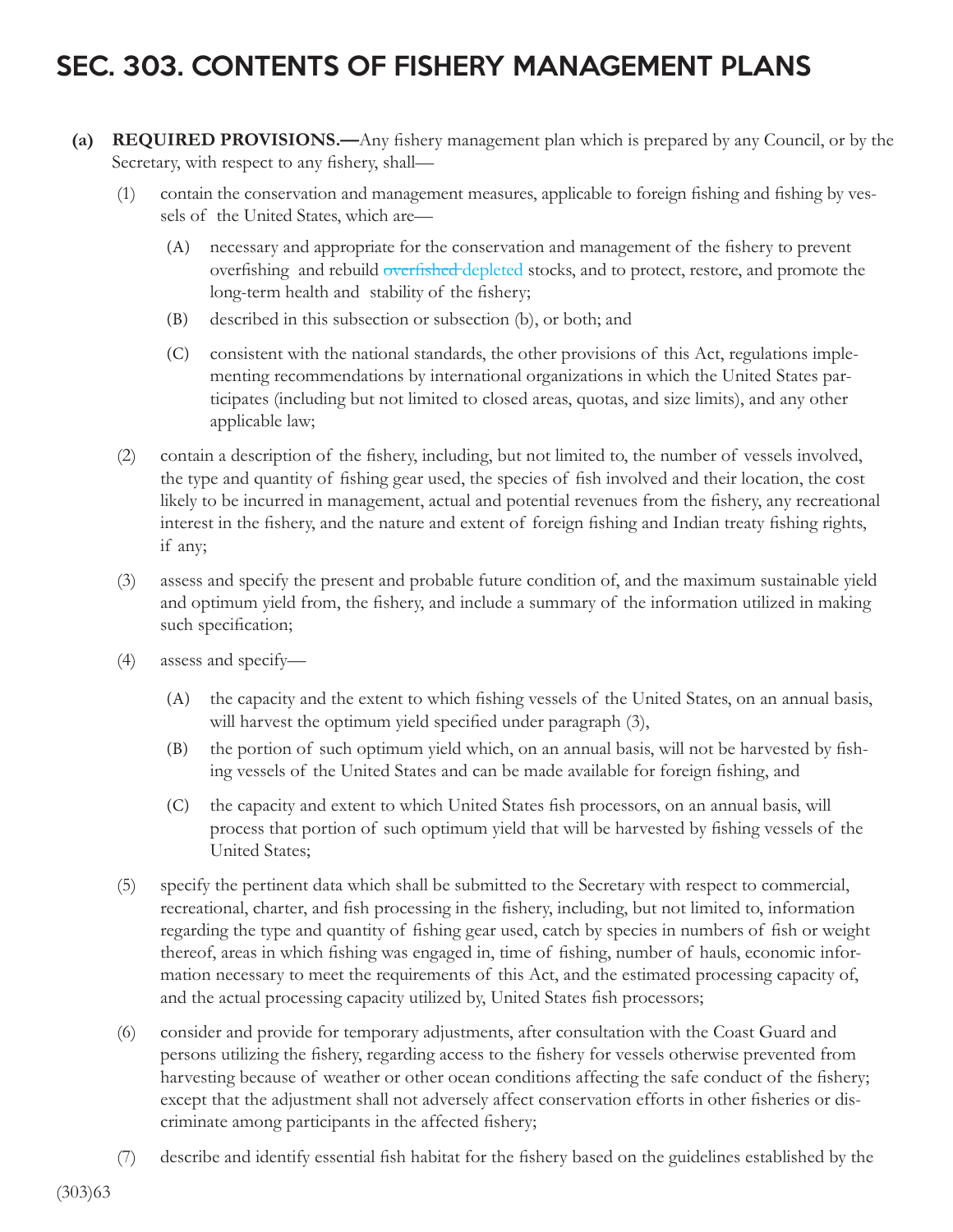# SEC. 303. CONTENTS OF FISHERY MANAGEMENT PLANS

- **(a) REQUIRED PROVISIONS.—**Any fishery management plan which is prepared by any Council, or by the Secretary, with respect to any fishery, shall—
	- (1) contain the conservation and management measures, applicable to foreign fishing and fishing by vessels of the United States, which are—
		- (A) necessary and appropriate for the conservation and management of the fishery to prevent overfishing and rebuild overfished depleted stocks, and to protect, restore, and promote the long-term health and stability of the fishery;
		- (B) described in this subsection or subsection (b), or both; and
		- (C) consistent with the national standards, the other provisions of this Act, regulations implementing recommendations by international organizations in which the United States participates (including but not limited to closed areas, quotas, and size limits), and any other applicable law;
	- (2) contain a description of the fishery, including, but not limited to, the number of vessels involved, the type and quantity of fishing gear used, the species of fish involved and their location, the cost likely to be incurred in management, actual and potential revenues from the fishery, any recreational interest in the fishery, and the nature and extent of foreign fishing and Indian treaty fishing rights, if any;
	- (3) assess and specify the present and probable future condition of, and the maximum sustainable yield and optimum yield from, the fishery, and include a summary of the information utilized in making such specification;
	- (4) assess and specify—
		- (A) the capacity and the extent to which fishing vessels of the United States, on an annual basis, will harvest the optimum yield specified under paragraph (3),
		- (B) the portion of such optimum yield which, on an annual basis, will not be harvested by fishing vessels of the United States and can be made available for foreign fishing, and
		- (C) the capacity and extent to which United States fish processors, on an annual basis, will process that portion of such optimum yield that will be harvested by fishing vessels of the United States;
	- (5) specify the pertinent data which shall be submitted to the Secretary with respect to commercial, recreational, charter, and fish processing in the fishery, including, but not limited to, information regarding the type and quantity of fishing gear used, catch by species in numbers of fish or weight thereof, areas in which fishing was engaged in, time of fishing, number of hauls, economic information necessary to meet the requirements of this Act, and the estimated processing capacity of, and the actual processing capacity utilized by, United States fish processors;
	- (6) consider and provide for temporary adjustments, after consultation with the Coast Guard and persons utilizing the fishery, regarding access to the fishery for vessels otherwise prevented from harvesting because of weather or other ocean conditions affecting the safe conduct of the fishery; except that the adjustment shall not adversely affect conservation efforts in other fisheries or discriminate among participants in the affected fishery;
	- (7) describe and identify essential fish habitat for the fishery based on the guidelines established by the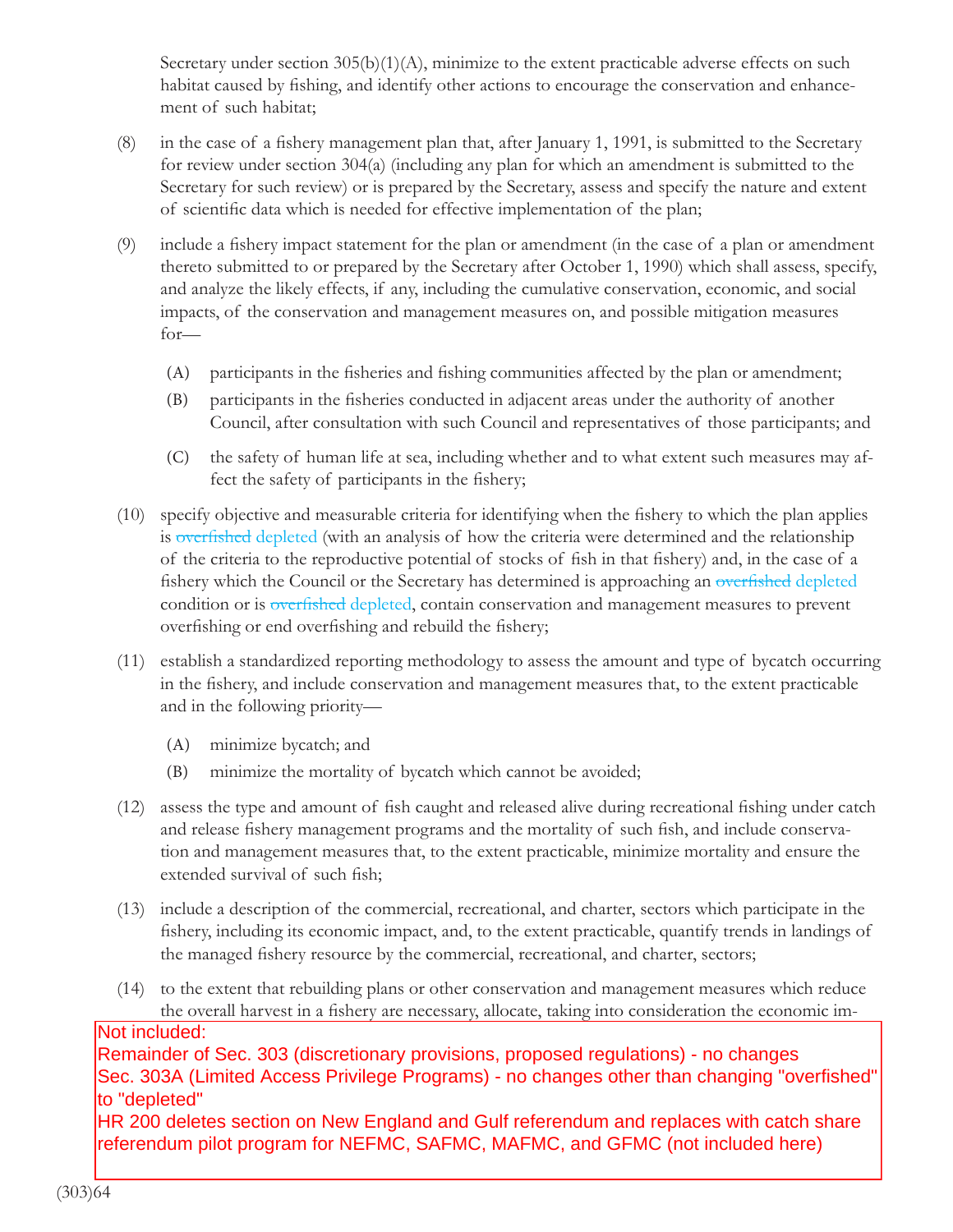Secretary under section  $305(b)(1)(A)$ , minimize to the extent practicable adverse effects on such habitat caused by fishing, and identify other actions to encourage the conservation and enhancement of such habitat;

- $(8)$  in the case of a fishery management plan that, after January 1, 1991, is submitted to the Secretary for review under section 304(a) (including any plan for which an amendment is submitted to the Secretary for such review) or is prepared by the Secretary, assess and specify the nature and extent of scientific data which is needed for effective implementation of the plan;
- (9) include a fishery impact statement for the plan or amendment (in the case of a plan or amendment thereto submitted to or prepared by the Secretary after October 1, 1990) which shall assess, specify, and analyze the likely effects, if any, including the cumulative conservation, economic, and social impacts, of the conservation and management measures on, and possible mitigation measures for—
	- (A) participants in the fisheries and fishing communities affected by the plan or amendment;
	- (B) participants in the fisheries conducted in adjacent areas under the authority of another Council, after consultation with such Council and representatives of those participants; and
	- (C) the safety of human life at sea, including whether and to what extent such measures may affect the safety of participants in the fishery;
- (10) specify objective and measurable criteria for identifying when the fishery to which the plan applies is overfished depleted (with an analysis of how the criteria were determined and the relationship of the criteria to the reproductive potential of stocks of fish in that fishery) and, in the case of a fishery which the Council or the Secretary has determined is approaching an overfished depleted condition or is overfished depleted, contain conservation and management measures to prevent overfishing or end overfishing and rebuild the fishery;
- (11) establish a standardized reporting methodology to assess the amount and type of bycatch occurring in the fishery, and include conservation and management measures that, to the extent practicable and in the following priority—
	- (A) minimize bycatch; and
	- (B) minimize the mortality of bycatch which cannot be avoided;
- (12) assess the type and amount of fish caught and released alive during recreational fishing under catch and release fishery management programs and the mortality of such fish, and include conservation and management measures that, to the extent practicable, minimize mortality and ensure the extended survival of such fish;
- (13) include a description of the commercial, recreational, and charter, sectors which participate in the fishery, including its economic impact, and, to the extent practicable, quantify trends in landings of the managed fishery resource by the commercial, recreational, and charter, sectors;
- (14) to the extent that rebuilding plans or other conservation and management measures which reduce the overall harvest in a fishery are necessary, allocate, taking into consideration the economic im-

#### $p$  and  $p$  the harvest restrictions or recovery benefits or recovery participants in each sector, any participants in each sector, any participants in each sector, any participants in each sector, any participants in eac Not included:

Remainder of Sec. 303 (discretionary provisions, proposed regulations) - no changes Sec. 303A (Limited Access Privilege Programs) - no changes other than changing "overfished" to "depleted"

to depreced<br>HR 200 deletes section on New England and Gulf referendum and replaces with catch share discussed sections on the manifestion and search conditions, and replaces not cation share a level shing does not occur in that of  $\frac{1}{2}$ the first program for the mo, or a mo, as a mo referendum pilot program for NEFMC, SAFMC, MAFMC, and GFMC (not included here)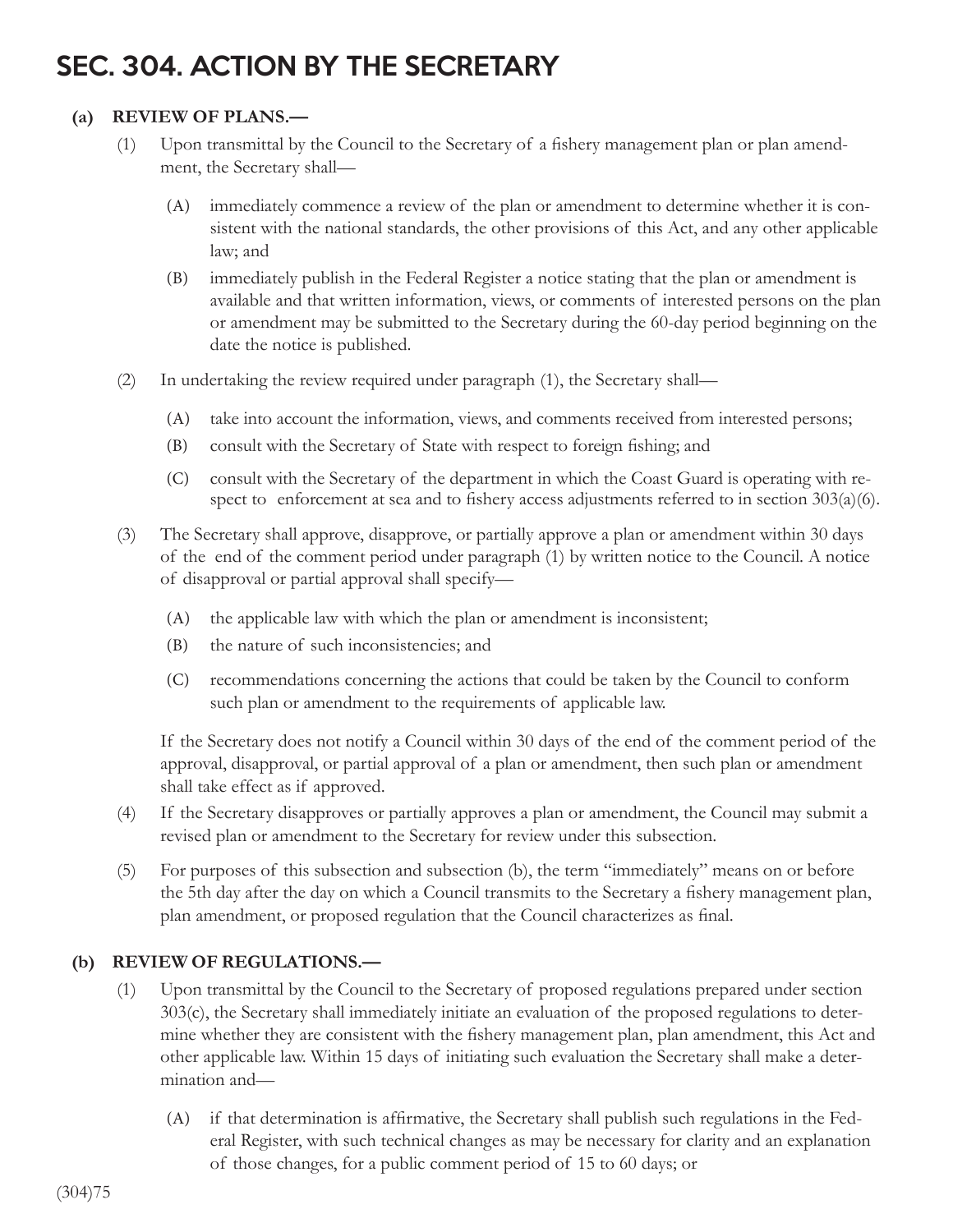# SEC. 304. ACTION BY THE SECRETARY

#### **(a) REVIEW OF PLANS.—**

- (1) Upon transmittal by the Council to the Secretary of a fishery management plan or plan amendment, the Secretary shall—
	- (A) immediately commence a review of the plan or amendment to determine whether it is consistent with the national standards, the other provisions of this Act, and any other applicable law; and
	- (B) immediately publish in the Federal Register a notice stating that the plan or amendment is available and that written information, views, or comments of interested persons on the plan or amendment may be submitted to the Secretary during the 60-day period beginning on the date the notice is published.
- (2) In undertaking the review required under paragraph (1), the Secretary shall—
	- (A) take into account the information, views, and comments received from interested persons;
	- (B) consult with the Secretary of State with respect to foreign fishing; and
	- (C) consult with the Secretary of the department in which the Coast Guard is operating with respect to enforcement at sea and to fishery access adjustments referred to in section  $303(a)(6)$ .
- (3) The Secretary shall approve, disapprove, or partially approve a plan or amendment within 30 days of the end of the comment period under paragraph (1) by written notice to the Council. A notice of disapproval or partial approval shall specify—
	- (A) the applicable law with which the plan or amendment is inconsistent;
	- (B) the nature of such inconsistencies; and
	- (C) recommendations concerning the actions that could be taken by the Council to conform such plan or amendment to the requirements of applicable law.

 If the Secretary does not notify a Council within 30 days of the end of the comment period of the approval, disapproval, or partial approval of a plan or amendment, then such plan or amendment shall take effect as if approved.

- (4) If the Secretary disapproves or partially approves a plan or amendment, the Council may submit a revised plan or amendment to the Secretary for review under this subsection.
- (5) For purposes of this subsection and subsection (b), the term "immediately" means on or before the 5th day after the day on which a Council transmits to the Secretary a fishery management plan, plan amendment, or proposed regulation that the Council characterizes as final.

#### **(b) REVIEW OF REGULATIONS.—**

- (1) Upon transmittal by the Council to the Secretary of proposed regulations prepared under section 303(c), the Secretary shall immediately initiate an evaluation of the proposed regulations to determine whether they are consistent with the fishery management plan, plan amendment, this Act and other applicable law. Within 15 days of initiating such evaluation the Secretary shall make a determination and—
	- (A) if that determination is affirmative, the Secretary shall publish such regulations in the Federal Register, with such technical changes as may be necessary for clarity and an explanation of those changes, for a public comment period of 15 to 60 days; or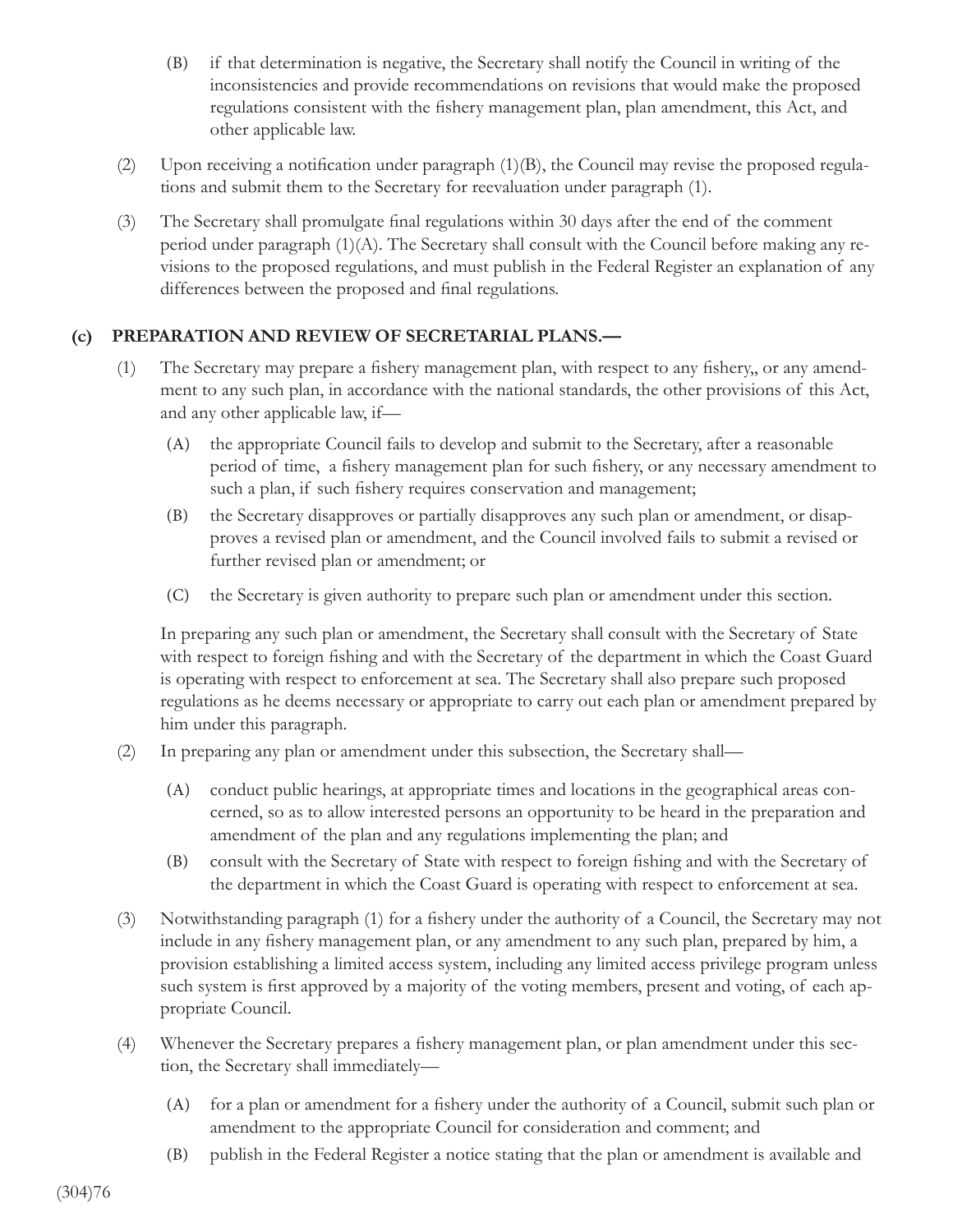- (B) if that determination is negative, the Secretary shall notify the Council in writing of the inconsistencies and provide recommendations on revisions that would make the proposed regulations consistent with the fishery management plan, plan amendment, this Act, and other applicable law.
- (2) Upon receiving a notification under paragraph  $(1)(B)$ , the Council may revise the proposed regulations and submit them to the Secretary for reevaluation under paragraph (1).
- (3) The Secretary shall promulgate final regulations within 30 days after the end of the comment period under paragraph (1)(A). The Secretary shall consult with the Council before making any revisions to the proposed regulations, and must publish in the Federal Register an explanation of any differences between the proposed and final regulations.

#### **(c) PREPARATION AND REVIEW OF SECRETARIAL PLANS.—**

- (1) The Secretary may prepare a fishery management plan, with respect to any fishery, or any amendment to any such plan, in accordance with the national standards, the other provisions of this Act, and any other applicable law, if—
	- (A) the appropriate Council fails to develop and submit to the Secretary, after a reasonable period of time, a fishery management plan for such fishery, or any necessary amendment to such a plan, if such fishery requires conservation and management;
	- (B) the Secretary disapproves or partially disapproves any such plan or amendment, or disapproves a revised plan or amendment, and the Council involved fails to submit a revised or further revised plan or amendment; or
	- (C) the Secretary is given authority to prepare such plan or amendment under this section.

 In preparing any such plan or amendment, the Secretary shall consult with the Secretary of State with respect to foreign fishing and with the Secretary of the department in which the Coast Guard is operating with respect to enforcement at sea. The Secretary shall also prepare such proposed regulations as he deems necessary or appropriate to carry out each plan or amendment prepared by him under this paragraph.

- (2) In preparing any plan or amendment under this subsection, the Secretary shall—
	- (A) conduct public hearings, at appropriate times and locations in the geographical areas concerned, so as to allow interested persons an opportunity to be heard in the preparation and amendment of the plan and any regulations implementing the plan; and
	- (B) consult with the Secretary of State with respect to foreign fishing and with the Secretary of the department in which the Coast Guard is operating with respect to enforcement at sea.
- (3) Notwithstanding paragraph (1) for a fishery under the authority of a Council, the Secretary may not include in any fishery management plan, or any amendment to any such plan, prepared by him, a provision establishing a limited access system, including any limited access privilege program unless such system is first approved by a majority of the voting members, present and voting, of each appropriate Council.
- (4) Whenever the Secretary prepares a fishery management plan, or plan amendment under this section, the Secretary shall immediately—
	- (A) for a plan or amendment for a fishery under the authority of a Council, submit such plan or amendment to the appropriate Council for consideration and comment; and
	- (B) publish in the Federal Register a notice stating that the plan or amendment is available and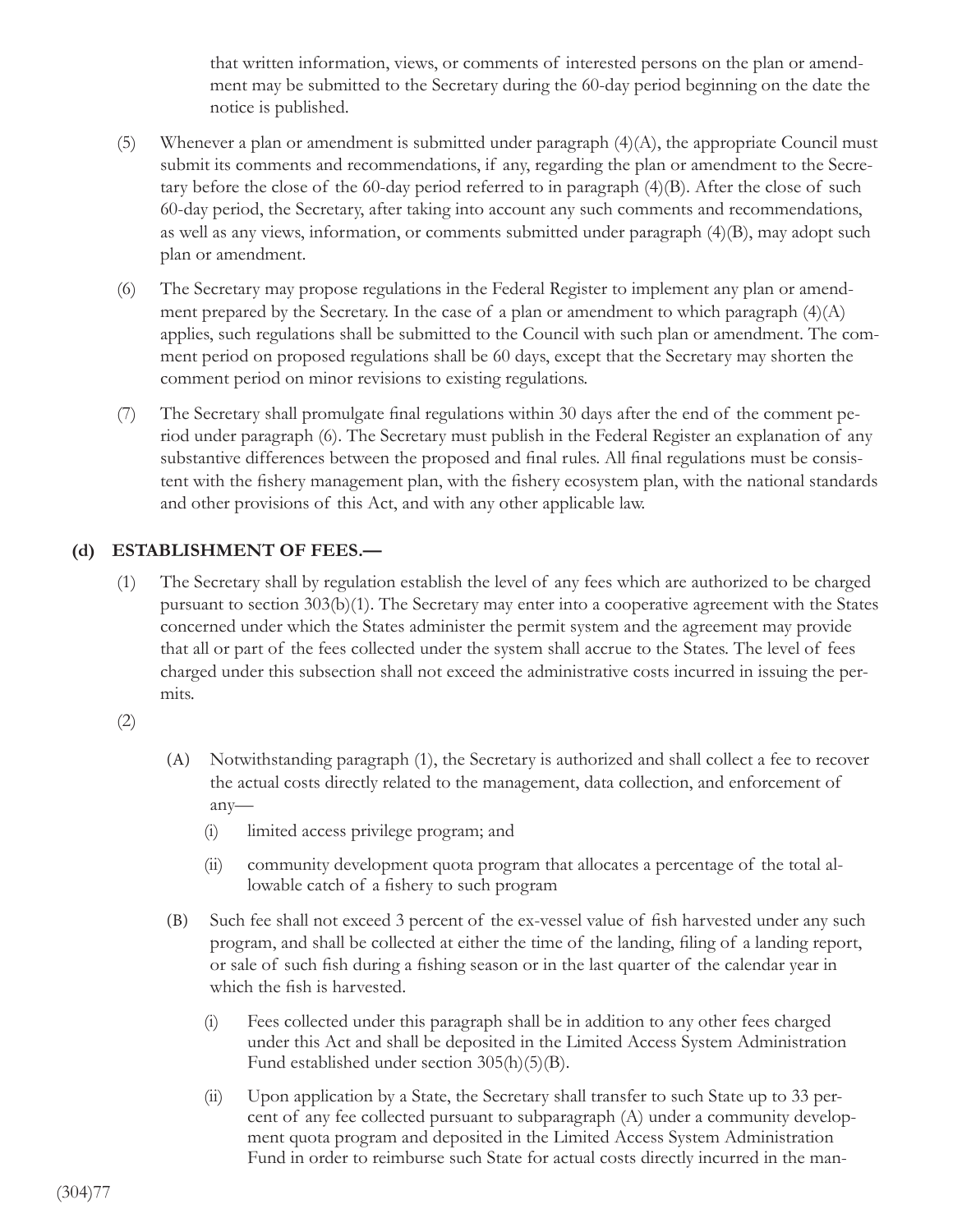that written information, views, or comments of interested persons on the plan or amendment may be submitted to the Secretary during the 60-day period beginning on the date the notice is published.

- (5) Whenever a plan or amendment is submitted under paragraph  $(4)(A)$ , the appropriate Council must submit its comments and recommendations, if any, regarding the plan or amendment to the Secretary before the close of the 60-day period referred to in paragraph (4)(B). After the close of such 60-day period, the Secretary, after taking into account any such comments and recommendations, as well as any views, information, or comments submitted under paragraph (4)(B), may adopt such plan or amendment.
- (6) The Secretary may propose regulations in the Federal Register to implement any plan or amendment prepared by the Secretary. In the case of a plan or amendment to which paragraph (4)(A) applies, such regulations shall be submitted to the Council with such plan or amendment. The comment period on proposed regulations shall be 60 days, except that the Secretary may shorten the comment period on minor revisions to existing regulations.
- (7) The Secretary shall promulgate final regulations within 30 days after the end of the comment period under paragraph (6). The Secretary must publish in the Federal Register an explanation of any substantive differences between the proposed and final rules. All final regulations must be consistent with the fishery management plan, with the fishery ecosystem plan, with the national standards and other provisions of this Act, and with any other applicable law.

#### **(d) ESTABLISHMENT OF FEES.—**

(1) The Secretary shall by regulation establish the level of any fees which are authorized to be charged pursuant to section 303(b)(1). The Secretary may enter into a cooperative agreement with the States concerned under which the States administer the permit system and the agreement may provide that all or part of the fees collected under the system shall accrue to the States. The level of fees charged under this subsection shall not exceed the administrative costs incurred in issuing the permits.

#### (2)

- (A) Notwithstanding paragraph (1), the Secretary is authorized and shall collect a fee to recover the actual costs directly related to the management, data collection, and enforcement of any—
	- (i) limited access privilege program; and
	- (ii) community development quota program that allocates a percentage of the total allowable catch of a fishery to such program
- (B) Such fee shall not exceed 3 percent of the ex-vessel value of fish harvested under any such program, and shall be collected at either the time of the landing, filing of a landing report, or sale of such fish during a fishing season or in the last quarter of the calendar year in which the fish is harvested.
	- (i) Fees collected under this paragraph shall be in addition to any other fees charged under this Act and shall be deposited in the Limited Access System Administration Fund established under section 305(h)(5)(B).
	- (ii) Upon application by a State, the Secretary shall transfer to such State up to 33 percent of any fee collected pursuant to subparagraph (A) under a community development quota program and deposited in the Limited Access System Administration Fund in order to reimburse such State for actual costs directly incurred in the man-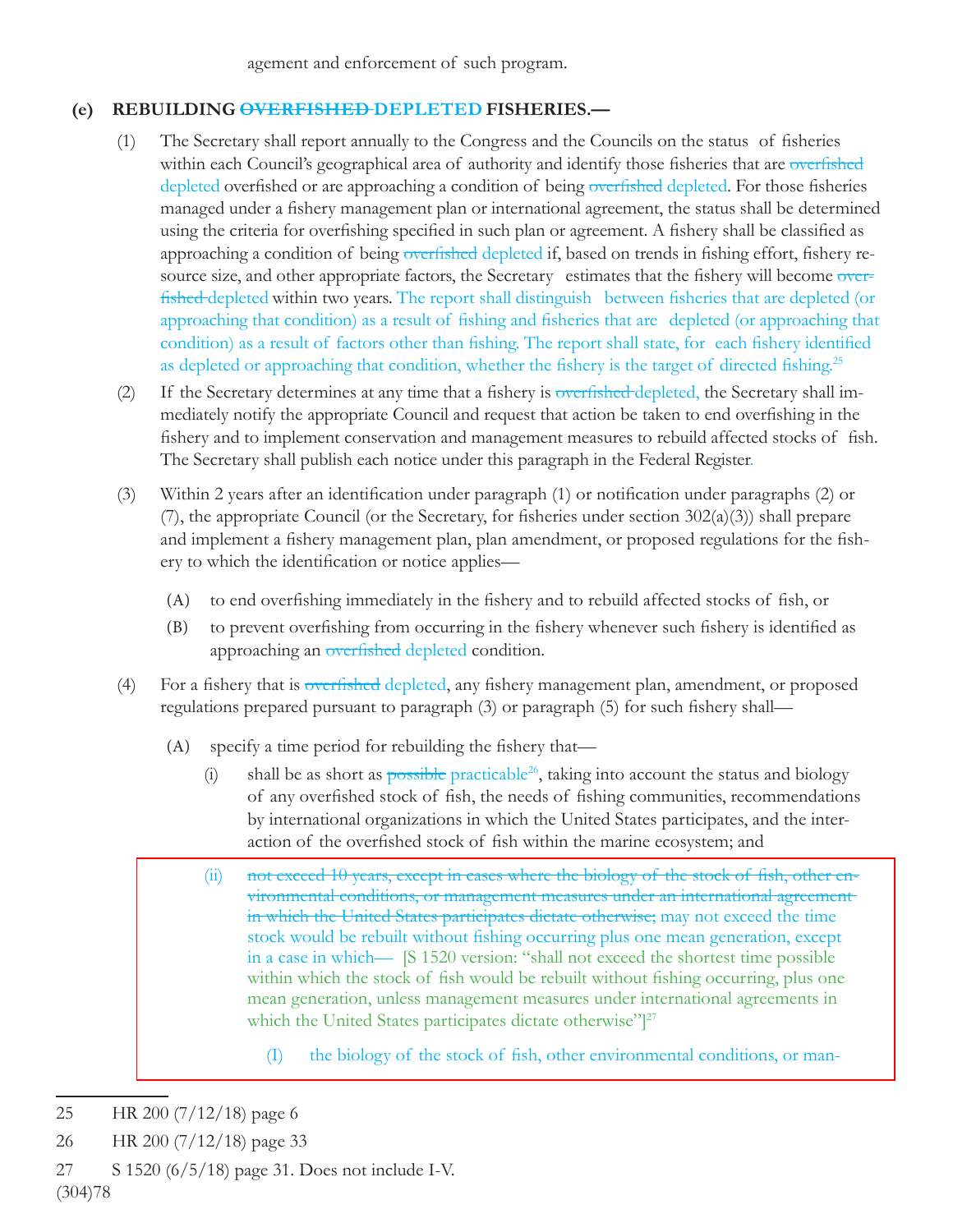agement and enforcement of such program.

#### **(e) REBUILDING OVERFISHED DEPLETED FISHERIES.—**

- (1) The Secretary shall report annually to the Congress and the Councils on the status of fisheries within each Council's geographical area of authority and identify those fisheries that are overfished depleted overfished or are approaching a condition of being overfished depleted. For those fisheries managed under a fishery management plan or international agreement, the status shall be determined using the criteria for overfishing specified in such plan or agreement. A fishery shall be classified as approaching a condition of being overfished depleted if, based on trends in fishing effort, fishery resource size, and other appropriate factors, the Secretary estimates that the fishery will become overfished depleted within two years. The report shall distinguish between fisheries that are depleted (or approaching that condition) as a result of fishing and fisheries that are depleted (or approaching that condition) as a result of factors other than fishing. The report shall state, for each fishery identified as depleted or approaching that condition, whether the fishery is the target of directed fishing.<sup>25</sup>
- (2) If the Secretary determines at any time that a fishery is overfished depleted, the Secretary shall immediately notify the appropriate Council and request that action be taken to end overfishing in the fishery and to implement conservation and management measures to rebuild affected stocks of fish. The Secretary shall publish each notice under this paragraph in the Federal Register.
- (3) Within 2 years after an identification under paragraph (1) or notification under paragraphs (2) or (7), the appropriate Council (or the Secretary, for fisheries under section  $302(a)(3)$ ) shall prepare and implement a fishery management plan, plan amendment, or proposed regulations for the fishery to which the identification or notice applies—
	- (A) to end overfishing immediately in the fishery and to rebuild affected stocks of fish, or
	- (B) to prevent overfishing from occurring in the fishery whenever such fishery is identified as approaching an overfished depleted condition.
- (4) For a fishery that is <del>overfished</del> depleted, any fishery management plan, amendment, or proposed regulations prepared pursuant to paragraph (3) or paragraph (5) for such fishery shall—
	- (A) specify a time period for rebuilding the fishery that—
		- (i) shall be as short as possible practicable<sup>26</sup>, taking into account the status and biology of any overfished stock of fish, the needs of fishing communities, recommendations by international organizations in which the United States participates, and the interaction of the overfished stock of fish within the marine ecosystem; and
		- (ii) not exceed 10 years, except in cases where the biology of the stock of fish, other environmental conditions, or management measures under an international agreement in which the United States participates dictate otherwise; may not exceed the time stock would be rebuilt without fishing occurring plus one mean generation, except in a case in which— [S 1520 version: "shall not exceed the shortest time possible within which the stock of fish would be rebuilt without fishing occurring, plus one mean generation, unless management measures under international agreements in which the United States participates dictate otherwise"]<sup>27</sup>
			- (I) the biology of the stock of fish, other environmental conditions, or man-

25 HR 200 (7/12/18) page 6

- 26 HR 200 (7/12/18) page 33
- 27 S 1520 (6/5/18) page 31. Does not include I-V.

(304)78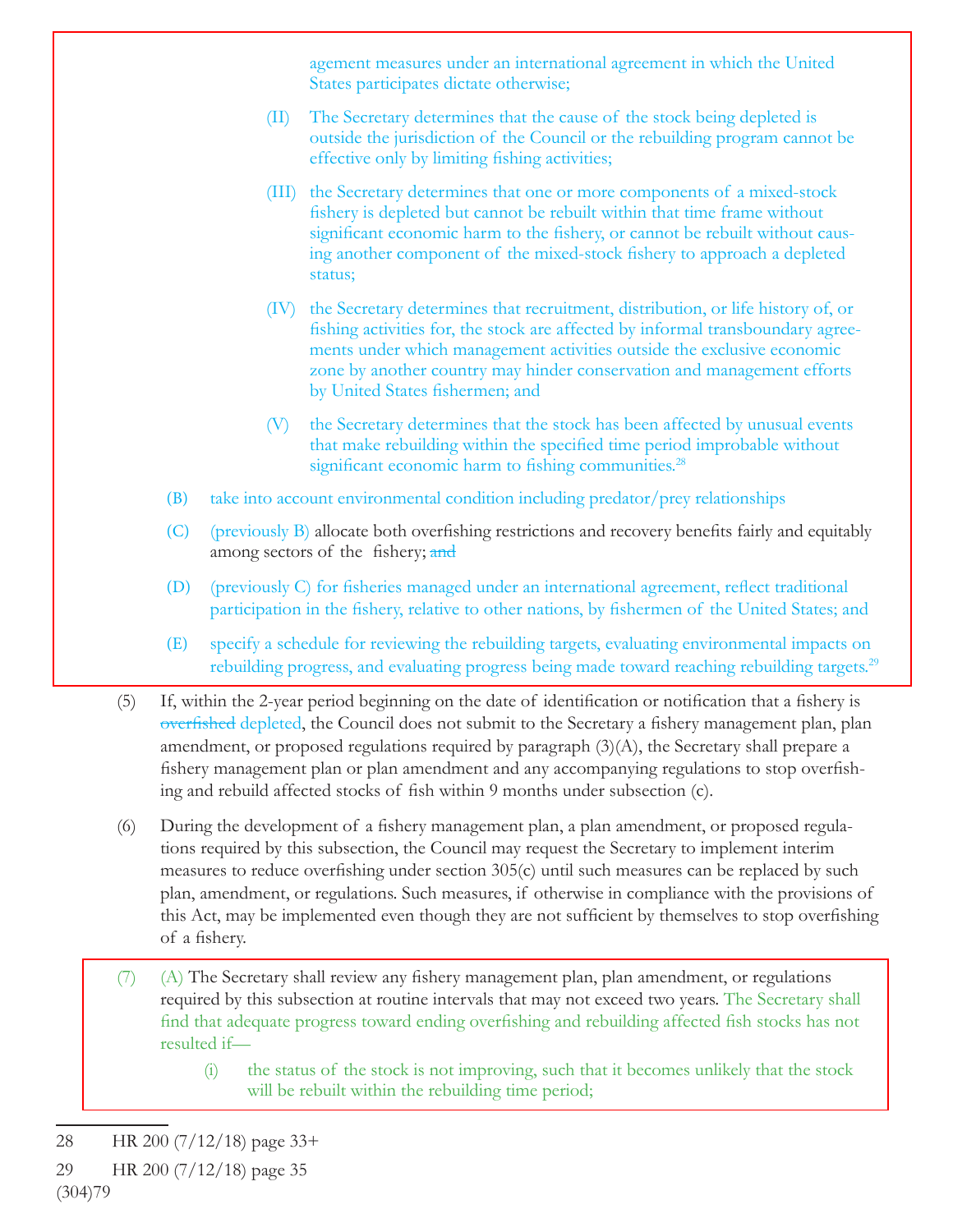agement measures under an international agreement in which the United States participates dictate otherwise;

- (II) The Secretary determines that the cause of the stock being depleted is outside the jurisdiction of the Council or the rebuilding program cannot be effective only by limiting fishing activities;
- (III) the Secretary determines that one or more components of a mixed-stock fishery is depleted but cannot be rebuilt within that time frame without significant economic harm to the fishery, or cannot be rebuilt without causing another component of the mixed-stock fishery to approach a depleted status;
- (IV) the Secretary determines that recruitment, distribution, or life history of, or fishing activities for, the stock are affected by informal transboundary agreements under which management activities outside the exclusive economic zone by another country may hinder conservation and management efforts by United States fishermen; and
- (V) the Secretary determines that the stock has been affected by unusual events that make rebuilding within the specified time period improbable without significant economic harm to fishing communities.<sup>28</sup>
- (B) take into account environmental condition including predator/prey relationships
- (C) (previously  $B$ ) allocate both overfishing restrictions and recovery benefits fairly and equitably among sectors of the fishery; and
- (D) (previously C) for fisheries managed under an international agreement, reflect traditional participation in the fishery, relative to other nations, by fishermen of the United States; and
- (E) specify a schedule for reviewing the rebuilding targets, evaluating environmental impacts on rebuilding progress, and evaluating progress being made toward reaching rebuilding targets.<sup>29</sup>
- (5) If, within the 2-year period beginning on the date of identification or notification that a fishery is overfished depleted, the Council does not submit to the Secretary a fishery management plan, plan amendment, or proposed regulations required by paragraph (3)(A), the Secretary shall prepare a fishery management plan or plan amendment and any accompanying regulations to stop overfishing and rebuild affected stocks of fish within 9 months under subsection (c).
- (6) During the development of a fishery management plan, a plan amendment, or proposed regulations required by this subsection, the Council may request the Secretary to implement interim measures to reduce overfishing under section  $305(c)$  until such measures can be replaced by such plan, amendment, or regulations. Such measures, if otherwise in compliance with the provisions of this Act, may be implemented even though they are not sufficient by themselves to stop overfishing of a fishery.
- (7) (A) The Secretary shall review any fishery management plan, plan amendment, or regulations required by this subsection at routine intervals that may not exceed two years. The Secretary shall find that adequate progress toward ending overfishing and rebuilding affected fish stocks has not resulted if—
	- (i) the status of the stock is not improving, such that it becomes unlikely that the stock will be rebuilt within the rebuilding time period;

<sup>28</sup> HR 200 (7/12/18) page 33+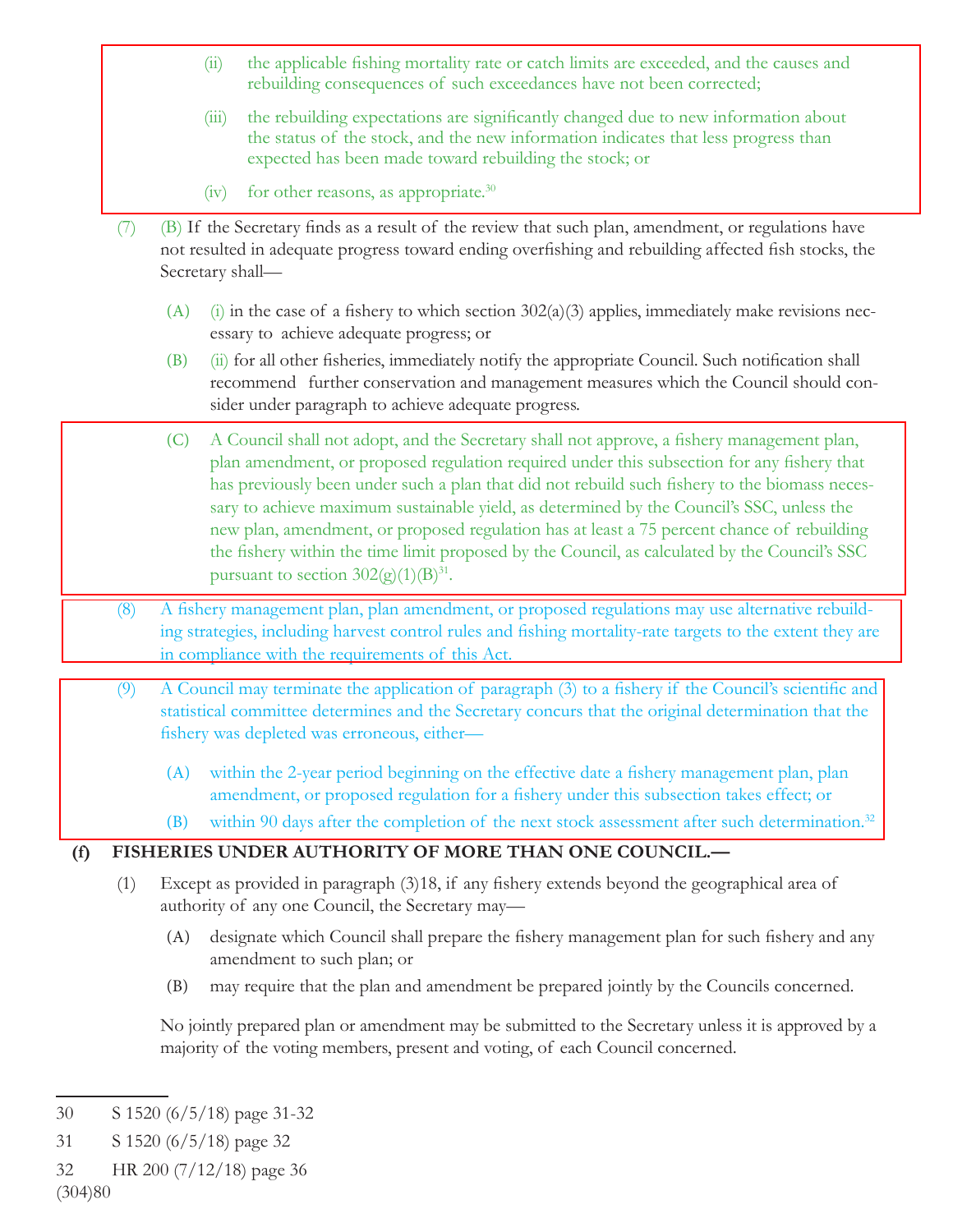- (ii) the applicable fishing mortality rate or catch limits are exceeded, and the causes and rebuilding consequences of such exceedances have not been corrected;
- (iii) the rebuilding expectations are significantly changed due to new information about the status of the stock, and the new information indicates that less progress than expected has been made toward rebuilding the stock; or
- $(iv)$  for other reasons, as appropriate.<sup>30</sup>
- (7) (B) If the Secretary finds as a result of the review that such plan, amendment, or regulations have not resulted in adequate progress toward ending overfishing and rebuilding affected fish stocks, the Secretary shall—
	- (A) (i) in the case of a fishery to which section  $302(a)(3)$  applies, immediately make revisions necessary to achieve adequate progress; or
	- (B) (ii) for all other fisheries, immediately notify the appropriate Council. Such notification shall recommend further conservation and management measures which the Council should consider under paragraph to achieve adequate progress.
	- (C) A Council shall not adopt, and the Secretary shall not approve, a fishery management plan, plan amendment, or proposed regulation required under this subsection for any fishery that has previously been under such a plan that did not rebuild such fishery to the biomass necessary to achieve maximum sustainable yield, as determined by the Council's SSC, unless the new plan, amendment, or proposed regulation has at least a 75 percent chance of rebuilding the fishery within the time limit proposed by the Council, as calculated by the Council's SSC pursuant to section  $302(g)(1)(B)^{31}$ .
- (8) A fishery management plan, plan amendment, or proposed regulations may use alternative rebuilding strategies, including harvest control rules and fishing mortality-rate targets to the extent they are in compliance with the requirements of this Act.
- (9) A Council may terminate the application of paragraph  $(3)$  to a fishery if the Council's scientific and statistical committee determines and the Secretary concurs that the original determination that the fishery was depleted was erroneous, either—
	- (A) within the 2-year period beginning on the effective date a fishery management plan, plan amendment, or proposed regulation for a fishery under this subsection takes effect; or
	- (B) within 90 days after the completion of the next stock assessment after such determination.32

#### **(f) FISHERIES UNDER AUTHORITY OF MORE THAN ONE COUNCIL.—**

- $(1)$  Except as provided in paragraph  $(3)18$ , if any fishery extends beyond the geographical area of authority of any one Council, the Secretary may—
	- (A) designate which Council shall prepare the fishery management plan for such fishery and any amendment to such plan; or
	- (B) may require that the plan and amendment be prepared jointly by the Councils concerned.

 No jointly prepared plan or amendment may be submitted to the Secretary unless it is approved by a majority of the voting members, present and voting, of each Council concerned.

31 S 1520 (6/5/18) page 32

(304)80

<sup>30</sup> S 1520 (6/5/18) page 31-32

<sup>32</sup> HR 200 (7/12/18) page 36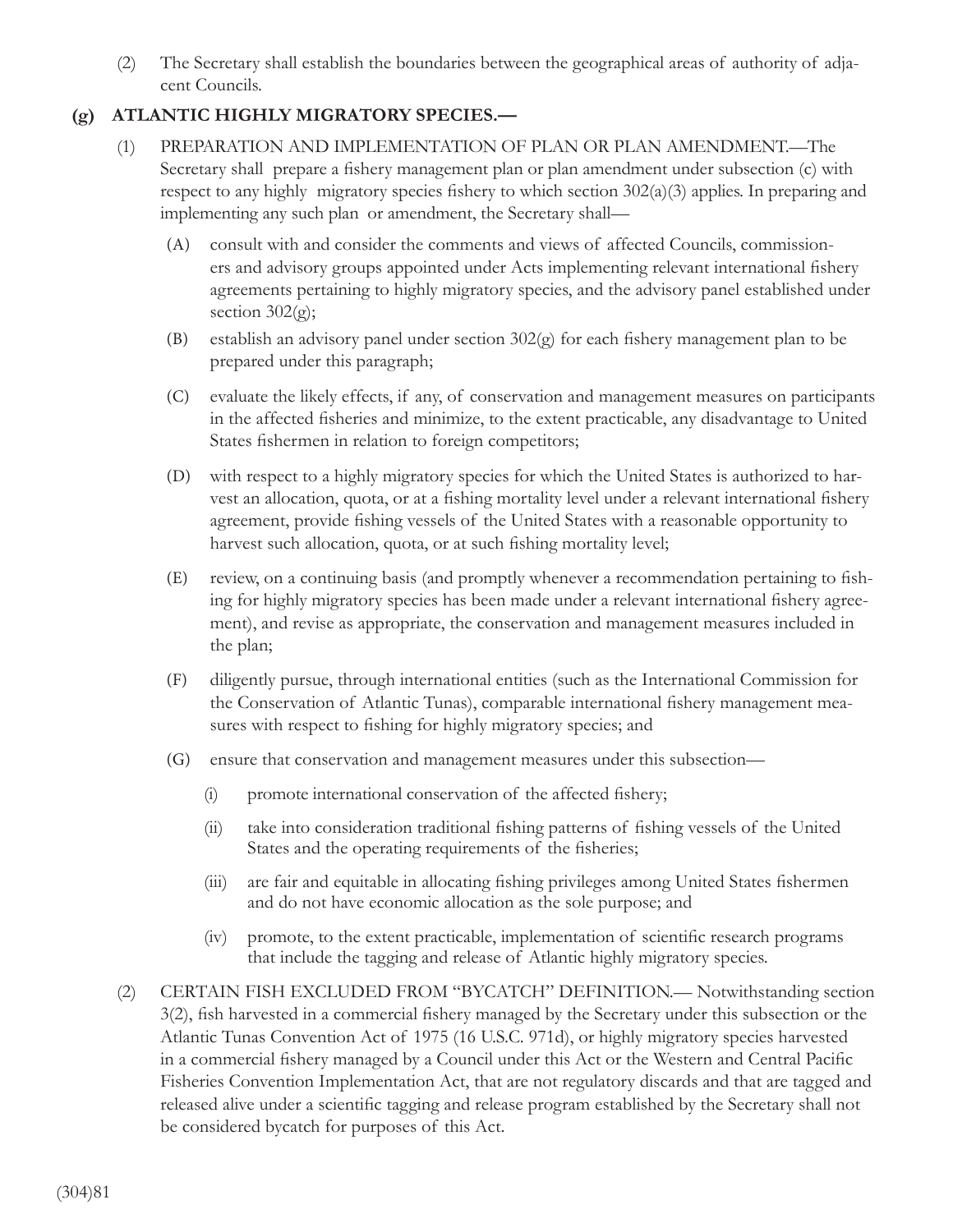(2) The Secretary shall establish the boundaries between the geographical areas of authority of adjacent Councils.

#### **(g) ATLANTIC HIGHLY MIGRATORY SPECIES.—**

- (1) PREPARATION AND IMPLEMENTATION OF PLAN OR PLAN AMENDMENT.—The Secretary shall prepare a fishery management plan or plan amendment under subsection (c) with respect to any highly migratory species fishery to which section  $302(a)(3)$  applies. In preparing and implementing any such plan or amendment, the Secretary shall—
	- (A) consult with and consider the comments and views of affected Councils, commissioners and advisory groups appointed under Acts implementing relevant international fishery agreements pertaining to highly migratory species, and the advisory panel established under section  $302(g)$ ;
	- (B) establish an advisory panel under section  $302(g)$  for each fishery management plan to be prepared under this paragraph;
	- (C) evaluate the likely effects, if any, of conservation and management measures on participants in the affected fisheries and minimize, to the extent practicable, any disadvantage to United States fishermen in relation to foreign competitors;
	- (D) with respect to a highly migratory species for which the United States is authorized to harvest an allocation, quota, or at a fishing mortality level under a relevant international fishery agreement, provide fishing vessels of the United States with a reasonable opportunity to harvest such allocation, quota, or at such fishing mortality level;
	- (E) review, on a continuing basis (and promptly whenever a recommendation pertaining to fishing for highly migratory species has been made under a relevant international fishery agreement), and revise as appropriate, the conservation and management measures included in the plan;
	- (F) diligently pursue, through international entities (such as the International Commission for the Conservation of Atlantic Tunas), comparable international fishery management measures with respect to fishing for highly migratory species; and
	- (G) ensure that conservation and management measures under this subsection—
		- (i) promote international conservation of the affected fishery;
		- (ii) take into consideration traditional fishing patterns of fishing vessels of the United States and the operating requirements of the fisheries;
		- (iii) are fair and equitable in allocating fishing privileges among United States fishermen and do not have economic allocation as the sole purpose; and
		- (iv) promote, to the extent practicable, implementation of scientific research programs that include the tagging and release of Atlantic highly migratory species.
- (2) CERTAIN FISH EXCLUDED FROM "BYCATCH" DEFINITION.— Notwithstanding section 3(2), fish harvested in a commercial fishery managed by the Secretary under this subsection or the Atlantic Tunas Convention Act of 1975 (16 U.S.C. 971d), or highly migratory species harvested in a commercial fishery managed by a Council under this Act or the Western and Central Pacific Fisheries Convention Implementation Act, that are not regulatory discards and that are tagged and released alive under a scientific tagging and release program established by the Secretary shall not be considered bycatch for purposes of this Act.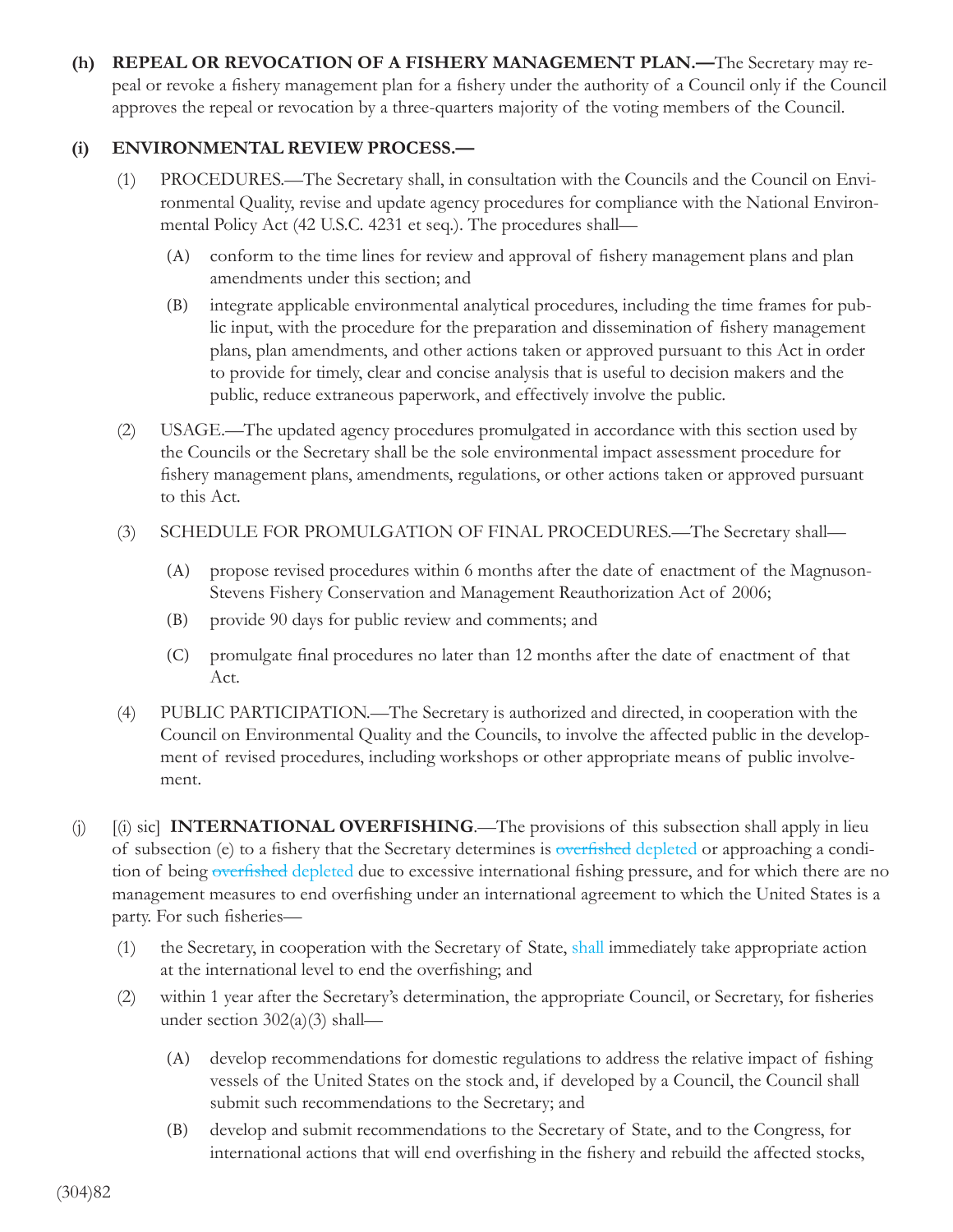**(h) REPEAL OR REVOCATION OF A FISHERY MANAGEMENT PLAN.—**The Secretary may repeal or revoke a fishery management plan for a fishery under the authority of a Council only if the Council approves the repeal or revocation by a three-quarters majority of the voting members of the Council.

#### **(i) ENVIRONMENTAL REVIEW PROCESS.—**

- (1) PROCEDURES.—The Secretary shall, in consultation with the Councils and the Council on Environmental Quality, revise and update agency procedures for compliance with the National Environmental Policy Act (42 U.S.C. 4231 et seq.). The procedures shall—
	- (A) conform to the time lines for review and approval of fishery management plans and plan amendments under this section; and
	- (B) integrate applicable environmental analytical procedures, including the time frames for public input, with the procedure for the preparation and dissemination of fishery management plans, plan amendments, and other actions taken or approved pursuant to this Act in order to provide for timely, clear and concise analysis that is useful to decision makers and the public, reduce extraneous paperwork, and effectively involve the public.
- (2) USAGE.—The updated agency procedures promulgated in accordance with this section used by the Councils or the Secretary shall be the sole environmental impact assessment procedure for fishery management plans, amendments, regulations, or other actions taken or approved pursuant to this Act.
- (3) SCHEDULE FOR PROMULGATION OF FINAL PROCEDURES.—The Secretary shall—
	- (A) propose revised procedures within 6 months after the date of enactment of the Magnuson-Stevens Fishery Conservation and Management Reauthorization Act of 2006;
	- (B) provide 90 days for public review and comments; and
	- (C) promulgate final procedures no later than 12 months after the date of enactment of that Act.
- (4) PUBLIC PARTICIPATION.—The Secretary is authorized and directed, in cooperation with the Council on Environmental Quality and the Councils, to involve the affected public in the development of revised procedures, including workshops or other appropriate means of public involvement.
- (j) [(i) sic] **INTERNATIONAL OVERFISHING**.—The provisions of this subsection shall apply in lieu of subsection (e) to a fishery that the Secretary determines is overfished depleted or approaching a condition of being overfished depleted due to excessive international fishing pressure, and for which there are no management measures to end overfishing under an international agreement to which the United States is a party. For such fisheries—
	- (1) the Secretary, in cooperation with the Secretary of State, shall immediately take appropriate action at the international level to end the overfishing; and
	- (2) within 1 year after the Secretary's determination, the appropriate Council, or Secretary, for fisheries under section  $302(a)(3)$  shall—
		- (A) develop recommendations for domestic regulations to address the relative impact of fishing vessels of the United States on the stock and, if developed by a Council, the Council shall submit such recommendations to the Secretary; and
		- (B) develop and submit recommendations to the Secretary of State, and to the Congress, for international actions that will end overfishing in the fishery and rebuild the affected stocks,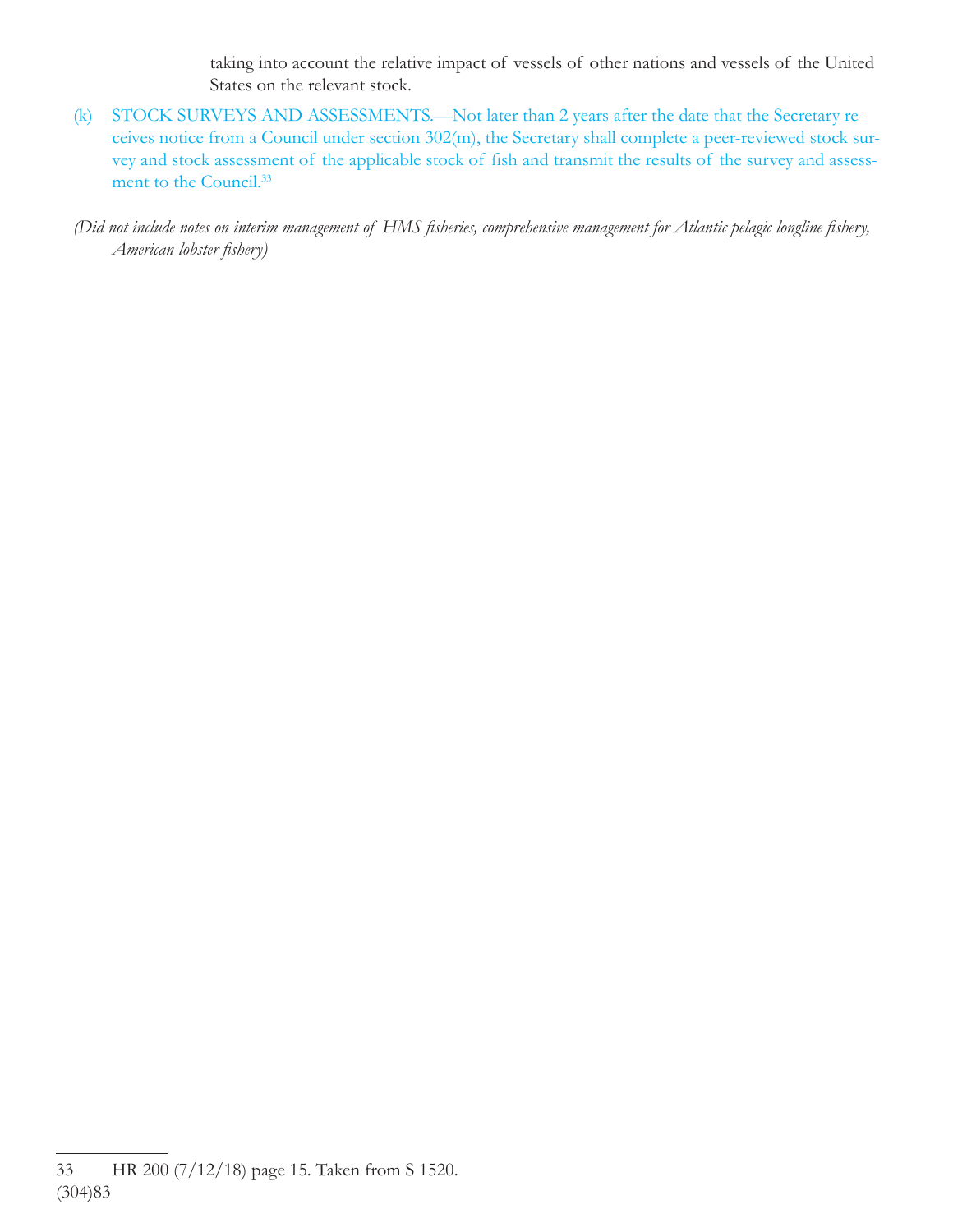taking into account the relative impact of vessels of other nations and vessels of the United States on the relevant stock.

- (k) STOCK SURVEYS AND ASSESSMENTS.—Not later than 2 years after the date that the Secretary receives notice from a Council under section 302(m), the Secretary shall complete a peer-reviewed stock survey and stock assessment of the applicable stock of fish and transmit the results of the survey and assessment to the Council.<sup>33</sup>
- *(Did not include notes on interim management of HMS fisheries, comprehensive management for Atlantic pelagic longline fishery, American lobster fi shery)*

<sup>(304)83</sup> 33 HR 200 (7/12/18) page 15. Taken from S 1520.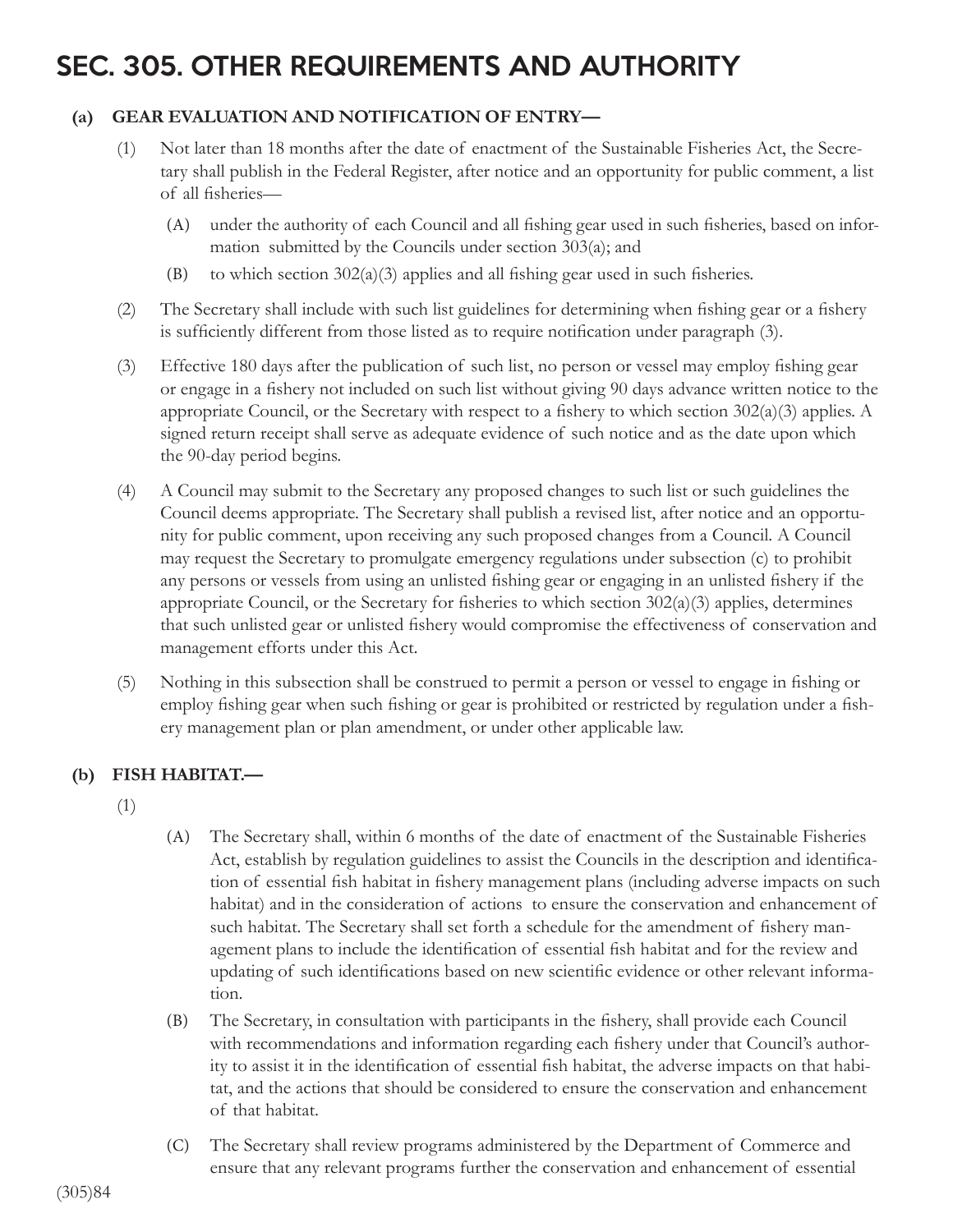# SEC. 305. OTHER REQUIREMENTS AND AUTHORITY

#### **(a) GEAR EVALUATION AND NOTIFICATION OF ENTRY—**

- (1) Not later than 18 months after the date of enactment of the Sustainable Fisheries Act, the Secretary shall publish in the Federal Register, after notice and an opportunity for public comment, a list of all fisheries-
	- (A) under the authority of each Council and all fishing gear used in such fisheries, based on information submitted by the Councils under section 303(a); and
	- (B) to which section  $302(a)(3)$  applies and all fishing gear used in such fisheries.
- (2) The Secretary shall include with such list guidelines for determining when fishing gear or a fishery is sufficiently different from those listed as to require notification under paragraph (3).
- (3) Effective 180 days after the publication of such list, no person or vessel may employ fishing gear or engage in a fishery not included on such list without giving 90 days advance written notice to the appropriate Council, or the Secretary with respect to a fishery to which section  $302(a)(3)$  applies. A signed return receipt shall serve as adequate evidence of such notice and as the date upon which the 90-day period begins.
- (4) A Council may submit to the Secretary any proposed changes to such list or such guidelines the Council deems appropriate. The Secretary shall publish a revised list, after notice and an opportunity for public comment, upon receiving any such proposed changes from a Council. A Council may request the Secretary to promulgate emergency regulations under subsection (c) to prohibit any persons or vessels from using an unlisted fishing gear or engaging in an unlisted fishery if the appropriate Council, or the Secretary for fisheries to which section  $302(a)(3)$  applies, determines that such unlisted gear or unlisted fishery would compromise the effectiveness of conservation and management efforts under this Act.
- (5) Nothing in this subsection shall be construed to permit a person or vessel to engage in fishing or employ fishing gear when such fishing or gear is prohibited or restricted by regulation under a fishery management plan or plan amendment, or under other applicable law.

#### **(b) FISH HABITAT.—**

- (1)
- (A) The Secretary shall, within 6 months of the date of enactment of the Sustainable Fisheries Act, establish by regulation guidelines to assist the Councils in the description and identification of essential fish habitat in fishery management plans (including adverse impacts on such habitat) and in the consideration of actions to ensure the conservation and enhancement of such habitat. The Secretary shall set forth a schedule for the amendment of fishery management plans to include the identification of essential fish habitat and for the review and updating of such identifications based on new scientific evidence or other relevant information.
- (B) The Secretary, in consultation with participants in the fishery, shall provide each Council with recommendations and information regarding each fishery under that Council's authority to assist it in the identification of essential fish habitat, the adverse impacts on that habitat, and the actions that should be considered to ensure the conservation and enhancement of that habitat.
- (C) The Secretary shall review programs administered by the Department of Commerce and ensure that any relevant programs further the conservation and enhancement of essential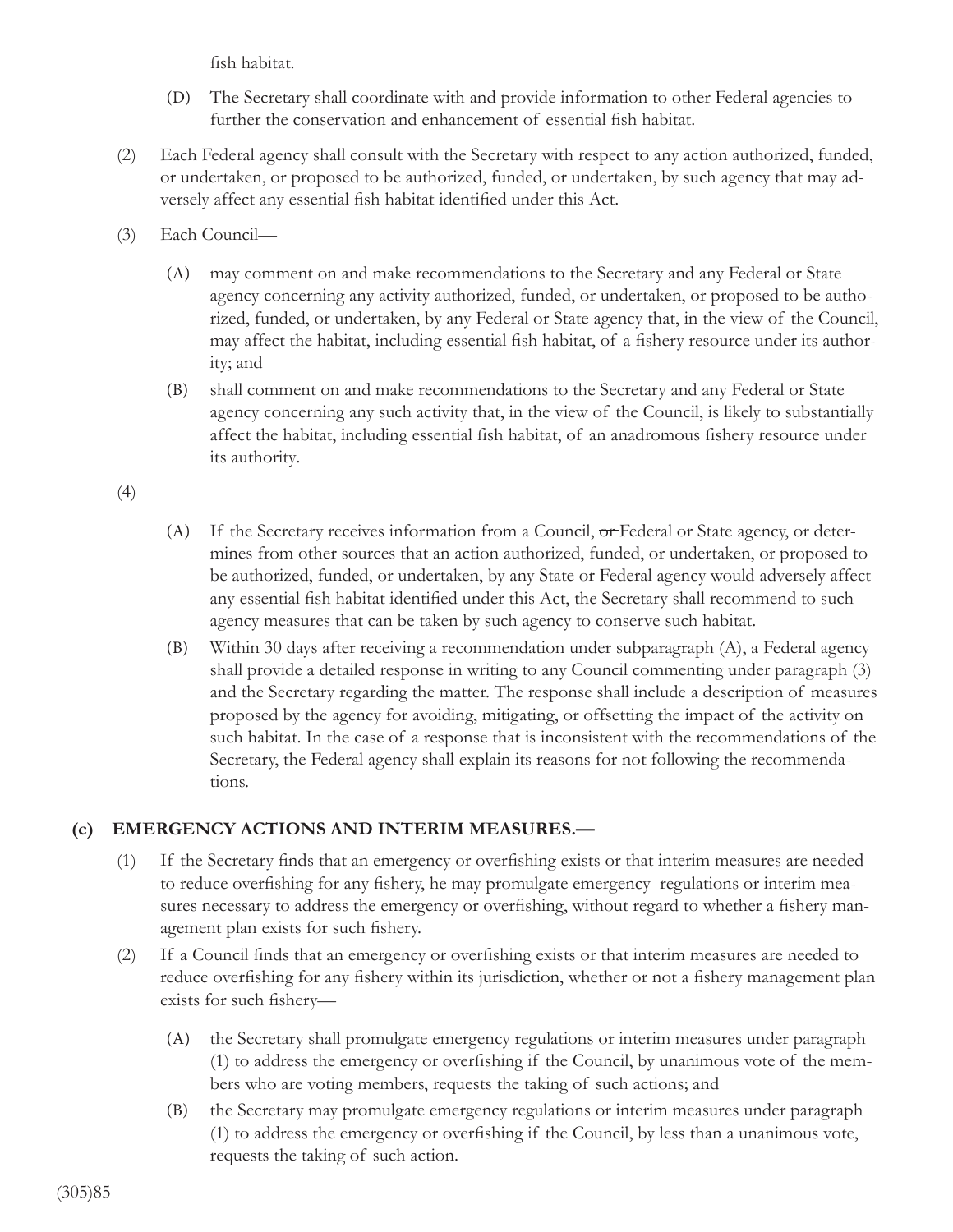fish habitat.

- (D) The Secretary shall coordinate with and provide information to other Federal agencies to further the conservation and enhancement of essential fish habitat.
- (2) Each Federal agency shall consult with the Secretary with respect to any action authorized, funded, or undertaken, or proposed to be authorized, funded, or undertaken, by such agency that may adversely affect any essential fish habitat identified under this Act.
- (3) Each Council—
	- (A) may comment on and make recommendations to the Secretary and any Federal or State agency concerning any activity authorized, funded, or undertaken, or proposed to be authorized, funded, or undertaken, by any Federal or State agency that, in the view of the Council, may affect the habitat, including essential fish habitat, of a fishery resource under its authority; and
	- (B) shall comment on and make recommendations to the Secretary and any Federal or State agency concerning any such activity that, in the view of the Council, is likely to substantially affect the habitat, including essential fish habitat, of an anadromous fishery resource under its authority.

(4)

- (A) If the Secretary receives information from a Council, or Federal or State agency, or determines from other sources that an action authorized, funded, or undertaken, or proposed to be authorized, funded, or undertaken, by any State or Federal agency would adversely affect any essential fish habitat identified under this Act, the Secretary shall recommend to such agency measures that can be taken by such agency to conserve such habitat.
- (B) Within 30 days after receiving a recommendation under subparagraph (A), a Federal agency shall provide a detailed response in writing to any Council commenting under paragraph (3) and the Secretary regarding the matter. The response shall include a description of measures proposed by the agency for avoiding, mitigating, or offsetting the impact of the activity on such habitat. In the case of a response that is inconsistent with the recommendations of the Secretary, the Federal agency shall explain its reasons for not following the recommendations.

#### **(c) EMERGENCY ACTIONS AND INTERIM MEASURES.—**

- (1) If the Secretary finds that an emergency or overfishing exists or that interim measures are needed to reduce overfishing for any fishery, he may promulgate emergency regulations or interim measures necessary to address the emergency or overfishing, without regard to whether a fishery management plan exists for such fishery.
- (2) If a Council finds that an emergency or overfishing exists or that interim measures are needed to reduce overfishing for any fishery within its jurisdiction, whether or not a fishery management plan exists for such fishery-
	- (A) the Secretary shall promulgate emergency regulations or interim measures under paragraph  $(1)$  to address the emergency or overfishing if the Council, by unanimous vote of the members who are voting members, requests the taking of such actions; and
	- (B) the Secretary may promulgate emergency regulations or interim measures under paragraph (1) to address the emergency or overfishing if the Council, by less than a unanimous vote, requests the taking of such action.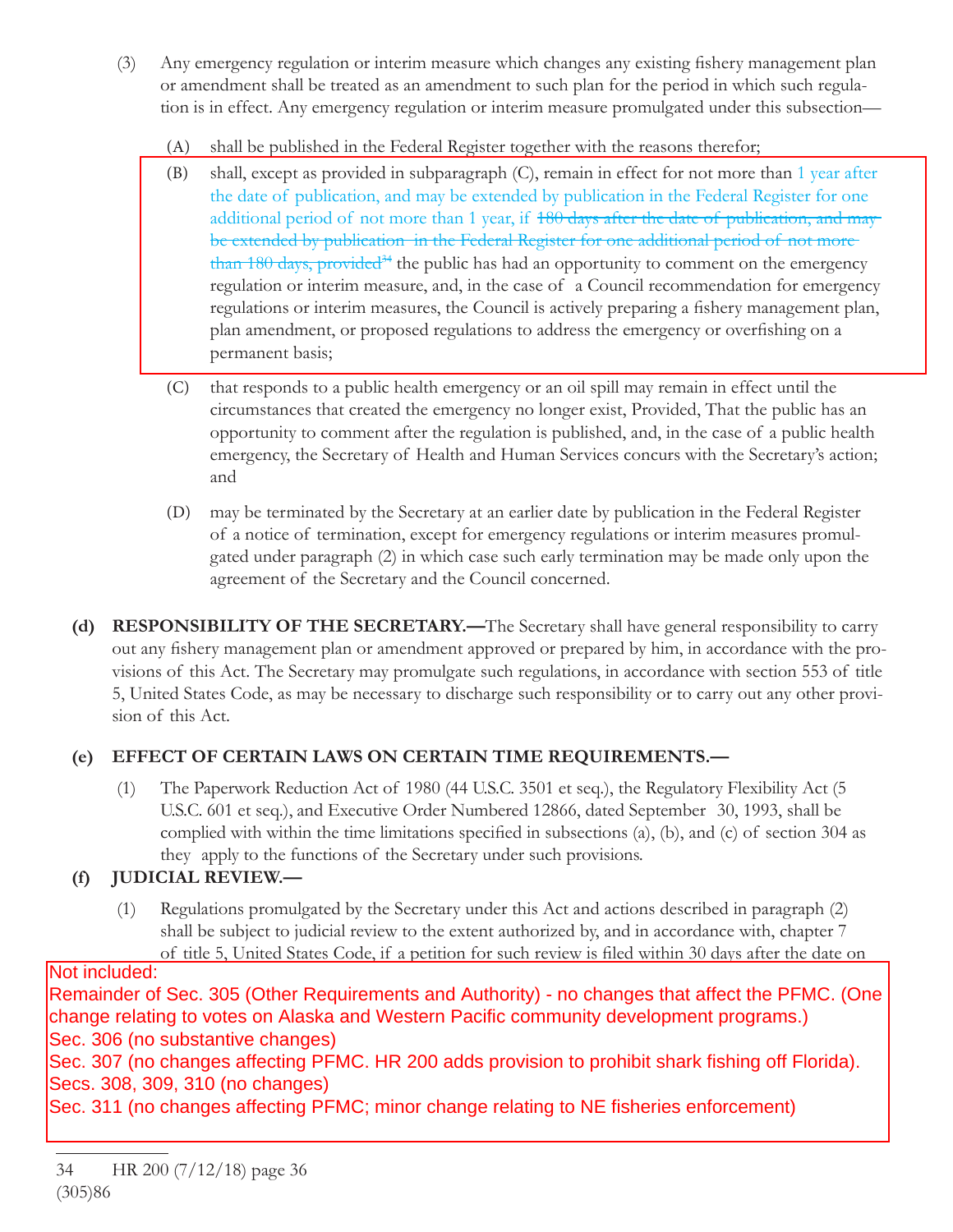- (3) Any emergency regulation or interim measure which changes any existing fishery management plan or amendment shall be treated as an amendment to such plan for the period in which such regulation is in effect. Any emergency regulation or interim measure promulgated under this subsection—
	- (A) shall be published in the Federal Register together with the reasons therefor;
	- (B) shall, except as provided in subparagraph (C), remain in effect for not more than 1 year after the date of publication, and may be extended by publication in the Federal Register for one additional period of not more than 1 year, if 180 days after the date of publication, and may be extended by publication in the Federal Register for one additional period of not more  $t$ han 180 days, provided<sup>34</sup> the public has had an opportunity to comment on the emergency regulation or interim measure, and, in the case of a Council recommendation for emergency regulations or interim measures, the Council is actively preparing a fishery management plan, plan amendment, or proposed regulations to address the emergency or overfishing on a permanent basis;
	- (C) that responds to a public health emergency or an oil spill may remain in effect until the circumstances that created the emergency no longer exist, Provided, That the public has an opportunity to comment after the regulation is published, and, in the case of a public health emergency, the Secretary of Health and Human Services concurs with the Secretary's action; and
	- (D) may be terminated by the Secretary at an earlier date by publication in the Federal Register of a notice of termination, except for emergency regulations or interim measures promulgated under paragraph (2) in which case such early termination may be made only upon the agreement of the Secretary and the Council concerned.
- **(d) RESPONSIBILITY OF THE SECRETARY.—**The Secretary shall have general responsibility to carry out any fishery management plan or amendment approved or prepared by him, in accordance with the provisions of this Act. The Secretary may promulgate such regulations, in accordance with section 553 of title 5, United States Code, as may be necessary to discharge such responsibility or to carry out any other provision of this Act.

#### **(e) EFFECT OF CERTAIN LAWS ON CERTAIN TIME REQUIREMENTS.—**

(1) The Paperwork Reduction Act of 1980 (44 U.S.C. 3501 et seq.), the Regulatory Flexibility Act (5 U.S.C. 601 et seq.), and Executive Order Numbered 12866, dated September 30, 1993, shall be complied with within the time limitations specified in subsections (a), (b), and (c) of section 304 as they apply to the functions of the Secretary under such provisions.

### **(f) JUDICIAL REVIEW.—**

(1) Regulations promulgated by the Secretary under this Act and actions described in paragraph (2) shall be subject to judicial review to the extent authorized by, and in accordance with, chapter 7 of title 5, United States Code, if a petition for such review is filed within 30 days after the date on

#### Not included:

Remainder of Sec. 305 (Other Requirements and Authority) - no changes that affect the PFMC. (One g to voted on Aliadha and Wooten Hadho oor change relating to votes on Alaska and Western Pacific community development programs.) Sec. 306 (no substantive changes)

Sec. 307 (no changes affecting PFMC. HR 200 adds provision to prohibit shark fishing off Florida). Secs. 308, 309, 310 (no changes) and such that the such that the such that the such that the such that the such that the such that the such that the such that the such that the such that the such that the such that the suc

Sec. 311 (no changes affecting PFMC; minor change relating to NE fisheries enforcement)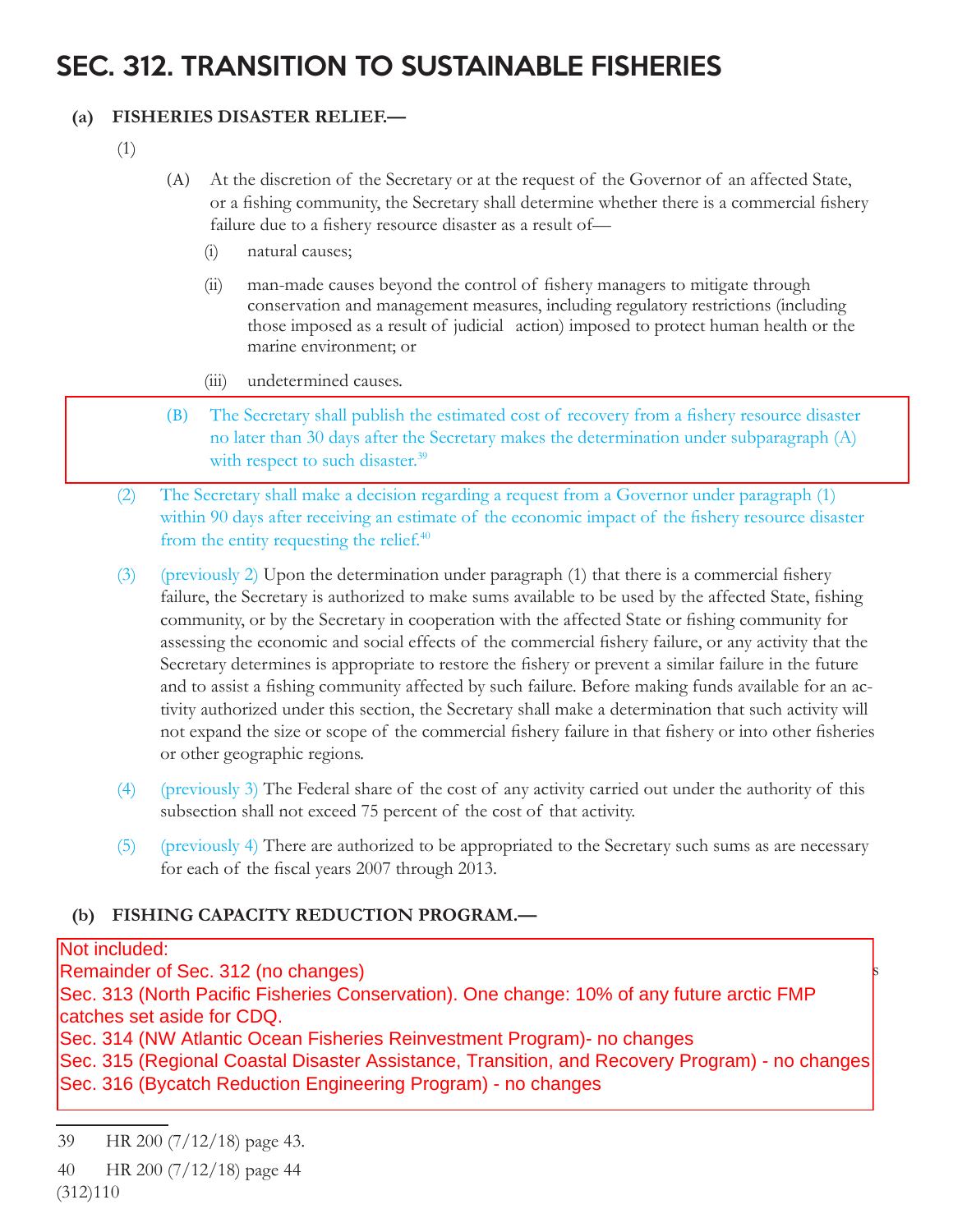# SEC. 312. TRANSITION TO SUSTAINABLE FISHERIES

#### **(a) FISHERIES DISASTER RELIEF.—**

- (1)
- (A) At the discretion of the Secretary or at the request of the Governor of an affected State, or a fishing community, the Secretary shall determine whether there is a commercial fishery failure due to a fishery resource disaster as a result of-
	- (i) natural causes;
	- (ii) man-made causes beyond the control of fishery managers to mitigate through conservation and management measures, including regulatory restrictions (including those imposed as a result of judicial action) imposed to protect human health or the marine environment; or
	- (iii) undetermined causes.
- (B) The Secretary shall publish the estimated cost of recovery from a fishery resource disaster no later than 30 days after the Secretary makes the determination under subparagraph (A) with respect to such disaster.<sup>39</sup>
- (2) The Secretary shall make a decision regarding a request from a Governor under paragraph (1) within 90 days after receiving an estimate of the economic impact of the fishery resource disaster from the entity requesting the relief.<sup>40</sup>
- (3) (previously 2) Upon the determination under paragraph (1) that there is a commercial fishery failure, the Secretary is authorized to make sums available to be used by the affected State, fishing community, or by the Secretary in cooperation with the affected State or fishing community for assessing the economic and social effects of the commercial fishery failure, or any activity that the Secretary determines is appropriate to restore the fishery or prevent a similar failure in the future and to assist a fishing community affected by such failure. Before making funds available for an activity authorized under this section, the Secretary shall make a determination that such activity will not expand the size or scope of the commercial fishery failure in that fishery or into other fisheries or other geographic regions.
- (4) (previously 3) The Federal share of the cost of any activity carried out under the authority of this subsection shall not exceed 75 percent of the cost of that activity.
- (5) (previously 4) There are authorized to be appropriated to the Secretary such sums as are necessary for each of the fiscal years 2007 through 2013.

#### **(b) FISHING CAPACITY REDUCTION PROGRAM.—**

(1) The Secretary, at the request of the appropriate Council for fi sheries under the authority of such Not included:

Remainder of Sec. 312 (no changes)  $\frac{1}{2}$  majority of permit holders under State authority of permit holders in permit holders in permit holders in permit holders in permit holders in permitted with the state of permit Sec. 313 (North Pacific Fisheries Conservation). One change: 10% of any future arctic FMP the 'program' in a fi shery if the Secretary determines that the program-Sec. 314 (NW Atlantic Ocean Fisheries Reinvestment Program)- no changes Sec. 315 (Regional Coastal Disaster Assistance, Transition, and Recovery Program) - no changes Sec. 316 (Bycatch Reduction Engineering Program) - no changes

<sup>39</sup> HR 200 (7/12/18) page 43.

<sup>(312)110</sup> 40 HR 200 (7/12/18) page 44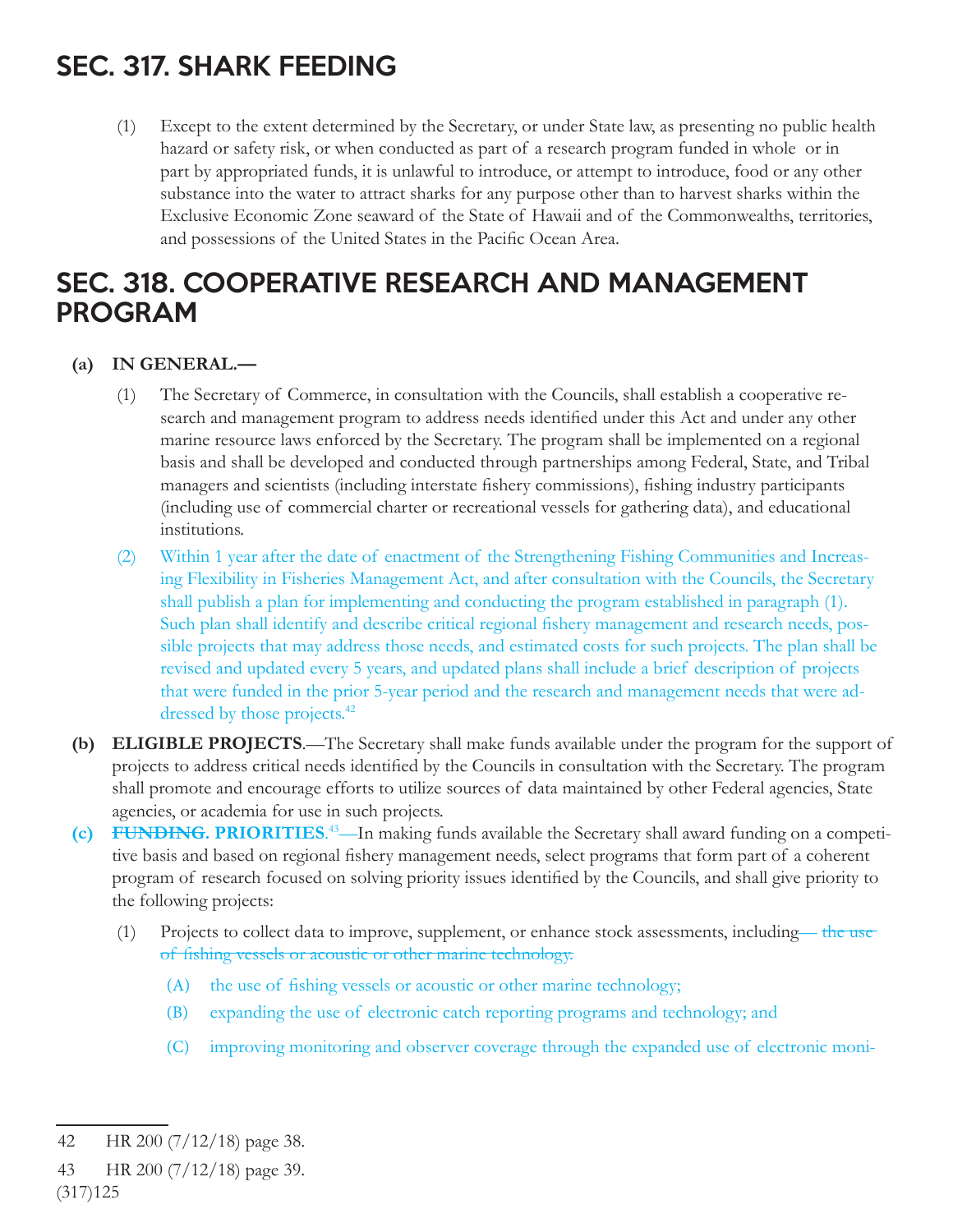# SEC. 317. SHARK FEEDING

(1) Except to the extent determined by the Secretary, or under State law, as presenting no public health hazard or safety risk, or when conducted as part of a research program funded in whole or in part by appropriated funds, it is unlawful to introduce, or attempt to introduce, food or any other substance into the water to attract sharks for any purpose other than to harvest sharks within the Exclusive Economic Zone seaward of the State of Hawaii and of the Commonwealths, territories, and possessions of the United States in the Pacific Ocean Area.

### SEC. 318. COOPERATIVE RESEARCH AND MANAGEMENT PROGRAM

#### **(a) IN GENERAL.—**

- (1) The Secretary of Commerce, in consultation with the Councils, shall establish a cooperative research and management program to address needs identified under this Act and under any other marine resource laws enforced by the Secretary. The program shall be implemented on a regional basis and shall be developed and conducted through partnerships among Federal, State, and Tribal managers and scientists (including interstate fishery commissions), fishing industry participants (including use of commercial charter or recreational vessels for gathering data), and educational institutions.
- (2) Within 1 year after the date of enactment of the Strengthening Fishing Communities and Increasing Flexibility in Fisheries Management Act, and after consultation with the Councils, the Secretary shall publish a plan for implementing and conducting the program established in paragraph (1). Such plan shall identify and describe critical regional fishery management and research needs, possible projects that may address those needs, and estimated costs for such projects. The plan shall be revised and updated every 5 years, and updated plans shall include a brief description of projects that were funded in the prior 5-year period and the research and management needs that were addressed by those projects.<sup>42</sup>
- **(b) ELIGIBLE PROJECTS**.—The Secretary shall make funds available under the program for the support of projects to address critical needs identified by the Councils in consultation with the Secretary. The program shall promote and encourage efforts to utilize sources of data maintained by other Federal agencies, State agencies, or academia for use in such projects.
- **(c) FUNDING. PRIORITIES**. 43—In making funds available the Secretary shall award funding on a competitive basis and based on regional fishery management needs, select programs that form part of a coherent program of research focused on solving priority issues identified by the Councils, and shall give priority to the following projects:
	- (1) Projects to collect data to improve, supplement, or enhance stock assessments, including— the use of fishing vessels or acoustic or other marine technology.
		- $(A)$  the use of fishing vessels or acoustic or other marine technology;
		- (B) expanding the use of electronic catch reporting programs and technology; and
		- (C) improving monitoring and observer coverage through the expanded use of electronic moni-

<sup>42</sup> HR 200 (7/12/18) page 38.

<sup>43</sup> HR 200 (7/12/18) page 39.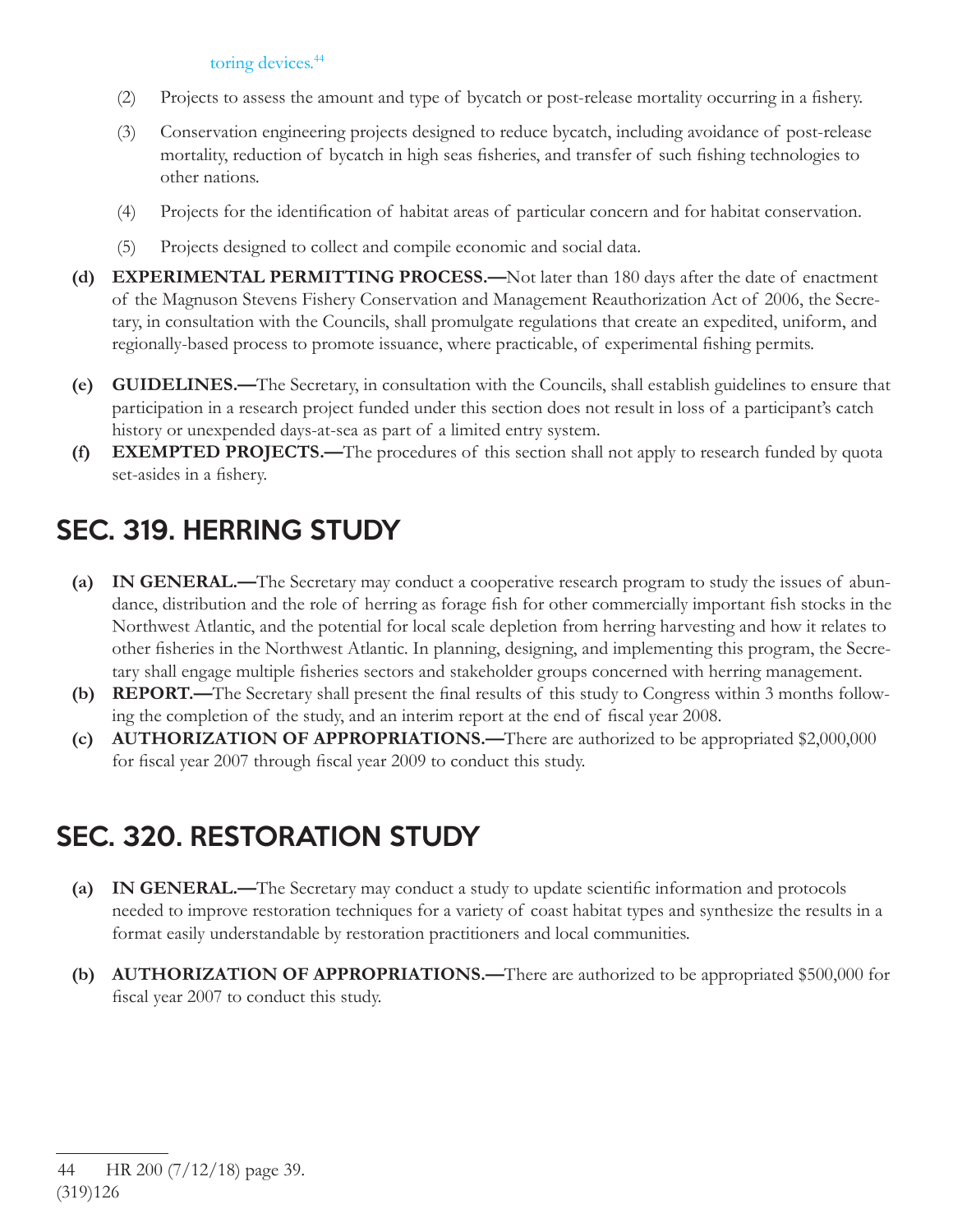- (2) Projects to assess the amount and type of bycatch or post-release mortality occurring in a fishery.
- (3) Conservation engineering projects designed to reduce bycatch, including avoidance of post-release mortality, reduction of bycatch in high seas fisheries, and transfer of such fishing technologies to other nations.
- (4) Projects for the identification of habitat areas of particular concern and for habitat conservation.
- (5) Projects designed to collect and compile economic and social data.
- **(d) EXPERIMENTAL PERMITTING PROCESS.—**Not later than 180 days after the date of enactment of the Magnuson Stevens Fishery Conservation and Management Reauthorization Act of 2006, the Secretary, in consultation with the Councils, shall promulgate regulations that create an expedited, uniform, and regionally-based process to promote issuance, where practicable, of experimental fishing permits.
- **(e) GUIDELINES.—**The Secretary, in consultation with the Councils, shall establish guidelines to ensure that participation in a research project funded under this section does not result in loss of a participant's catch history or unexpended days-at-sea as part of a limited entry system.
- **(f) EXEMPTED PROJECTS.—**The procedures of this section shall not apply to research funded by quota set-asides in a fishery.

# SEC. 319. HERRING STUDY

- **(a) IN GENERAL.—**The Secretary may conduct a cooperative research program to study the issues of abundance, distribution and the role of herring as forage fish for other commercially important fish stocks in the Northwest Atlantic, and the potential for local scale depletion from herring harvesting and how it relates to other fisheries in the Northwest Atlantic. In planning, designing, and implementing this program, the Secretary shall engage multiple fisheries sectors and stakeholder groups concerned with herring management.
- **(b) REPORT.—The Secretary shall present the final results of this study to Congress within 3 months follow**ing the completion of the study, and an interim report at the end of fiscal year 2008.
- **(c) AUTHORIZATION OF APPROPRIATIONS.**—There are authorized to be appropriated \$2,000,000 for fiscal year 2007 through fiscal year 2009 to conduct this study.

# **SEC. 320. RESTORATION STUDY**

- (a) IN GENERAL.—The Secretary may conduct a study to update scientific information and protocols needed to improve restoration techniques for a variety of coast habitat types and synthesize the results in a format easily understandable by restoration practitioners and local communities.
- **(b) AUTHORIZATION OF APPROPRIATIONS.—**There are authorized to be appropriated \$500,000 for fiscal year 2007 to conduct this study.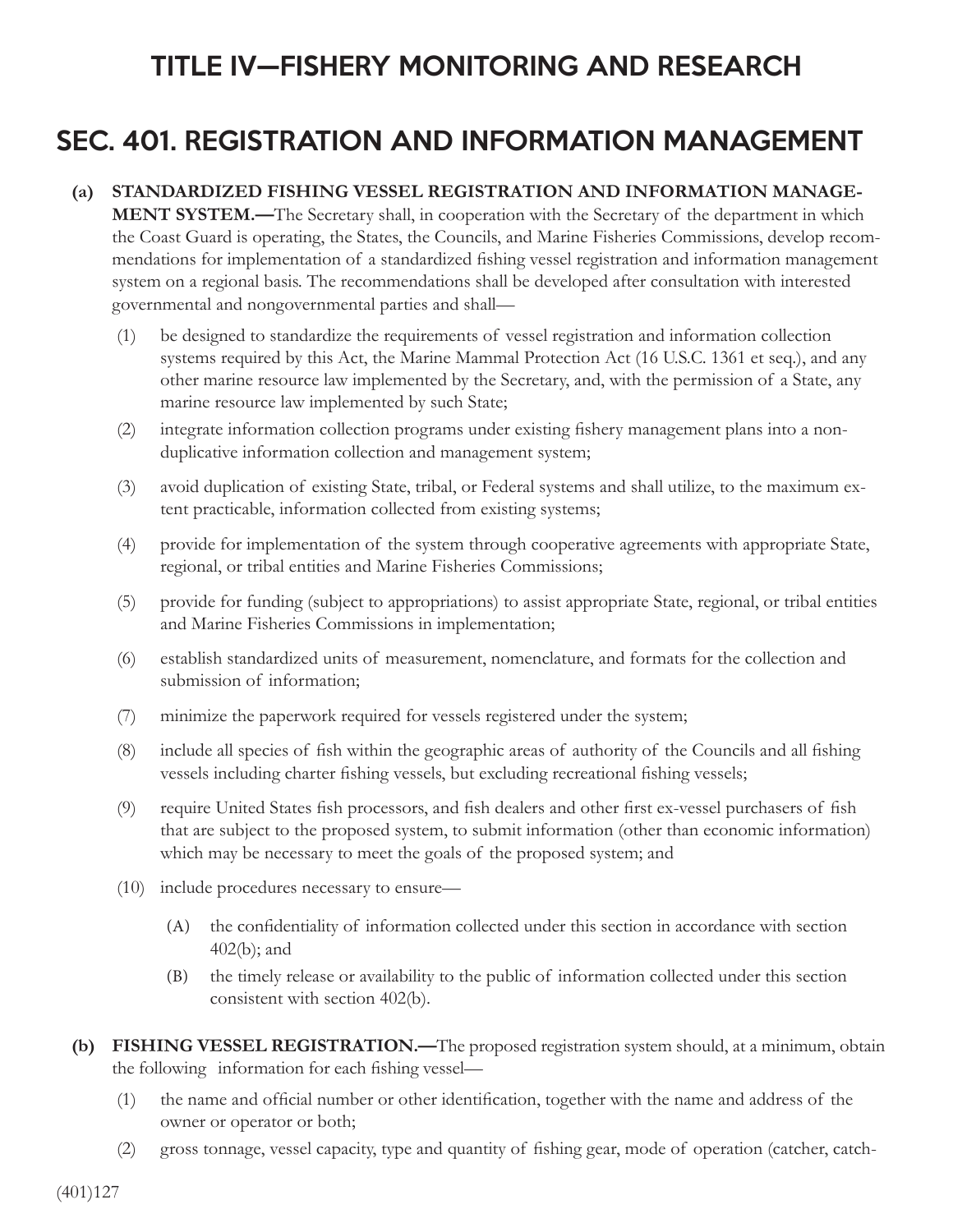# TITLE IV-FISHERY MONITORING AND RESEARCH

# SEC. 401. REGISTRATION AND INFORMATION MANAGEMENT

#### **(a) STANDARDIZED FISHING VESSEL REGISTRATION AND INFORMATION MANAGE-**

**MENT SYSTEM.—**The Secretary shall, in cooperation with the Secretary of the department in which the Coast Guard is operating, the States, the Councils, and Marine Fisheries Commissions, develop recommendations for implementation of a standardized fishing vessel registration and information management system on a regional basis. The recommendations shall be developed after consultation with interested governmental and nongovernmental parties and shall—

- (1) be designed to standardize the requirements of vessel registration and information collection systems required by this Act, the Marine Mammal Protection Act (16 U.S.C. 1361 et seq.), and any other marine resource law implemented by the Secretary, and, with the permission of a State, any marine resource law implemented by such State;
- (2) integrate information collection programs under existing fishery management plans into a nonduplicative information collection and management system;
- (3) avoid duplication of existing State, tribal, or Federal systems and shall utilize, to the maximum extent practicable, information collected from existing systems;
- (4) provide for implementation of the system through cooperative agreements with appropriate State, regional, or tribal entities and Marine Fisheries Commissions;
- (5) provide for funding (subject to appropriations) to assist appropriate State, regional, or tribal entities and Marine Fisheries Commissions in implementation;
- (6) establish standardized units of measurement, nomenclature, and formats for the collection and submission of information;
- (7) minimize the paperwork required for vessels registered under the system;
- $(8)$  include all species of fish within the geographic areas of authority of the Councils and all fishing vessels including charter fishing vessels, but excluding recreational fishing vessels;
- (9) require United States fish processors, and fish dealers and other first ex-vessel purchasers of fish that are subject to the proposed system, to submit information (other than economic information) which may be necessary to meet the goals of the proposed system; and
- (10) include procedures necessary to ensure—
	- (A) the confidentiality of information collected under this section in accordance with section 402(b); and
	- (B) the timely release or availability to the public of information collected under this section consistent with section 402(b).
- **(b) FISHING VESSEL REGISTRATION.—**The proposed registration system should, at a minimum, obtain the following information for each fishing vessel-
	- (1) the name and official number or other identification, together with the name and address of the owner or operator or both;
	- (2) gross tonnage, vessel capacity, type and quantity of fishing gear, mode of operation (catcher, catch-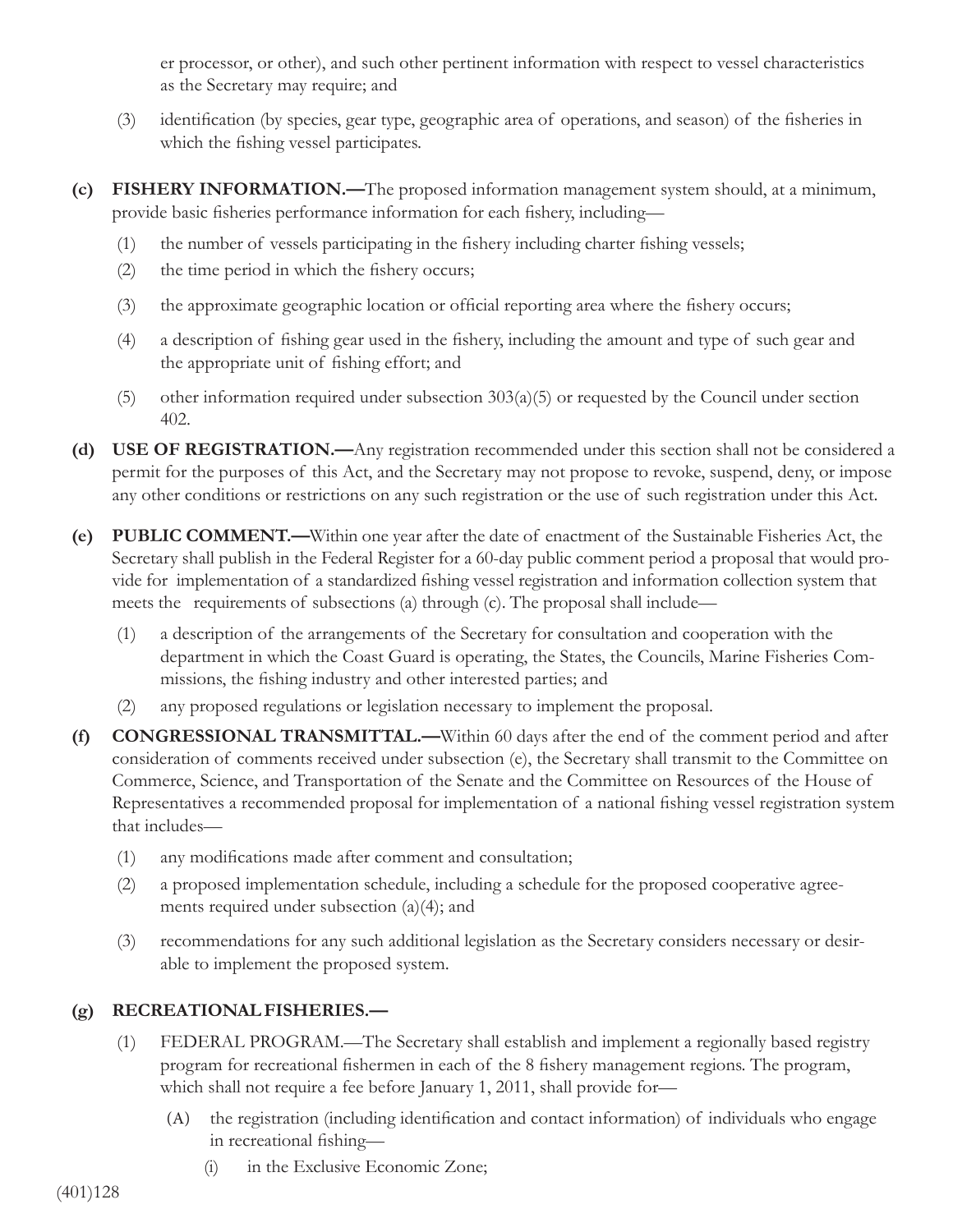er processor, or other), and such other pertinent information with respect to vessel characteristics as the Secretary may require; and

- (3) identification (by species, gear type, geographic area of operations, and season) of the fisheries in which the fishing vessel participates.
- **(c) FISHERY INFORMATION.—**The proposed information management system should, at a minimum, provide basic fisheries performance information for each fishery, including—
	- $(1)$  the number of vessels participating in the fishery including charter fishing vessels;
	- $(2)$  the time period in which the fishery occurs;
	- $(3)$  the approximate geographic location or official reporting area where the fishery occurs;
	- (4) a description of fishing gear used in the fishery, including the amount and type of such gear and the appropriate unit of fishing effort; and
	- (5) other information required under subsection 303(a)(5) or requested by the Council under section 402.
- **(d) USE OF REGISTRATION.—**Any registration recommended under this section shall not be considered a permit for the purposes of this Act, and the Secretary may not propose to revoke, suspend, deny, or impose any other conditions or restrictions on any such registration or the use of such registration under this Act.
- **(e) PUBLIC COMMENT.—**Within one year after the date of enactment of the Sustainable Fisheries Act, the Secretary shall publish in the Federal Register for a 60-day public comment period a proposal that would provide for implementation of a standardized fishing vessel registration and information collection system that meets the requirements of subsections (a) through (c). The proposal shall include—
	- (1) a description of the arrangements of the Secretary for consultation and cooperation with the department in which the Coast Guard is operating, the States, the Councils, Marine Fisheries Commissions, the fishing industry and other interested parties; and
	- (2) any proposed regulations or legislation necessary to implement the proposal.
- **(f) CONGRESSIONAL TRANSMITTAL.—**Within 60 days after the end of the comment period and after consideration of comments received under subsection (e), the Secretary shall transmit to the Committee on Commerce, Science, and Transportation of the Senate and the Committee on Resources of the House of Representatives a recommended proposal for implementation of a national fishing vessel registration system that includes—
	- (1) any modifications made after comment and consultation;
	- (2) a proposed implementation schedule, including a schedule for the proposed cooperative agreements required under subsection (a)(4); and
	- (3) recommendations for any such additional legislation as the Secretary considers necessary or desirable to implement the proposed system.

#### **(g) RECREATIONAL FISHERIES.—**

- (1) FEDERAL PROGRAM.—The Secretary shall establish and implement a regionally based registry program for recreational fishermen in each of the 8 fishery management regions. The program, which shall not require a fee before January 1, 2011, shall provide for—
	- (A) the registration (including identification and contact information) of individuals who engage in recreational fishing—
		- (i) in the Exclusive Economic Zone;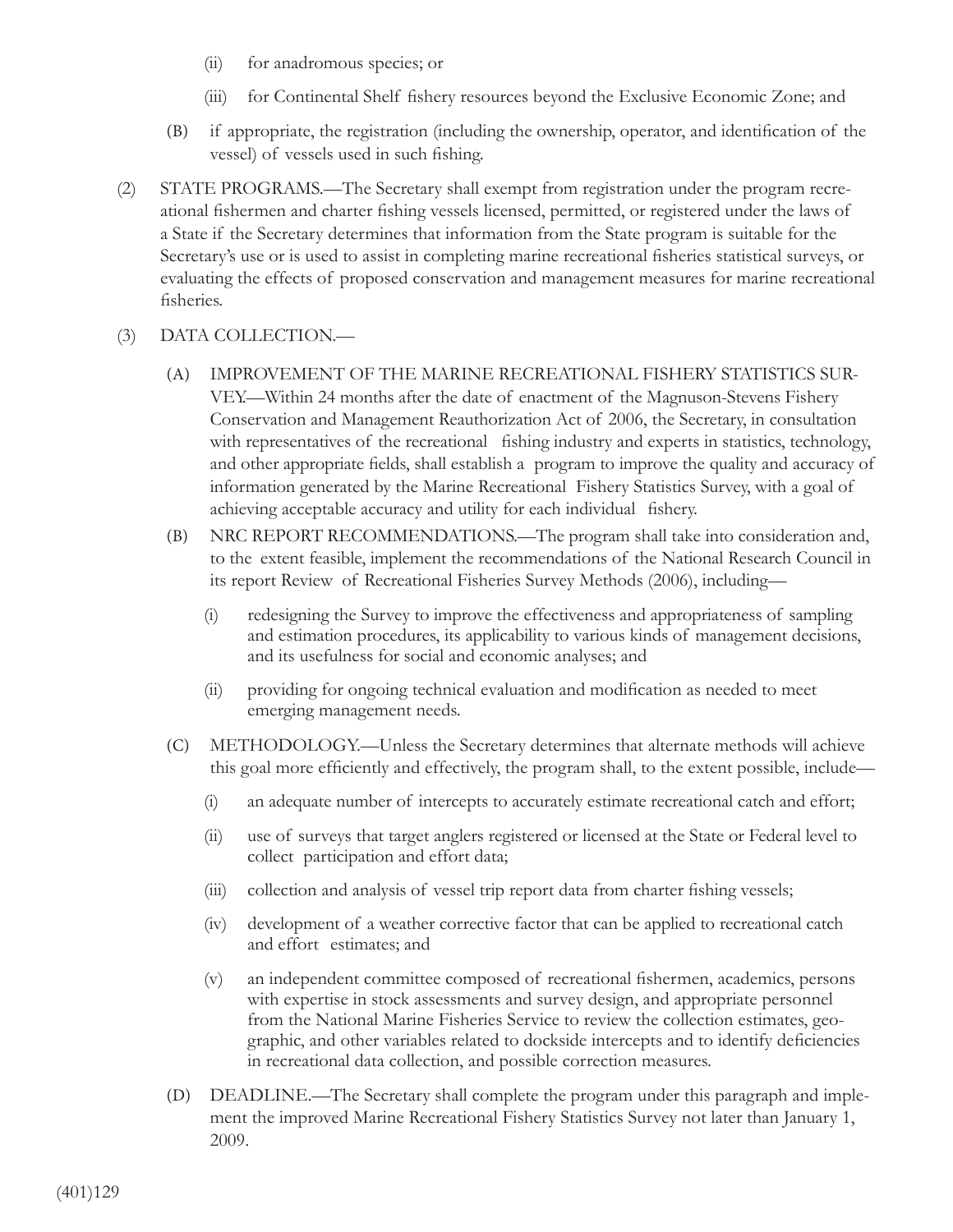- (ii) for anadromous species; or
- (iii) for Continental Shelf fishery resources beyond the Exclusive Economic Zone; and
- (B) if appropriate, the registration (including the ownership, operator, and identification of the vessel) of vessels used in such fishing.
- (2) STATE PROGRAMS.—The Secretary shall exempt from registration under the program recreational fishermen and charter fishing vessels licensed, permitted, or registered under the laws of a State if the Secretary determines that information from the State program is suitable for the Secretary's use or is used to assist in completing marine recreational fisheries statistical surveys, or evaluating the effects of proposed conservation and management measures for marine recreational fisheries.
- (3) DATA COLLECTION.—
	- (A) IMPROVEMENT OF THE MARINE RECREATIONAL FISHERY STATISTICS SUR-VEY.—Within 24 months after the date of enactment of the Magnuson-Stevens Fishery Conservation and Management Reauthorization Act of 2006, the Secretary, in consultation with representatives of the recreational fishing industry and experts in statistics, technology, and other appropriate fields, shall establish a program to improve the quality and accuracy of information generated by the Marine Recreational Fishery Statistics Survey, with a goal of achieving acceptable accuracy and utility for each individual fishery.
	- (B) NRC REPORT RECOMMENDATIONS.—The program shall take into consideration and, to the extent feasible, implement the recommendations of the National Research Council in its report Review of Recreational Fisheries Survey Methods (2006), including—
		- (i) redesigning the Survey to improve the effectiveness and appropriateness of sampling and estimation procedures, its applicability to various kinds of management decisions, and its usefulness for social and economic analyses; and
		- (ii) providing for ongoing technical evaluation and modification as needed to meet emerging management needs.
	- (C) METHODOLOGY.—Unless the Secretary determines that alternate methods will achieve this goal more efficiently and effectively, the program shall, to the extent possible, include—
		- (i) an adequate number of intercepts to accurately estimate recreational catch and effort;
		- (ii) use of surveys that target anglers registered or licensed at the State or Federal level to collect participation and effort data;
		- (iii) collection and analysis of vessel trip report data from charter fishing vessels;
		- (iv) development of a weather corrective factor that can be applied to recreational catch and effort estimates; and
		- (v) an independent committee composed of recreational fi shermen, academics, persons with expertise in stock assessments and survey design, and appropriate personnel from the National Marine Fisheries Service to review the collection estimates, geographic, and other variables related to dockside intercepts and to identify deficiencies in recreational data collection, and possible correction measures.
	- (D) DEADLINE.—The Secretary shall complete the program under this paragraph and implement the improved Marine Recreational Fishery Statistics Survey not later than January 1, 2009.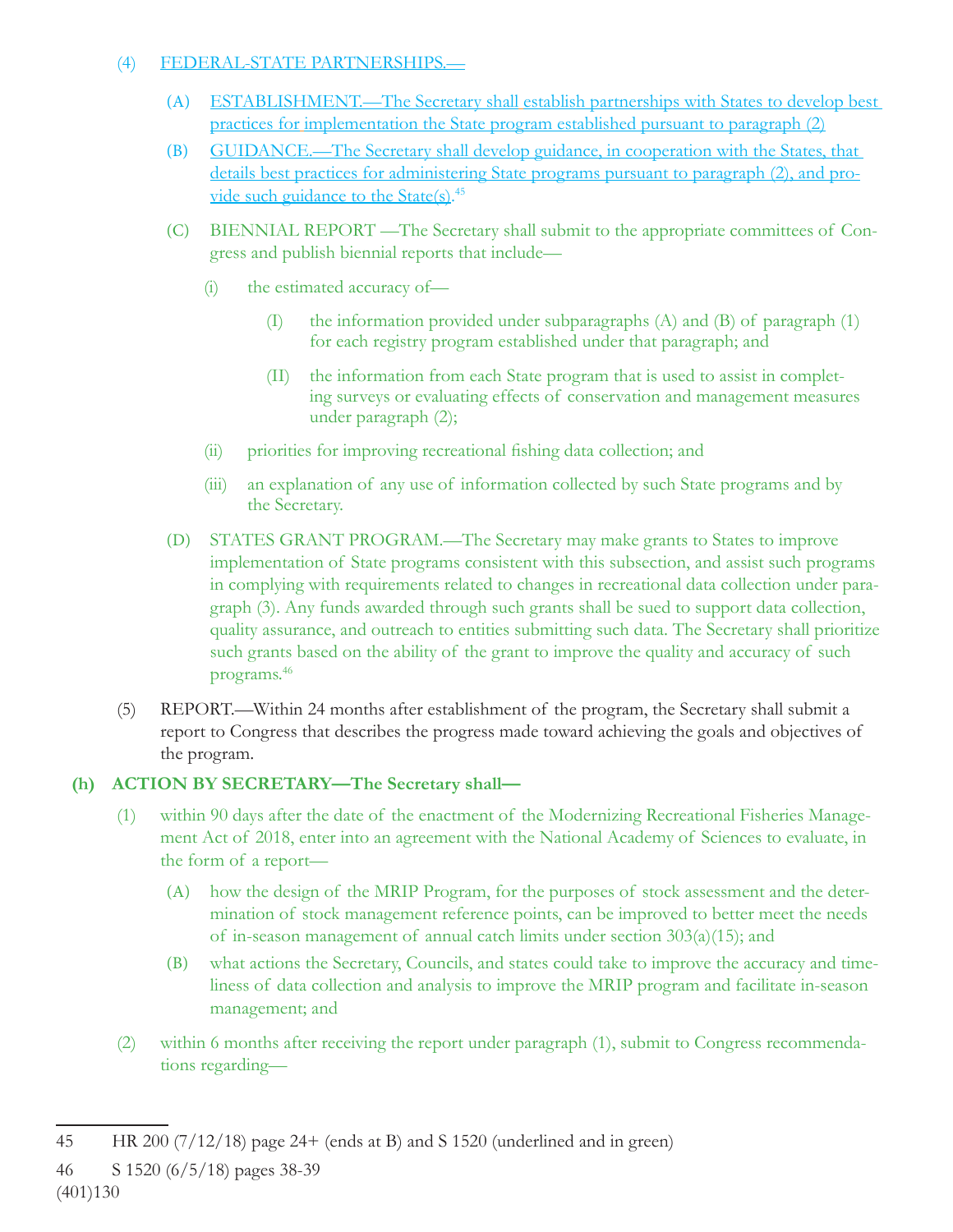#### (4) FEDERAL-STATE PARTNERSHIPS.—

- (A) ESTABLISHMENT.—The Secretary shall establish partnerships with States to develop best practices for implementation the State program established pursuant to paragraph (2)
- (B) GUIDANCE.—The Secretary shall develop guidance, in cooperation with the States, that details best practices for administering State programs pursuant to paragraph (2), and provide such guidance to the State(s).<sup>45</sup>
- (C) BIENNIAL REPORT —The Secretary shall submit to the appropriate committees of Congress and publish biennial reports that include—
	- (i) the estimated accuracy of—
		- (I) the information provided under subparagraphs (A) and (B) of paragraph (1) for each registry program established under that paragraph; and
		- (II) the information from each State program that is used to assist in completing surveys or evaluating effects of conservation and management measures under paragraph (2);
	- (ii) priorities for improving recreational fishing data collection; and
	- (iii) an explanation of any use of information collected by such State programs and by the Secretary.
- (D) STATES GRANT PROGRAM.—The Secretary may make grants to States to improve implementation of State programs consistent with this subsection, and assist such programs in complying with requirements related to changes in recreational data collection under paragraph (3). Any funds awarded through such grants shall be sued to support data collection, quality assurance, and outreach to entities submitting such data. The Secretary shall prioritize such grants based on the ability of the grant to improve the quality and accuracy of such programs.46
- (5) REPORT.—Within 24 months after establishment of the program, the Secretary shall submit a report to Congress that describes the progress made toward achieving the goals and objectives of the program.

#### **(h) ACTION BY SECRETARY—The Secretary shall—**

- (1) within 90 days after the date of the enactment of the Modernizing Recreational Fisheries Management Act of 2018, enter into an agreement with the National Academy of Sciences to evaluate, in the form of a report—
	- (A) how the design of the MRIP Program, for the purposes of stock assessment and the determination of stock management reference points, can be improved to better meet the needs of in-season management of annual catch limits under section 303(a)(15); and
	- (B) what actions the Secretary, Councils, and states could take to improve the accuracy and timeliness of data collection and analysis to improve the MRIP program and facilitate in-season management; and
- (2) within 6 months after receiving the report under paragraph (1), submit to Congress recommendations regarding—

46 S 1520 (6/5/18) pages 38-39

<sup>45</sup> HR 200 (7/12/18) page 24+ (ends at B) and S 1520 (underlined and in green)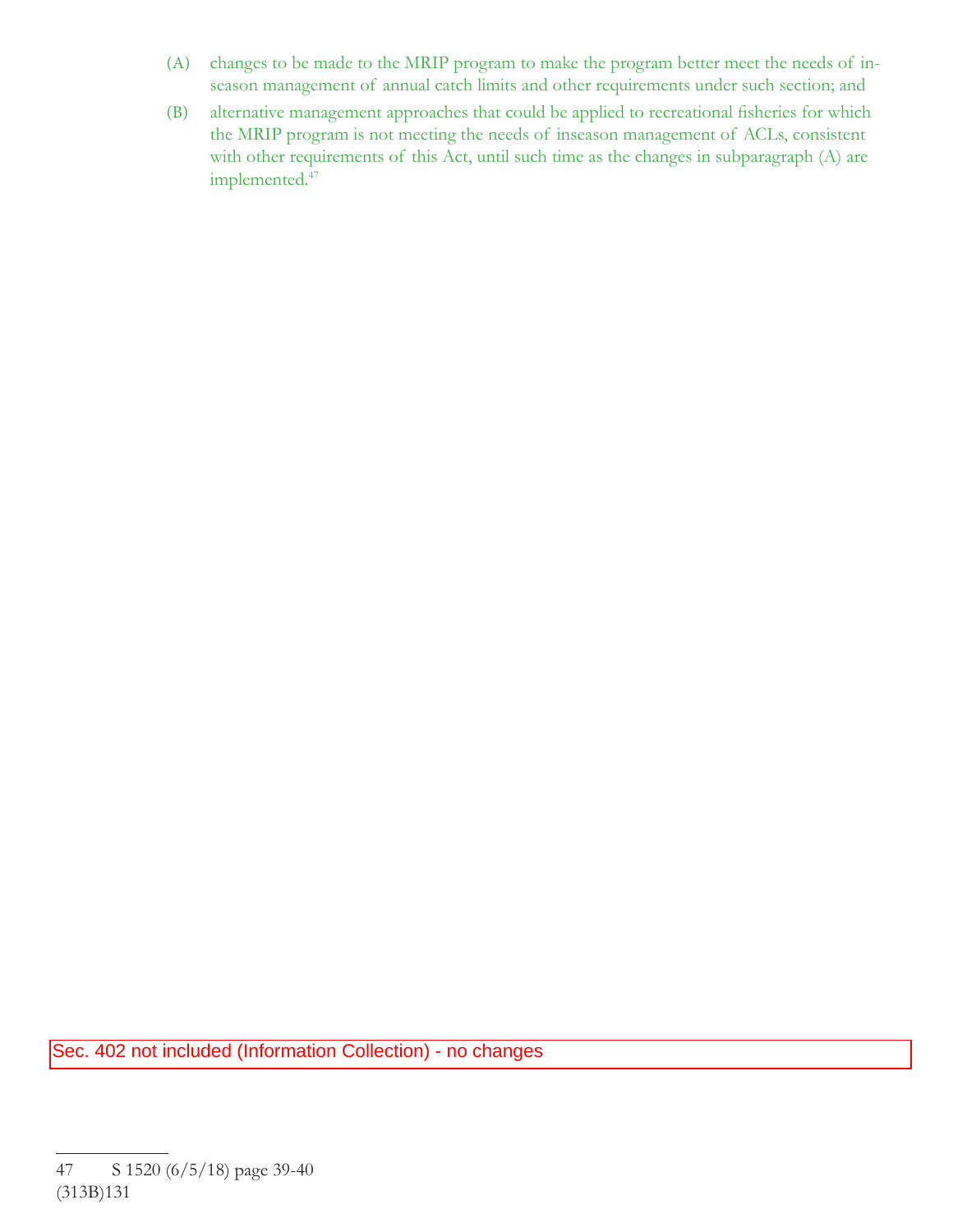- (A) changes to be made to the MRIP program to make the program better meet the needs of inseason management of annual catch limits and other requirements under such section; and
- (B) alternative management approaches that could be applied to recreational fisheries for which the MRIP program is not meeting the needs of inseason management of ACLs, consistent with other requirements of this Act, until such time as the changes in subparagraph (A) are implemented.<sup>47</sup>

Sec. 402 not included (Information Collection) - no changes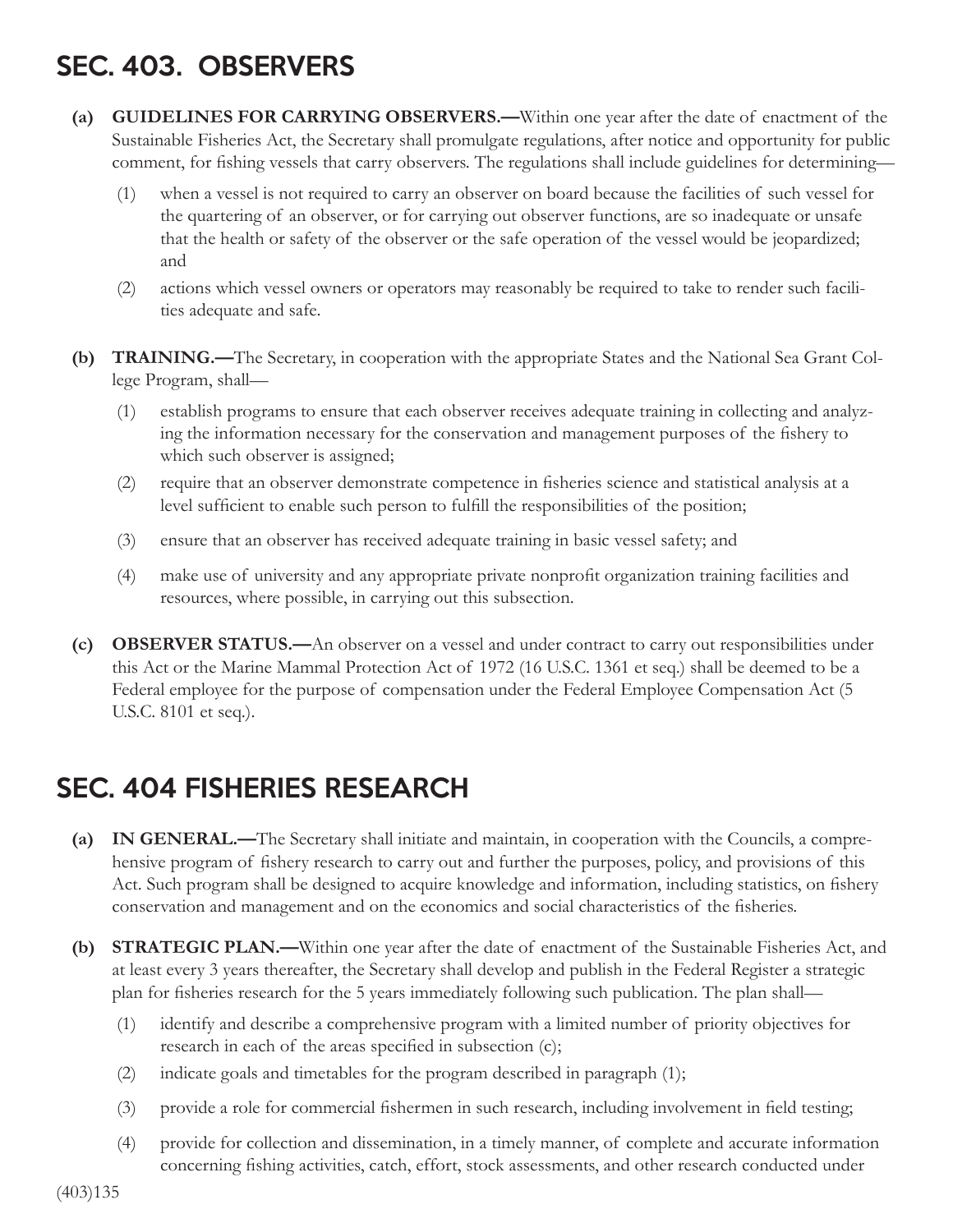# SEC. 403. OBSERVERS

- **(a) GUIDELINES FOR CARRYING OBSERVERS.—**Within one year after the date of enactment of the Sustainable Fisheries Act, the Secretary shall promulgate regulations, after notice and opportunity for public comment, for fishing vessels that carry observers. The regulations shall include guidelines for determining—
	- (1) when a vessel is not required to carry an observer on board because the facilities of such vessel for the quartering of an observer, or for carrying out observer functions, are so inadequate or unsafe that the health or safety of the observer or the safe operation of the vessel would be jeopardized; and
	- (2) actions which vessel owners or operators may reasonably be required to take to render such facilities adequate and safe.
- **(b) TRAINING.—**The Secretary, in cooperation with the appropriate States and the National Sea Grant College Program, shall—
	- (1) establish programs to ensure that each observer receives adequate training in collecting and analyzing the information necessary for the conservation and management purposes of the fishery to which such observer is assigned;
	- (2) require that an observer demonstrate competence in fisheries science and statistical analysis at a level sufficient to enable such person to fulfill the responsibilities of the position;
	- (3) ensure that an observer has received adequate training in basic vessel safety; and
	- (4) make use of university and any appropriate private nonprofi t organization training facilities and resources, where possible, in carrying out this subsection.
- **(c) OBSERVER STATUS.—**An observer on a vessel and under contract to carry out responsibilities under this Act or the Marine Mammal Protection Act of 1972 (16 U.S.C. 1361 et seq.) shall be deemed to be a Federal employee for the purpose of compensation under the Federal Employee Compensation Act (5 U.S.C. 8101 et seq.).

# SEC.404 FISHERIES RESEARCH

- **(a) IN GENERAL.—**The Secretary shall initiate and maintain, in cooperation with the Councils, a comprehensive program of fishery research to carry out and further the purposes, policy, and provisions of this Act. Such program shall be designed to acquire knowledge and information, including statistics, on fishery conservation and management and on the economics and social characteristics of the fisheries.
- **(b) STRATEGIC PLAN.—**Within one year after the date of enactment of the Sustainable Fisheries Act, and at least every 3 years thereafter, the Secretary shall develop and publish in the Federal Register a strategic plan for fisheries research for the 5 years immediately following such publication. The plan shall—
	- (1) identify and describe a comprehensive program with a limited number of priority objectives for research in each of the areas specified in subsection  $(c)$ ;
	- (2) indicate goals and timetables for the program described in paragraph (1);
	- $(3)$  provide a role for commercial fishermen in such research, including involvement in field testing;
	- (4) provide for collection and dissemination, in a timely manner, of complete and accurate information concerning fishing activities, catch, effort, stock assessments, and other research conducted under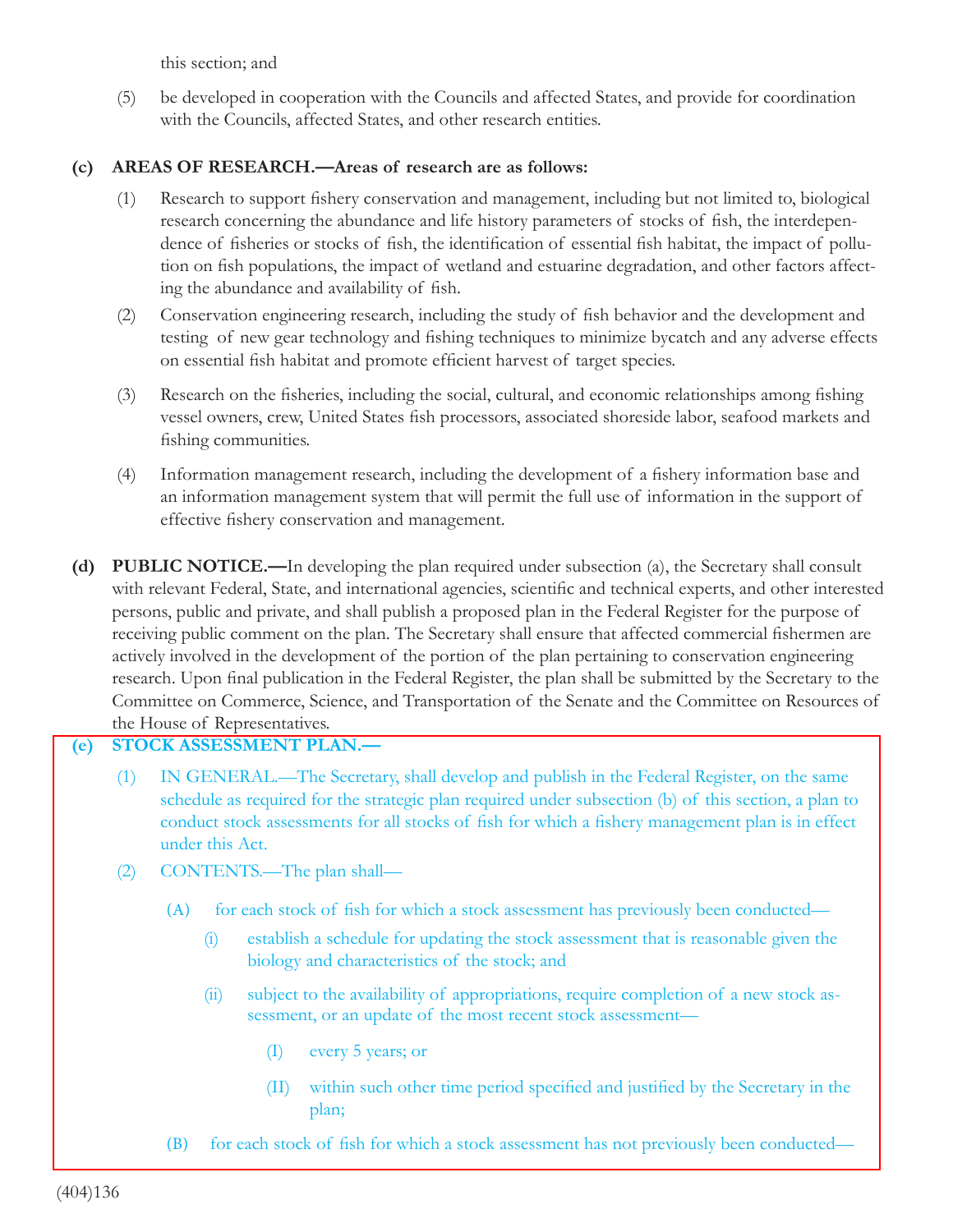this section; and

(5) be developed in cooperation with the Councils and affected States, and provide for coordination with the Councils, affected States, and other research entities.

#### **(c) AREAS OF RESEARCH.—Areas of research are as follows:**

- (1) Research to support fishery conservation and management, including but not limited to, biological research concerning the abundance and life history parameters of stocks of fish, the interdependence of fisheries or stocks of fish, the identification of essential fish habitat, the impact of pollution on fish populations, the impact of wetland and estuarine degradation, and other factors affecting the abundance and availability of fish.
- (2) Conservation engineering research, including the study of fish behavior and the development and testing of new gear technology and fishing techniques to minimize bycatch and any adverse effects on essential fish habitat and promote efficient harvest of target species.
- (3) Research on the fisheries, including the social, cultural, and economic relationships among fishing vessel owners, crew, United States fish processors, associated shoreside labor, seafood markets and fishing communities.
- (4) Information management research, including the development of a fi shery information base and an information management system that will permit the full use of information in the support of effective fishery conservation and management.
- **(d) PUBLIC NOTICE.—**In developing the plan required under subsection (a), the Secretary shall consult with relevant Federal, State, and international agencies, scientific and technical experts, and other interested persons, public and private, and shall publish a proposed plan in the Federal Register for the purpose of receiving public comment on the plan. The Secretary shall ensure that affected commercial fishermen are actively involved in the development of the portion of the plan pertaining to conservation engineering research. Upon final publication in the Federal Register, the plan shall be submitted by the Secretary to the Committee on Commerce, Science, and Transportation of the Senate and the Committee on Resources of the House of Representatives.

#### **(e) STOCK ASSESSMENT PLAN.—**

- (1) IN GENERAL.—The Secretary, shall develop and publish in the Federal Register, on the same schedule as required for the strategic plan required under subsection (b) of this section, a plan to conduct stock assessments for all stocks of fish for which a fishery management plan is in effect under this Act.
- (2) CONTENTS.—The plan shall—
	- (A) for each stock of fish for which a stock assessment has previously been conducted—
		- (i) establish a schedule for updating the stock assessment that is reasonable given the biology and characteristics of the stock; and
		- (ii) subject to the availability of appropriations, require completion of a new stock assessment, or an update of the most recent stock assessment—
			- (I) every 5 years; or
			- (II) within such other time period specified and justified by the Secretary in the plan;
	- (B) for each stock of fish for which a stock assessment has not previously been conducted—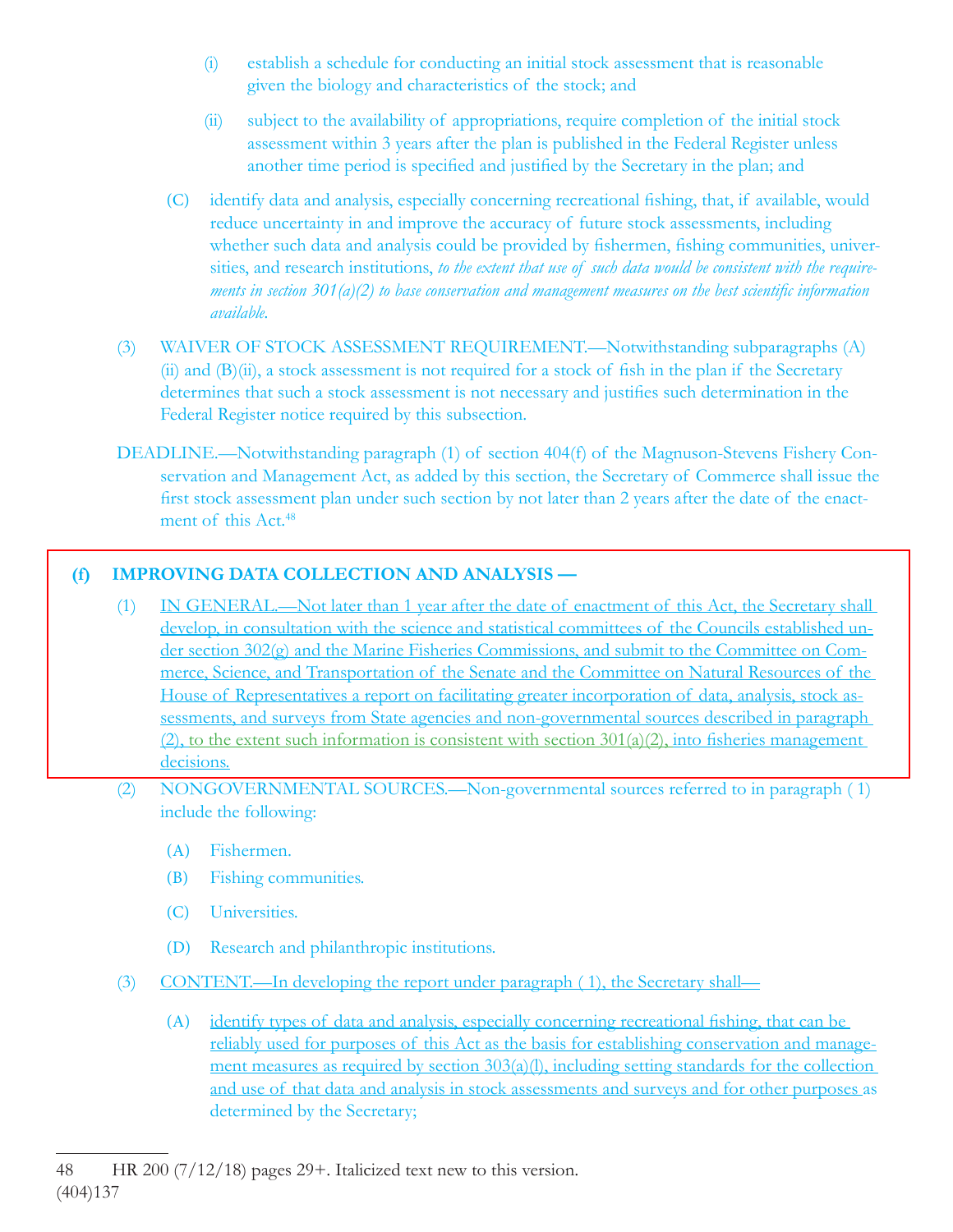- (i) establish a schedule for conducting an initial stock assessment that is reasonable given the biology and characteristics of the stock; and
- (ii) subject to the availability of appropriations, require completion of the initial stock assessment within 3 years after the plan is published in the Federal Register unless another time period is specified and justified by the Secretary in the plan; and
- (C) identify data and analysis, especially concerning recreational fi shing, that, if available, would reduce uncertainty in and improve the accuracy of future stock assessments, including whether such data and analysis could be provided by fishermen, fishing communities, universities, and research institutions, *to the extent that use of such data would be consistent with the requirements in section 301(a)(2) to base conservation and management measures on the best scientific information available.*
- (3) WAIVER OF STOCK ASSESSMENT REQUIREMENT.—Notwithstanding subparagraphs (A) (ii) and  $(B)(ii)$ , a stock assessment is not required for a stock of fish in the plan if the Secretary determines that such a stock assessment is not necessary and justifies such determination in the Federal Register notice required by this subsection.
- DEADLINE.—Notwithstanding paragraph (1) of section 404(f) of the Magnuson-Stevens Fishery Conservation and Management Act, as added by this section, the Secretary of Commerce shall issue the first stock assessment plan under such section by not later than 2 years after the date of the enactment of this Act.<sup>48</sup>

#### **(f) IMPROVING DATA COLLECTION AND ANALYSIS —**

- (1) IN GENERAL.—Not later than 1 year after the date of enactment of this Act, the Secretary shall develop, in consultation with the science and statistical committees of the Councils established under section 302(g) and the Marine Fisheries Commissions, and submit to the Committee on Commerce, Science, and Transportation of the Senate and the Committee on Natural Resources of the House of Representatives a report on facilitating greater incorporation of data, analysis, stock assessments, and surveys from State agencies and non-governmental sources described in paragraph  $(2)$ , to the extent such information is consistent with section  $301(a)(2)$ , into fisheries management decisions.
- (2) NONGOVERNMENTAL SOURCES.—Non-governmental sources referred to in paragraph ( 1) include the following:
	- (A) Fishermen.
	- (B) Fishing communities.
	- (C) Universities.
	- (D) Research and philanthropic institutions.
- (3) CONTENT.—In developing the report under paragraph ( 1), the Secretary shall—
	- $(A)$  identify types of data and analysis, especially concerning recreational fishing, that can be reliably used for purposes of this Act as the basis for establishing conservation and management measures as required by section 303(a)(l), including setting standards for the collection and use of that data and analysis in stock assessments and surveys and for other purposes as determined by the Secretary;

<sup>(404)137</sup> 48 HR 200 (7/12/18) pages 29+. Italicized text new to this version.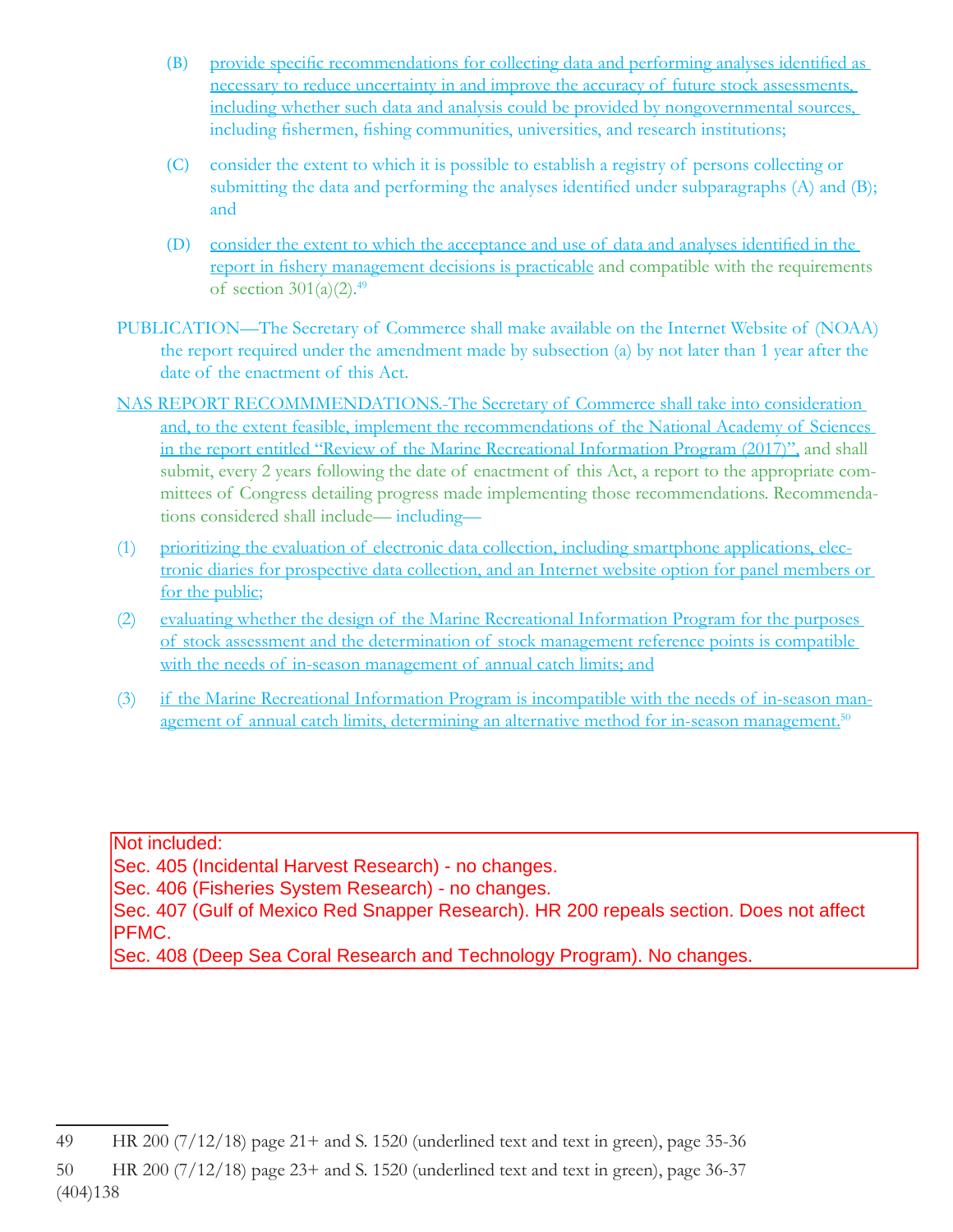- (B) provide specific recommendations for collecting data and performing analyses identified as necessary to reduce uncertainty in and improve the accuracy of future stock assessments, including whether such data and analysis could be provided by nongovernmental sources, including fishermen, fishing communities, universities, and research institutions;
- (C) consider the extent to which it is possible to establish a registry of persons collecting or submitting the data and performing the analyses identified under subparagraphs  $(A)$  and  $(B)$ ; and
- (D) consider the extent to which the acceptance and use of data and analyses identified in the report in fishery management decisions is practicable and compatible with the requirements of section 301(a)(2). 49
- PUBLICATION—The Secretary of Commerce shall make available on the Internet Website of (NOAA) the report required under the amendment made by subsection (a) by not later than 1 year after the date of the enactment of this Act.
- NAS REPORT RECOMMMENDATIONS.-The Secretary of Commerce shall take into consideration and, to the extent feasible, implement the recommendations of the National Academy of Sciences in the report entitled "Review of the Marine Recreational Information Program (2017)", and shall submit, every 2 years following the date of enactment of this Act, a report to the appropriate committees of Congress detailing progress made implementing those recommendations. Recommendations considered shall include— including—
- (1) prioritizing the evaluation of electronic data collection, including smartphone applications, electronic diaries for prospective data collection, and an Internet website option for panel members or for the public;
- (2) evaluating whether the design of the Marine Recreational Information Program for the purposes of stock assessment and the determination of stock management reference points is compatible with the needs of in-season management of annual catch limits; and
- (3) if the Marine Recreational Information Program is incompatible with the needs of in-season management of annual catch limits, determining an alternative method for in-season management.<sup>50</sup>

Not included:

Sec. 405 (Incidental Harvest Research) - no changes.

Sec. 406 (Fisheries System Research) - no changes.

Sec. 407 (Gulf of Mexico Red Snapper Research). HR 200 repeals section. Does not affect PFMC.

Sec. 408 (Deep Sea Coral Research and Technology Program). No changes.

<sup>49</sup> HR 200  $(7/12/18)$  page 21+ and S. 1520 (underlined text and text in green), page 35-36

<sup>(404)138</sup> 50 HR 200 (7/12/18) page 23+ and S. 1520 (underlined text and text in green), page 36-37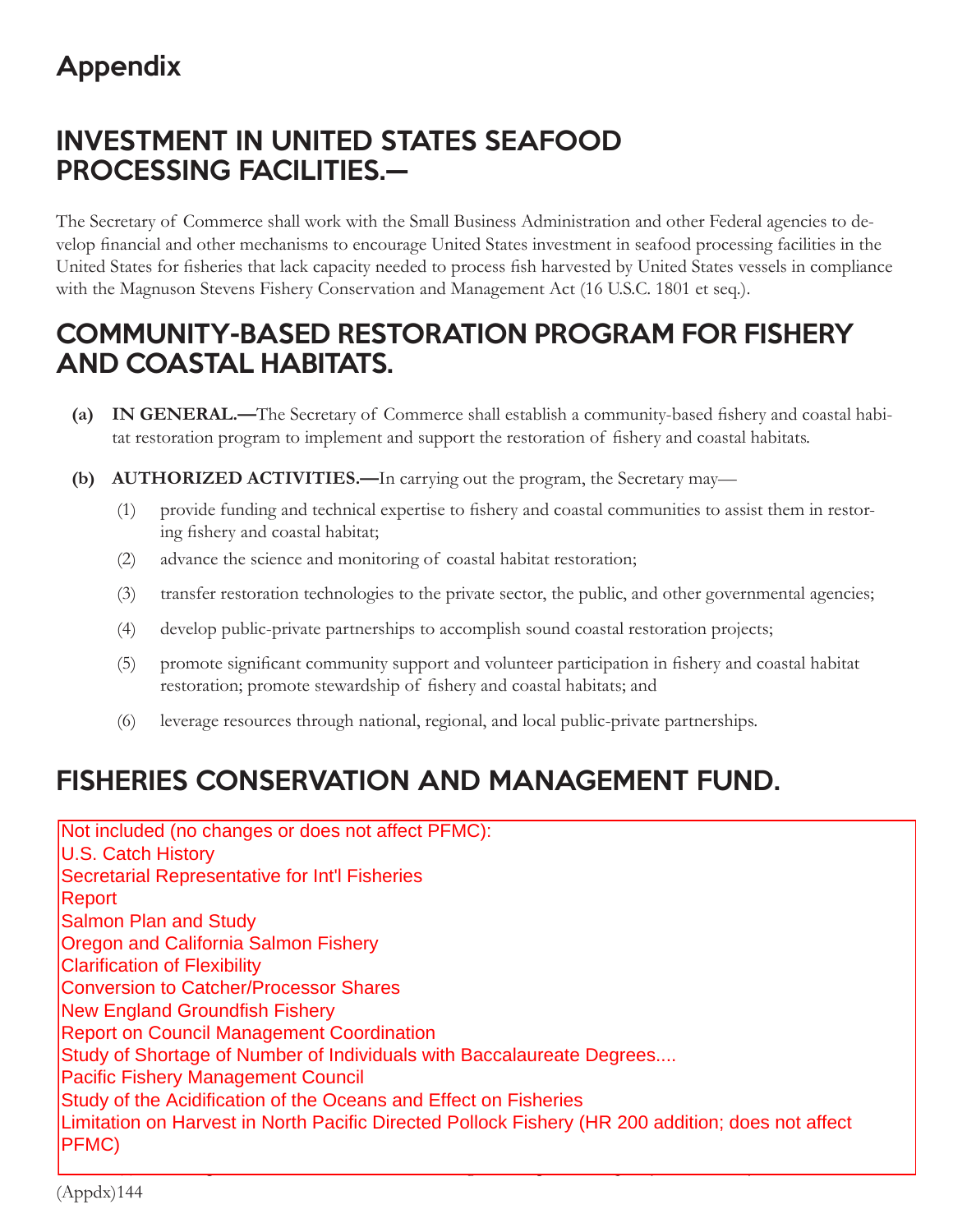# Appendix

### INVESTMENT IN UNITED STATES SEAFOOD PROCESSING FACILITIES.—

The Secretary of Commerce shall work with the Small Business Administration and other Federal agencies to develop financial and other mechanisms to encourage United States investment in seafood processing facilities in the United States for fisheries that lack capacity needed to process fish harvested by United States vessels in compliance with the Magnuson Stevens Fishery Conservation and Management Act (16 U.S.C. 1801 et seq.).

### COMMUNITY-BASED RESTORATION PROGRAM FOR FISHERY AND COASTAL HABITATS.

- **(a) IN GENERAL.—The Secretary of Commerce shall establish a community-based fishery and coastal habi**tat restoration program to implement and support the restoration of fishery and coastal habitats.
- **(b) AUTHORIZED ACTIVITIES.—**In carrying out the program, the Secretary may—
	- (1) provide funding and technical expertise to fishery and coastal communities to assist them in restoring fishery and coastal habitat;
	- (2) advance the science and monitoring of coastal habitat restoration;
	- (3) transfer restoration technologies to the private sector, the public, and other governmental agencies;
	- (4) develop public-private partnerships to accomplish sound coastal restoration projects;
	- (5) promote significant community support and volunteer participation in fishery and coastal habitat restoration; promote stewardship of fishery and coastal habitats; and
	- (6) leverage resources through national, regional, and local public-private partnerships.

# FISHERIES CONSERVATION AND MANAGEMENT FUND.

Not included (no changes or does not affect PFMC): **The included** (no changes or does not affect PFMC): U.S. Catch History and deposited into the Fund under and deposited into the Fund under the Fund under and deposited into the Fund under and deposited into the Fund under and deposited into the Fund under and deposited into Secretarial Representative for Int'l Fisheries **Salmon Plan and Study and Study and Funds described in subsection (d), and Fund shall contained in the Fund sha Dregon and California Salmon Fishery or fi scal year limitation, to dispute a limitation of the Secretary of S** Clarification of Flexibility Conversion to Catcher/Processor Shares (A) expanding the use of electronic catch reporting programs and technology; and technology; and technology; and technology; and technology; and technology; and technology; and technology; and technology; and technology; a Study of Shortage of Number of Individuals with Baccalaureate Degrees.... Pacific Fishery Management Council vessels; and such as VMS on small vessels; and such as VMS on small vessels; and such as VMS on small vessels; and such as VMS on small vessels; and such as VMS on small vessels; and such or the Audinuation or the Oueans and Eneutron Fishenes<br>Search because fix Martin David institute and Dallach Fishery (UD 2006). Initial academic institution in Limitation on Harvest in North Pacific Directed Pollock Fishery (HR 200 addition; does not affect<br>PEMO) (3) development of methods or new technologies to improve the quality, health safety, health safety, and value Report New England Groundfish Fishery Study of the Acidification of the Oceans and Effect on Fisheries PFMC)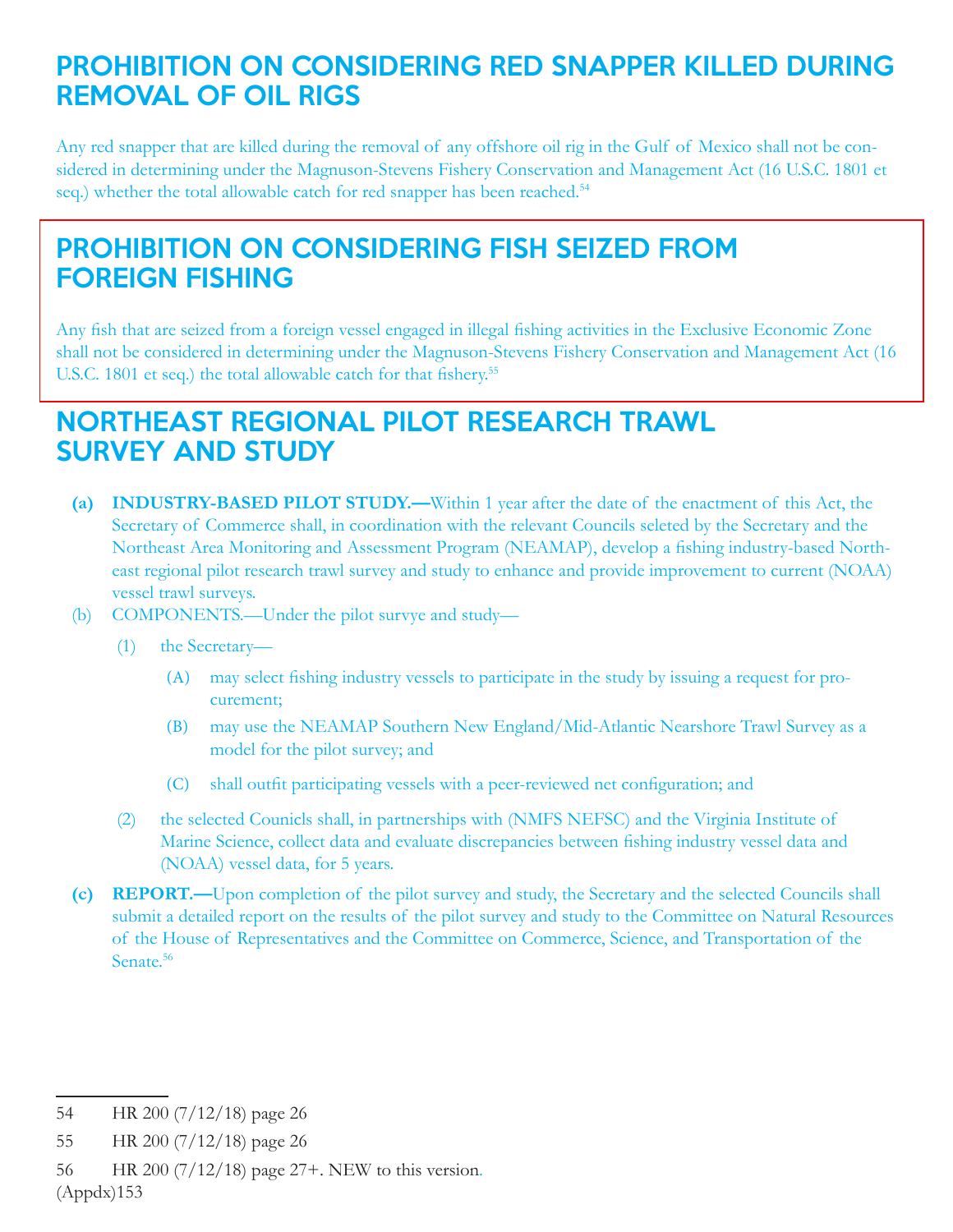### PROHIBITION ON CONSIDERING RED SNAPPER KILLED DURING REMOVAL OF OIL RIGS

Any red snapper that are killed during the removal of any offshore oil rig in the Gulf of Mexico shall not be considered in determining under the Magnuson-Stevens Fishery Conservation and Management Act (16 U.S.C. 1801 et seq.) whether the total allowable catch for red snapper has been reached.<sup>54</sup>

### PROHIBITION ON CONSIDERING FISH SEIZED FROM FOREIGN FISHING

Any fish that are seized from a foreign vessel engaged in illegal fishing activities in the Exclusive Economic Zone shall not be considered in determining under the Magnuson-Stevens Fishery Conservation and Management Act (16 U.S.C. 1801 et seq.) the total allowable catch for that fishery.<sup>55</sup>

### NORTHEAST REGIONAL PILOT RESEARCH TRAWL SURVEY AND STUDY

- **(a) INDUSTRY-BASED PILOT STUDY.—**Within 1 year after the date of the enactment of this Act, the Secretary of Commerce shall, in coordination with the relevant Councils seleted by the Secretary and the Northeast Area Monitoring and Assessment Program (NEAMAP), develop a fishing industry-based Northeast regional pilot research trawl survey and study to enhance and provide improvement to current (NOAA) vessel trawl surveys.
- (b) COMPONENTS.—Under the pilot survye and study—
	- (1) the Secretary—
		- (A) may select fishing industry vessels to participate in the study by issuing a request for procurement;
		- (B) may use the NEAMAP Southern New England/Mid-Atlantic Nearshore Trawl Survey as a model for the pilot survey; and
		- (C) shall outfit participating vessels with a peer-reviewed net configuration; and
	- (2) the selected Counicls shall, in partnerships with (NMFS NEFSC) and the Virginia Institute of Marine Science, collect data and evaluate discrepancies between fishing industry vessel data and (NOAA) vessel data, for 5 years.
- **(c) REPORT.—**Upon completion of the pilot survey and study, the Secretary and the selected Councils shall submit a detailed report on the results of the pilot survey and study to the Committee on Natural Resources of the House of Representatives and the Committee on Commerce, Science, and Transportation of the Senate.<sup>56</sup>

<sup>54</sup> HR 200 (7/12/18) page 26

<sup>55</sup> HR 200 (7/12/18) page 26

 $(Appdx)153$ 56 HR 200 (7/12/18) page 27+. NEW to this version.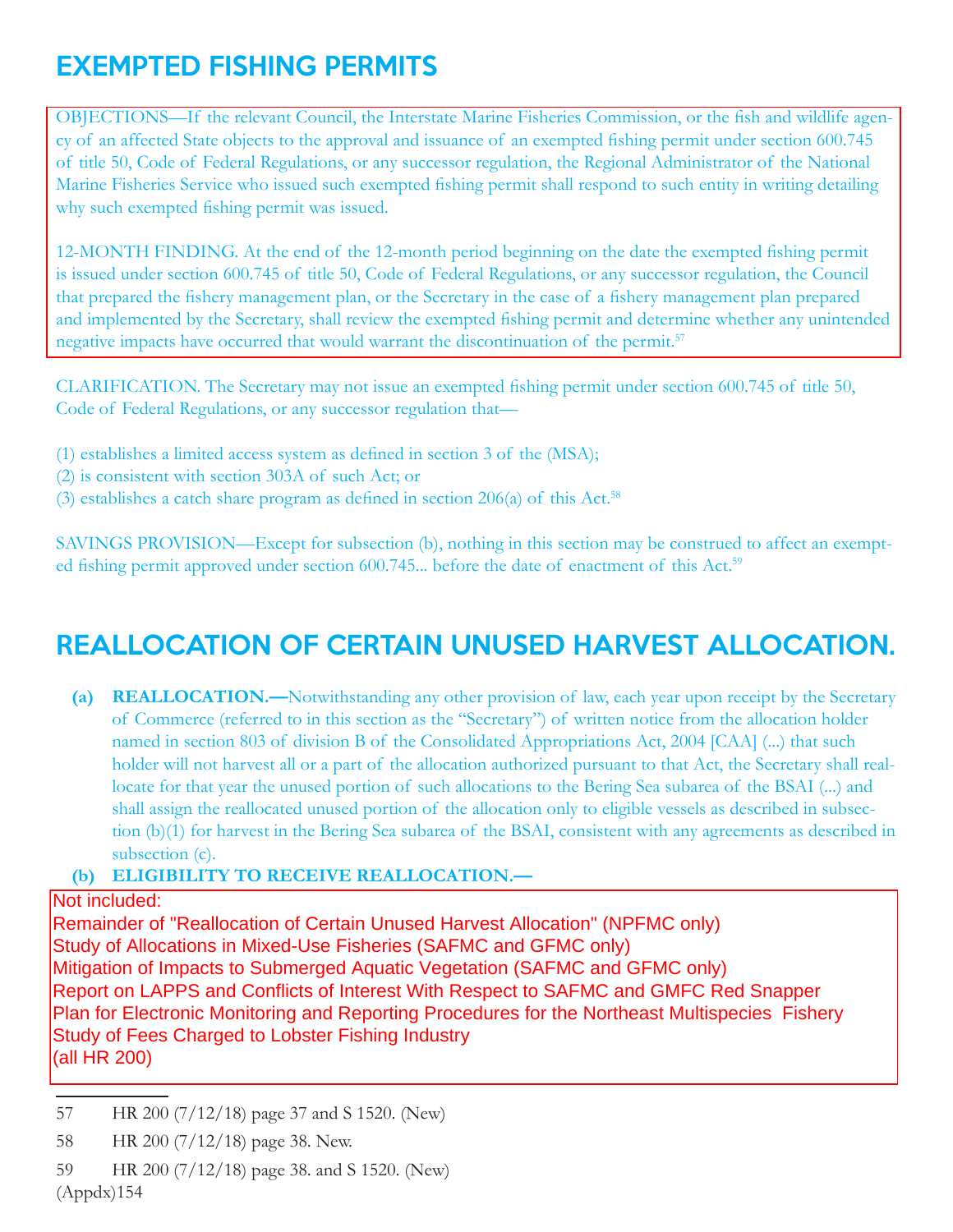# EXEMPTED FISHING PERMITS

OBJECTIONS—If the relevant Council, the Interstate Marine Fisheries Commission, or the fish and wildlife agency of an affected State objects to the approval and issuance of an exempted fishing permit under section 600.745 of title 50, Code of Federal Regulations, or any successor regulation, the Regional Administrator of the National Marine Fisheries Service who issued such exempted fishing permit shall respond to such entity in writing detailing why such exempted fishing permit was issued.

12-MONTH FINDING. At the end of the 12-month period beginning on the date the exempted fishing permit is issued under section 600.745 of title 50, Code of Federal Regulations, or any successor regulation, the Council that prepared the fishery management plan, or the Secretary in the case of a fishery management plan prepared and implemented by the Secretary, shall review the exempted fishing permit and determine whether any unintended negative impacts have occurred that would warrant the discontinuation of the permit.57

CLARIFICATION. The Secretary may not issue an exempted fishing permit under section 600.745 of title 50, Code of Federal Regulations, or any successor regulation that—

- (1) establishes a limited access system as defined in section  $3$  of the (MSA);
- (2) is consistent with section 303A of such Act; or
- (3) establishes a catch share program as defined in section  $206(a)$  of this Act.<sup>58</sup>

SAVINGS PROVISION—Except for subsection (b), nothing in this section may be construed to affect an exempted fishing permit approved under section 600.745... before the date of enactment of this Act.<sup>59</sup>

# REALLOCATION OF CERTAIN UNUSED HARVEST ALLOCATION.

 **(a) REALLOCATION.—**Notwithstanding any other provision of law, each year upon receipt by the Secretary of Commerce (referred to in this section as the "Secretary") of written notice from the allocation holder named in section 803 of division B of the Consolidated Appropriations Act, 2004 [CAA] (...) that such holder will not harvest all or a part of the allocation authorized pursuant to that Act, the Secretary shall reallocate for that year the unused portion of such allocations to the Bering Sea subarea of the BSAI (...) and shall assign the reallocated unused portion of the allocation only to eligible vessels as described in subsection (b)(1) for harvest in the Bering Sea subarea of the BSAI, consistent with any agreements as described in subsection (c).

#### **(b) ELIGIBILITY TO RECEIVE REALLOCATION.—**

#### Not included:

(1) IN GENERAL.—Only vessels defi ned in subsection (a), (b), (c), or (e) of section 208 of the Remainder of "Reallocation of Certain Unused Harvest Allocation" (NPFMC only) Study of Allocations in Mixed-Use Fisheries (SAFMC and GFMC only) wingation of impacts to Submerged Aquatic vegetation (SAFMC and SFMC only)<br>Report on LAPPS and Conflicts of Interest With Respect to SAFMC and GMFC Red Snapper Report of Extrit of and Commets of interest with respect to OAT MC and CMTO Red Chapper<br>Plan for Electronic Monitoring and Reporting Procedures for the Northeast Multispecies Fishery I fair for Liectronic Monitoning and Reporting Trocet<br>Study of Fees Charged to Lobster Fishing Industry (3) CALCULATIONS. —Any amount of the real location described in the subsection of the subsection (a) shall not be subsection (a) shall not be subsection (a) shall not be subsection (a) shall not be subsection (a) shall no Mitigation of Impacts to Submerged Aquatic Vegetation (SAFMC and GFMC only) (all HR 200)

- 57 HR 200 (7/12/18) page 37 and S 1520. (New)
- 58 HR 200 (7/12/18) page 38. New.
- (Appdx)154 59 HR 200 (7/12/18) page 38. and S 1520. (New)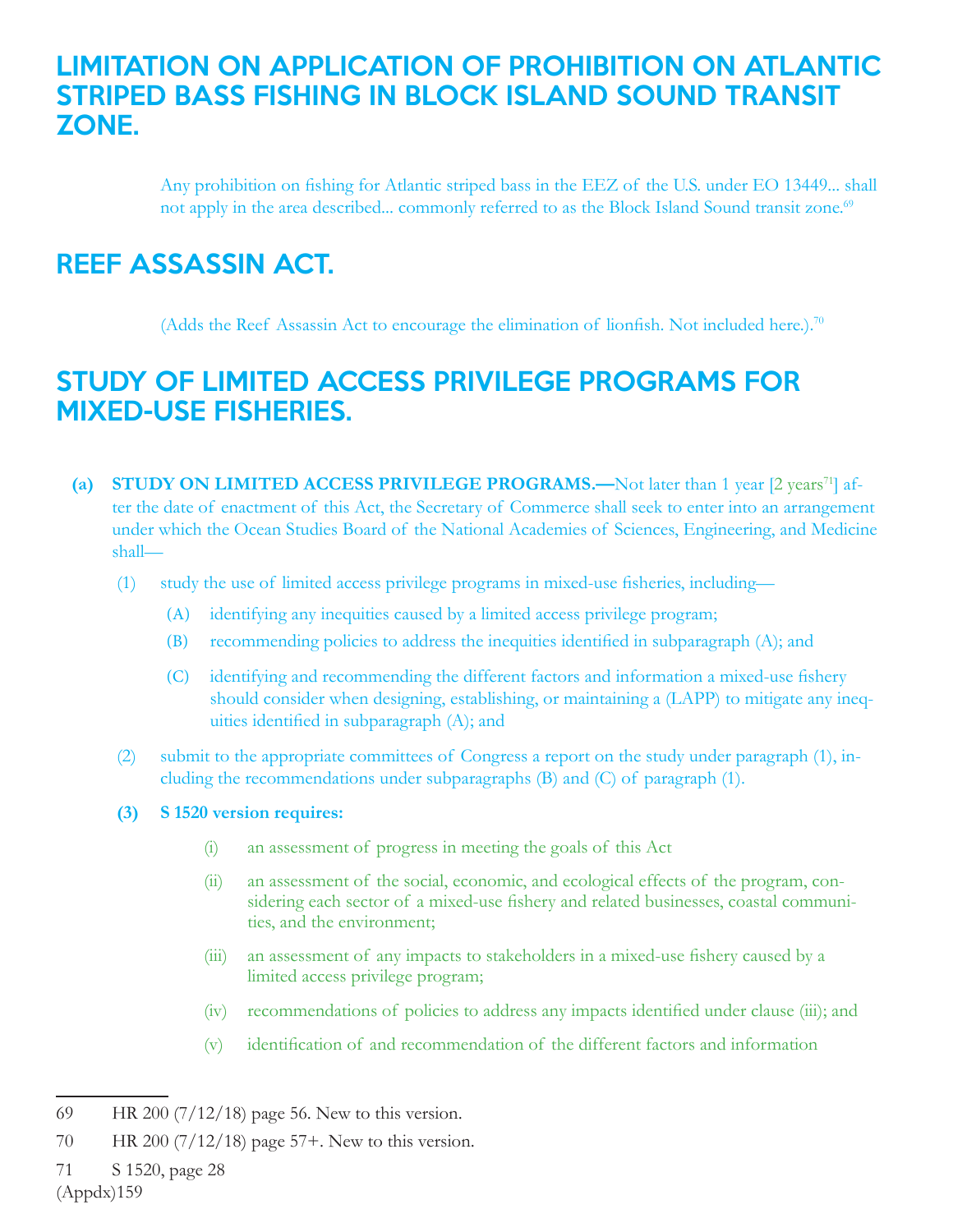### LIMITATION ON APPLICATION OF PROHIBITION ON ATLANTIC STRIPED BASS FISHING IN BLOCK ISLAND SOUND TRANSIT ZONE.

Any prohibition on fishing for Atlantic striped bass in the EEZ of the U.S. under EO 13449... shall not apply in the area described... commonly referred to as the Block Island Sound transit zone.<sup>69</sup>

### REEF ASSASSIN ACT.

(Adds the Reef Assassin Act to encourage the elimination of lionfish. Not included here.).<sup>70</sup>

### STUDY OF LIMITED ACCESS PRIVILEGE PROGRAMS FOR MIXED-USE FISHERIES.

- **(a) STUDY ON LIMITED ACCESS PRIVILEGE PROGRAMS.—**Not later than 1 year [2 years<sup>71</sup>] after the date of enactment of this Act, the Secretary of Commerce shall seek to enter into an arrangement under which the Ocean Studies Board of the National Academies of Sciences, Engineering, and Medicine shall—
	- (1) study the use of limited access privilege programs in mixed-use fisheries, including—
		- (A) identifying any inequities caused by a limited access privilege program;
		- (B) recommending policies to address the inequities identified in subparagraph (A); and
		- (C) identifying and recommending the different factors and information a mixed-use fishery should consider when designing, establishing, or maintaining a (LAPP) to mitigate any inequities identified in subparagraph (A); and
	- (2) submit to the appropriate committees of Congress a report on the study under paragraph (1), including the recommendations under subparagraphs (B) and (C) of paragraph (1).
	- **(3) S 1520 version requires:**
		- (i) an assessment of progress in meeting the goals of this Act
		- (ii) an assessment of the social, economic, and ecological effects of the program, considering each sector of a mixed-use fishery and related businesses, coastal communities, and the environment;
		- (iii) an assessment of any impacts to stakeholders in a mixed-use fishery caused by a limited access privilege program;
		- (iv) recommendations of policies to address any impacts identified under clause (iii); and
		- (v) identification of and recommendation of the different factors and information

<sup>69</sup> HR 200  $(7/12/18)$  page 56. New to this version.

<sup>70</sup> HR 200 (7/12/18) page 57+. New to this version.

<sup>71</sup> S 1520, page 28